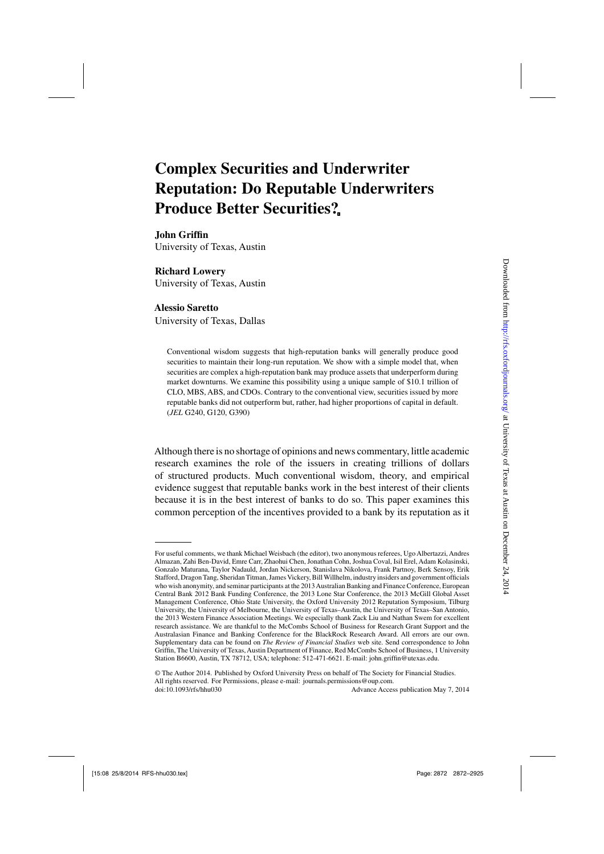# **Complex Securities and Underwriter Reputation: Do Reputable Underwriters Produce Better Securities?**

## **John Griffin**

University of Texas, Austin

**Richard Lowery** University of Texas, Austin

#### **Alessio Saretto**

University of Texas, Dallas

Conventional wisdom suggests that high-reputation banks will generally produce good securities to maintain their long-run reputation. We show with a simple model that, when securities are complex a high-reputation bank may produce assets that underperform during market downturns. We examine this possibility using a unique sample of \$10.1 trillion of CLO, MBS, ABS, and CDOs. Contrary to the conventional view, securities issued by more reputable banks did not outperform but, rather, had higher proportions of capital in default. (*JEL* G240, G120, G390)

Although there is no shortage of opinions and news commentary, little academic research examines the role of the issuers in creating trillions of dollars of structured products. Much conventional wisdom, theory, and empirical evidence suggest that reputable banks work in the best interest of their clients because it is in the best interest of banks to do so. This paper examines this common perception of the incentives provided to a bank by its reputation as it

For useful comments, we thank Michael Weisbach (the editor), two anonymous referees, Ugo Albertazzi, Andres Almazan, Zahi Ben-David, Emre Carr, Zhaohui Chen, Jonathan Cohn, Joshua Coval, Isil Erel, Adam Kolasinski, Gonzalo Maturana, Taylor Nadauld, Jordan Nickerson, Stanislava Nikolova, Frank Partnoy, Berk Sensoy, Erik Stafford, Dragon Tang, Sheridan Titman, James Vickery, BillWillhelm, industry insiders and government officials who wish anonymity, and seminar participants at the 2013 Australian Banking and Finance Conference, European Central Bank 2012 Bank Funding Conference, the 2013 Lone Star Conference, the 2013 McGill Global Asset Management Conference, Ohio State University, the Oxford University 2012 Reputation Symposium, Tilburg University, the University of Melbourne, the University of Texas–Austin, the University of Texas–San Antonio, the 2013 Western Finance Association Meetings. We especially thank Zack Liu and Nathan Swem for excellent research assistance. We are thankful to the McCombs School of Business for Research Grant Support and the Australasian Finance and Banking Conference for the BlackRock Research Award. All errors are our own. Supplementary data can be found on *The Review of Financial Studies* web site. Send correspondence to John Griffin, The University of Texas, Austin Department of Finance, Red McCombs School of Business, 1 University Station B6600, Austin, TX 78712, USA; telephone: 512-471-6621. E-mail: john.griffin@utexas.edu.

<sup>©</sup> The Author 2014. Published by Oxford University Press on behalf of The Society for Financial Studies. All rights reserved. For Permissions, please e-mail: journals.permissions@oup.com. doi:10.1093/rfs/hhu030 Advance Access publication May 7, 2014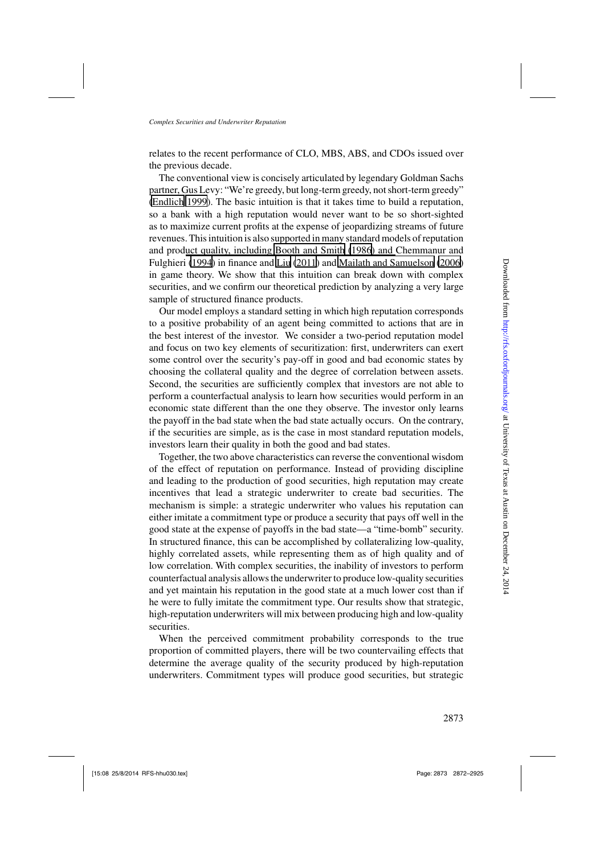relates to the recent performance of CLO, MBS, ABS, and CDOs issued over the previous decade.

The conventional view is concisely articulated by legendary Goldman Sachs partner, Gus Levy: "We're greedy, but long-term greedy, not short-term greedy" [\(Endlich 1999\)](#page-51-0). The basic intuition is that it takes time to build a reputation, so a bank with a high reputation would never want to be so short-sighted as to maximize current profits at the expense of jeopardizing streams of future revenues. This intuition is also supported in many standard models of reputation and prod[uct quality, including Booth and Smith \(1986\) and](#page-51-0) Chemmanur and Fulghieri [\(1994\)](#page-51-0) in finance and [Liu](#page-52-0) [\(2011](#page-52-0)) and [Mailath and Samuelson](#page-52-0) [\(2006](#page-52-0)) in game theory. We show that this intuition can break down with complex securities, and we confirm our theoretical prediction by analyzing a very large sample of structured finance products.

Our model employs a standard setting in which high reputation corresponds to a positive probability of an agent being committed to actions that are in the best interest of the investor. We consider a two-period reputation model and focus on two key elements of securitization: first, underwriters can exert some control over the security's pay-off in good and bad economic states by choosing the collateral quality and the degree of correlation between assets. Second, the securities are sufficiently complex that investors are not able to perform a counterfactual analysis to learn how securities would perform in an economic state different than the one they observe. The investor only learns the payoff in the bad state when the bad state actually occurs. On the contrary, if the securities are simple, as is the case in most standard reputation models, investors learn their quality in both the good and bad states.

Together, the two above characteristics can reverse the conventional wisdom of the effect of reputation on performance. Instead of providing discipline and leading to the production of good securities, high reputation may create incentives that lead a strategic underwriter to create bad securities. The mechanism is simple: a strategic underwriter who values his reputation can either imitate a commitment type or produce a security that pays off well in the good state at the expense of payoffs in the bad state—a "time-bomb" security. In structured finance, this can be accomplished by collateralizing low-quality, highly correlated assets, while representing them as of high quality and of low correlation. With complex securities, the inability of investors to perform counterfactual analysis allows the underwriter to produce low-quality securities and yet maintain his reputation in the good state at a much lower cost than if he were to fully imitate the commitment type. Our results show that strategic, high-reputation underwriters will mix between producing high and low-quality securities.

When the perceived commitment probability corresponds to the true proportion of committed players, there will be two countervailing effects that determine the average quality of the security produced by high-reputation underwriters. Commitment types will produce good securities, but strategic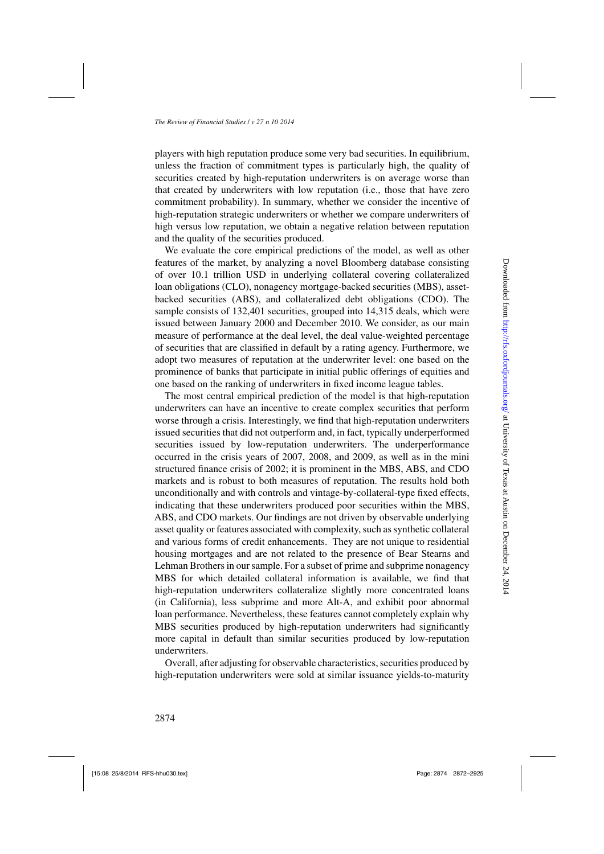players with high reputation produce some very bad securities. In equilibrium, unless the fraction of commitment types is particularly high, the quality of securities created by high-reputation underwriters is on average worse than that created by underwriters with low reputation (i.e., those that have zero commitment probability). In summary, whether we consider the incentive of high-reputation strategic underwriters or whether we compare underwriters of high versus low reputation, we obtain a negative relation between reputation and the quality of the securities produced.

We evaluate the core empirical predictions of the model, as well as other features of the market, by analyzing a novel Bloomberg database consisting of over 10.1 trillion USD in underlying collateral covering collateralized loan obligations (CLO), nonagency mortgage-backed securities (MBS), assetbacked securities (ABS), and collateralized debt obligations (CDO). The sample consists of 132,401 securities, grouped into 14,315 deals, which were issued between January 2000 and December 2010. We consider, as our main measure of performance at the deal level, the deal value-weighted percentage of securities that are classified in default by a rating agency. Furthermore, we adopt two measures of reputation at the underwriter level: one based on the prominence of banks that participate in initial public offerings of equities and one based on the ranking of underwriters in fixed income league tables.

The most central empirical prediction of the model is that high-reputation underwriters can have an incentive to create complex securities that perform worse through a crisis. Interestingly, we find that high-reputation underwriters issued securities that did not outperform and, in fact, typically underperformed securities issued by low-reputation underwriters. The underperformance occurred in the crisis years of 2007, 2008, and 2009, as well as in the mini structured finance crisis of 2002; it is prominent in the MBS, ABS, and CDO markets and is robust to both measures of reputation. The results hold both unconditionally and with controls and vintage-by-collateral-type fixed effects, indicating that these underwriters produced poor securities within the MBS, ABS, and CDO markets. Our findings are not driven by observable underlying asset quality or features associated with complexity, such as synthetic collateral and various forms of credit enhancements. They are not unique to residential housing mortgages and are not related to the presence of Bear Stearns and Lehman Brothers in our sample. For a subset of prime and subprime nonagency MBS for which detailed collateral information is available, we find that high-reputation underwriters collateralize slightly more concentrated loans (in California), less subprime and more Alt-A, and exhibit poor abnormal loan performance. Nevertheless, these features cannot completely explain why MBS securities produced by high-reputation underwriters had significantly more capital in default than similar securities produced by low-reputation underwriters.

Overall, after adjusting for observable characteristics, securities produced by high-reputation underwriters were sold at similar issuance yields-to-maturity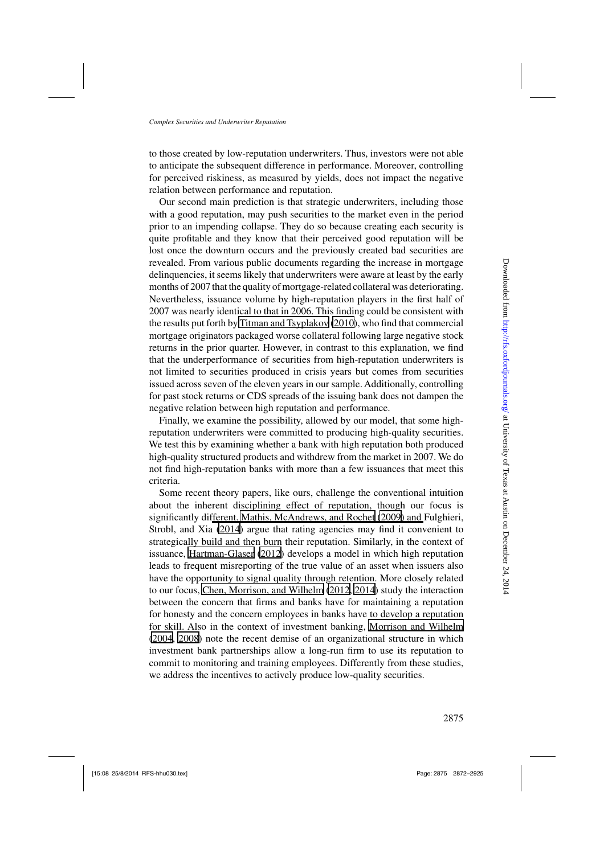to those created by low-reputation underwriters. Thus, investors were not able to anticipate the subsequent difference in performance. Moreover, controlling for perceived riskiness, as measured by yields, does not impact the negative relation between performance and reputation.

Our second main prediction is that strategic underwriters, including those with a good reputation, may push securities to the market even in the period prior to an impending collapse. They do so because creating each security is quite profitable and they know that their perceived good reputation will be lost once the downturn occurs and the previously created bad securities are revealed. From various public documents regarding the increase in mortgage delinquencies, it seems likely that underwriters were aware at least by the early months of 2007 that the quality of mortgage-related collateral was deteriorating. Nevertheless, issuance volume by high-reputation players in the first half of 2007 was nearly identical to that in 2006. This finding could be consistent with the results put forth by [Titman and Tsyplakov](#page-53-0) [\(2010\)](#page-53-0), who find that commercial mortgage originators packaged worse collateral following large negative stock returns in the prior quarter. However, in contrast to this explanation, we find that the underperformance of securities from high-reputation underwriters is not limited to securities produced in crisis years but comes from securities issued across seven of the eleven years in our sample. Additionally, controlling for past stock returns or CDS spreads of the issuing bank does not dampen the negative relation between high reputation and performance.

Finally, we examine the possibility, allowed by our model, that some highreputation underwriters were committed to producing high-quality securities. We test this by examining whether a bank with high reputation both produced high-quality structured products and withdrew from the market in 2007. We do not find high-reputation banks with more than a few issuances that meet this criteria.

Some recent theory papers, like ours, challenge the conventional intuition about the inherent disciplining effect of reputation, though our focus is significantly di[fferent.](#page-51-0) [Mathis, McAndrews, and Rochet](#page-52-0)[\(2009](#page-52-0)[\) and](#page-51-0) Fulghieri, Strobl, and Xia [\(2014](#page-51-0)) argue that rating agencies may find it convenient to strategically build and then burn their reputation. Similarly, in the context of issuance, [Hartman-Glaser](#page-52-0) [\(2012](#page-52-0)) develops a model in which high reputation leads to frequent misreporting of the true value of an asset when issuers also have the opportunity to signal quality through retention. More closely related to our focus, [Chen, Morrison, and Wilhelm](#page-51-0) [\(2012](#page-51-0), [2014](#page-51-0)) study the interaction between the concern that firms and banks have for maintaining a reputation for honesty and the concern employees in banks have to develop a reputation for skill. Also in the context of investment banking, [Morrison and Wilhelm](#page-52-0) [\(2004, 2008\)](#page-52-0) note the recent demise of an organizational structure in which investment bank partnerships allow a long-run firm to use its reputation to commit to monitoring and training employees. Differently from these studies, we address the incentives to actively produce low-quality securities.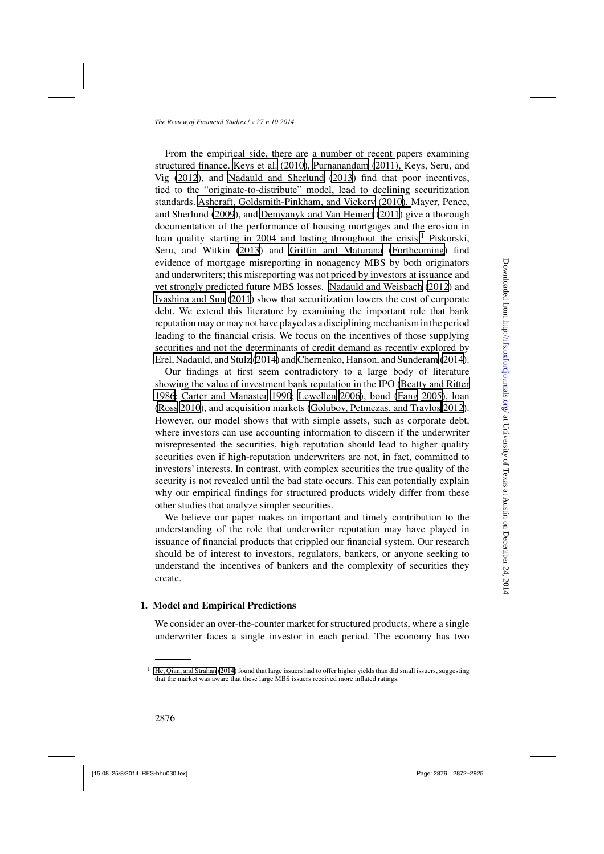<span id="page-4-0"></span>From the empirical side, there are a number of recent papers examining str[uctured](#page-52-0) [finance. Keys et al.](#page-52-0) [\(2010\), Purnanandam](#page-52-0) [\(2011\),](#page-52-0) Keys, Seru, and Vig [\(2012\)](#page-52-0), and [Nadauld and Sherlund](#page-52-0) [\(2013](#page-52-0)) find that poor incentives, tied to the "originate-to-distribute" model, lead to declining securitization standards. [Ashcraft, Goldsmith-Pinkham, and Vickery](#page-51-0)[\(2010](#page-51-0)[\),](#page-52-0) Mayer, Pence, and Sherlund [\(2009](#page-52-0)), and [Demyanyk and Van Hemert](#page-51-0) [\(2011](#page-51-0)) give a thorough documentation of the performance of housing mortgages and the erosion in loan quality starti[ng in 2004 and lasting throughout the crisis.](#page-52-0)<sup>1</sup> Piskorski, Seru, and Witkin [\(2013\)](#page-52-0) and [Griffin and Maturana](#page-52-0) [\(Forthcoming](#page-52-0)) find evidence of mortgage misreporting in nonagency MBS by both originators and underwriters; this misreporting was not priced by investors at issuance and yet strongly predicted future MBS losses. [Nadauld and Weisbach](#page-52-0) [\(2012\)](#page-52-0) and [Ivashina and Sun](#page-52-0) [\(2011\)](#page-52-0) show that securitization lowers the cost of corporate debt. We extend this literature by examining the important role that bank reputation may or may not have played as a disciplining mechanism in the period leading to the financial crisis. We focus on the incentives of those supplying securities and not the determinants of credit demand as recently explored by [Erel, Nadauld, and Stulz](#page-51-0) [\(2014\)](#page-51-0) and [Chernenko, Hanson, and Sunderam](#page-51-0) [\(2014](#page-51-0)).

Our findings at first seem contradictory to a large body of literature showing the value of investment bank reputation in the IPO [\(Beatty and Ritter](#page-51-0) [1986](#page-51-0); [Carter and Manaster 1990](#page-51-0); [Lewellen 2006\)](#page-52-0), bond [\(Fang 2005](#page-51-0)), loan [\(Ross 2010](#page-52-0)), and acquisition markets [\(Golubov, Petmezas, and Travlos 2012](#page-51-0)). However, our model shows that with simple assets, such as corporate debt, where investors can use accounting information to discern if the underwriter misrepresented the securities, high reputation should lead to higher quality securities even if high-reputation underwriters are not, in fact, committed to investors' interests. In contrast, with complex securities the true quality of the security is not revealed until the bad state occurs. This can potentially explain why our empirical findings for structured products widely differ from these other studies that analyze simpler securities.

We believe our paper makes an important and timely contribution to the understanding of the role that underwriter reputation may have played in issuance of financial products that crippled our financial system. Our research should be of interest to investors, regulators, bankers, or anyone seeking to understand the incentives of bankers and the complexity of securities they create.

## **1. Model and Empirical Predictions**

We consider an over-the-counter market for structured products, where a single underwriter faces a single investor in each period. The economy has two

<sup>1</sup> [He, Qian, and Strahan](#page-52-0) [\(2014\)](#page-52-0) found that large issuers had to offer higher yields than did small issuers, suggesting that the market was aware that these large MBS issuers received more inflated ratings.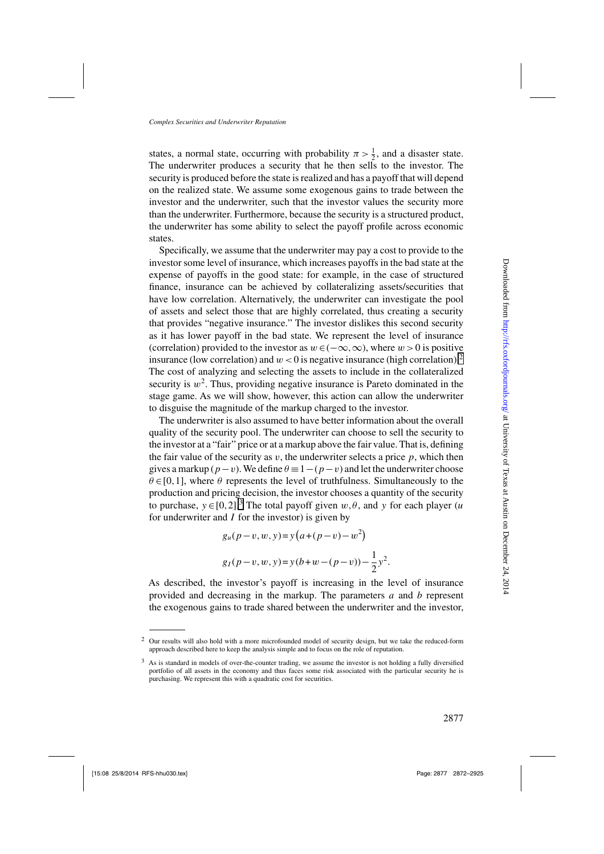states, a normal state, occurring with probability  $\pi > \frac{1}{2}$ , and a disaster state.<br>The underwriter produces a security that he then sells to the investor. The The underwriter produces a security that he then sells to the investor. The security is produced before the state is realized and has a payoff that will depend on the realized state. We assume some exogenous gains to trade between the investor and the underwriter, such that the investor values the security more than the underwriter. Furthermore, because the security is a structured product, the underwriter has some ability to select the payoff profile across economic states.

Specifically, we assume that the underwriter may pay a cost to provide to the investor some level of insurance, which increases payoffs in the bad state at the expense of payoffs in the good state: for example, in the case of structured finance, insurance can be achieved by collateralizing assets/securities that have low correlation. Alternatively, the underwriter can investigate the pool of assets and select those that are highly correlated, thus creating a security that provides "negative insurance." The investor dislikes this second security as it has lower payoff in the bad state. We represent the level of insurance (correlation) provided to the investor as *w*∈(−∞*,*∞), where *w >*0 is positive insurance (low correlation) and  $w < 0$  is negative insurance (high correlation).<sup>2</sup> The cost of analyzing and selecting the assets to include in the collateralized security is  $w^2$ . Thus, providing negative insurance is Pareto dominated in the stage game. As we will show, however, this action can allow the underwriter to disguise the magnitude of the markup charged to the investor.

The underwriter is also assumed to have better information about the overall quality of the security pool. The underwriter can choose to sell the security to the investor at a "fair" price or at a markup above the fair value. That is, defining the fair value of the security as  $v$ , the underwriter selects a price  $p$ , which then gives a markup ( $p$ −*v*). We define  $\theta \equiv 1-(p-\nu)$  and let the underwriter choose  $\theta \in [0,1]$ , where  $\theta$  represents the level of truthfulness. Simultaneously to the production and pricing decision, the investor chooses a quantity of the security to purchase,  $y \in [0,2]$ .<sup>3</sup> The total payoff given  $w, \theta$ , and *y* for each player (*u* for underwriter and *I* for the investor) is given by

$$
g_u(p-v, w, y) = y(a+(p-v)-w2)
$$
  
 
$$
g_1(p-v, w, y) = y(b+w-(p-v)) - \frac{1}{2}y2.
$$

As described, the investor's payoff is increasing in the level of insurance provided and decreasing in the markup. The parameters *a* and *b* represent the exogenous gains to trade shared between the underwriter and the investor,

<sup>2</sup> Our results will also hold with a more microfounded model of security design, but we take the reduced-form approach described here to keep the analysis simple and to focus on the role of reputation.

<sup>&</sup>lt;sup>3</sup> As is standard in models of over-the-counter trading, we assume the investor is not holding a fully diversified portfolio of all assets in the economy and thus faces some risk associated with the particular security he is purchasing. We represent this with a quadratic cost for securities.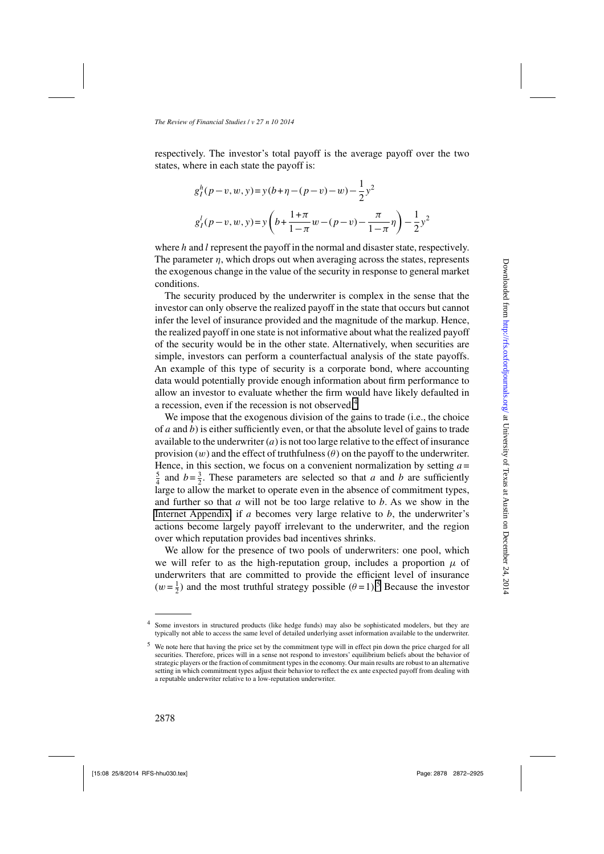respectively. The investor's total payoff is the average payoff over the two states, where in each state the payoff is:

$$
g_1^h(p-v, w, y) = y(b+\eta - (p-v)-w) - \frac{1}{2}y^2
$$
  

$$
g_1^l(p-v, w, y) = y\left(b + \frac{1+\pi}{1-\pi}w - (p-v) - \frac{\pi}{1-\pi}\eta\right) - \frac{1}{2}y^2
$$

where *h* and *l* represent the payoff in the normal and disaster state, respectively. The parameter  $\eta$ , which drops out when averaging across the states, represents the exogenous change in the value of the security in response to general market conditions.

The security produced by the underwriter is complex in the sense that the investor can only observe the realized payoff in the state that occurs but cannot infer the level of insurance provided and the magnitude of the markup. Hence, the realized payoff in one state is not informative about what the realized payoff of the security would be in the other state. Alternatively, when securities are simple, investors can perform a counterfactual analysis of the state payoffs. An example of this type of security is a corporate bond, where accounting data would potentially provide enough information about firm performance to allow an investor to evaluate whether the firm would have likely defaulted in a recession, even if the recession is not observed.<sup>4</sup>

We impose that the exogenous division of the gains to trade (i.e., the choice of *a* and *b*) is either sufficiently even, or that the absolute level of gains to trade available to the underwriter  $(a)$  is not too large relative to the effect of insurance provision  $(w)$  and the effect of truthfulness  $(\theta)$  on the payoff to the underwriter. Hence, in this section, we focus on a convenient normalization by setting  $a =$  $\frac{5}{4}$  and  $b=\frac{3}{2}$ . These parameters are selected so that *a* and *b* are sufficiently large to allow the market to operate even in the absence of commitment types, and further so that *a* will not be too large relative to *b*. As we show in the [Internet Appendix,](http://rfs.oxfordjournals.org/lookup/suppl/doi:10.1093/rfs/hhu030/-/DC1) if *a* becomes very large relative to *b*, the underwriter's actions become largely payoff irrelevant to the underwriter, and the region over which reputation provides bad incentives shrinks.

We allow for the presence of two pools of underwriters: one pool, which we will refer to as the high-reputation group, includes a proportion  $\mu$  of underwriters that are committed to provide the efficient level of insurance  $(w = \frac{1}{2})$  and the most truthful strategy possible  $(\theta = 1)$ .<sup>5</sup> Because the investor

<sup>4</sup> Some investors in structured products (like hedge funds) may also be sophisticated modelers, but they are typically not able to access the same level of detailed underlying asset information available to the underwriter.

<sup>5</sup> We note here that having the price set by the commitment type will in effect pin down the price charged for all securities. Therefore, prices will in a sense not respond to investors' equilibrium beliefs about the behavior of strategic players or the fraction of commitment types in the economy. Our main results are robust to an alternative setting in which commitment types adjust their behavior to reflect the ex ante expected payoff from dealing with a reputable underwriter relative to a low-reputation underwriter.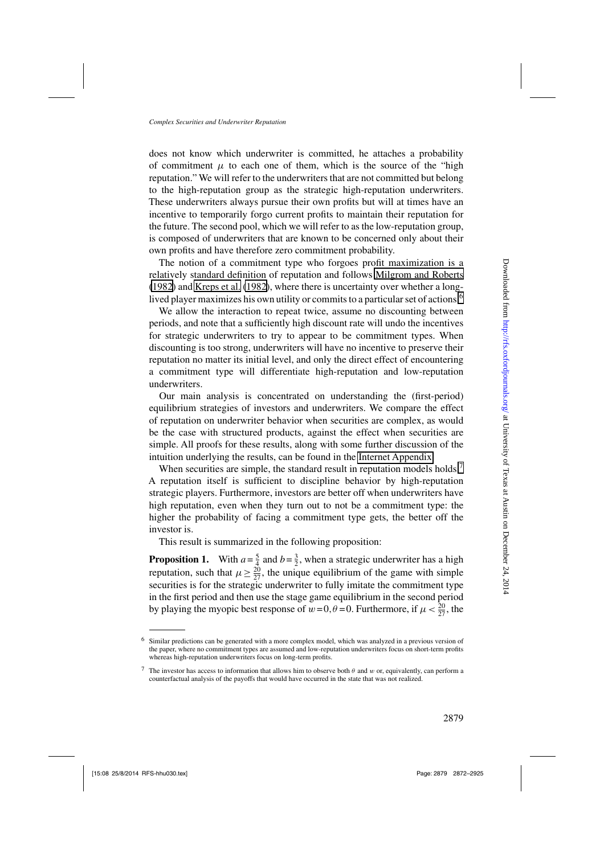does not know which underwriter is committed, he attaches a probability of commitment  $\mu$  to each one of them, which is the source of the "high reputation." We will refer to the underwriters that are not committed but belong to the high-reputation group as the strategic high-reputation underwriters. These underwriters always pursue their own profits but will at times have an incentive to temporarily forgo current profits to maintain their reputation for the future. The second pool, which we will refer to as the low-reputation group, is composed of underwriters that are known to be concerned only about their own profits and have therefore zero commitment probability.

The notion of a commitment type who forgoes profit maximization is a relatively standard definition of reputation and follows [Milgrom and Roberts](#page-52-0) [\(1982\)](#page-52-0) and [Kreps et al.](#page-52-0) [\(1982](#page-52-0)), where there is uncertainty over whether a longlived player maximizes his own utility or commits to a particular set of actions.<sup>6</sup>

We allow the interaction to repeat twice, assume no discounting between periods, and note that a sufficiently high discount rate will undo the incentives for strategic underwriters to try to appear to be commitment types. When discounting is too strong, underwriters will have no incentive to preserve their reputation no matter its initial level, and only the direct effect of encountering a commitment type will differentiate high-reputation and low-reputation underwriters.

Our main analysis is concentrated on understanding the (first-period) equilibrium strategies of investors and underwriters. We compare the effect of reputation on underwriter behavior when securities are complex, as would be the case with structured products, against the effect when securities are simple. All proofs for these results, along with some further discussion of the intuition underlying the results, can be found in the [Internet Appendix.](http://rfs.oxfordjournals.org/lookup/suppl/doi:10.1093/rfs/hhu030/-/DC1)

When securities are simple, the standard result in reputation models holds.<sup>7</sup> A reputation itself is sufficient to discipline behavior by high-reputation strategic players. Furthermore, investors are better off when underwriters have high reputation, even when they turn out to not be a commitment type: the higher the probability of facing a commitment type gets, the better off the investor is.

This result is summarized in the following proposition:

**Proposition 1.** With  $a = \frac{5}{4}$  and  $b = \frac{3}{2}$ , when a strategic underwriter has a high requestion such that  $u > 20$ , the unique equilibrium of the game with simple reputation, such that  $\mu \geq \frac{20}{27}$ , the unique equilibrium of the game with simple securities is for the strategic underwriter to fully imitate the commitment type securities is for the strategic underwriter to fully imitate the commitment type in the first period and then use the stage game equilibrium in the second period by playing the myopic best response of  $w = 0, \theta = 0$ . Furthermore, if  $\mu < \frac{20}{27}$ , the

Similar predictions can be generated with a more complex model, which was analyzed in a previous version of the paper, where no commitment types are assumed and low-reputation underwriters focus on short-term profits whereas high-reputation underwriters focus on long-term profits.

<sup>7</sup> The investor has access to information that allows him to observe both *θ* and *w* or, equivalently, can perform a counterfactual analysis of the payoffs that would have occurred in the state that was not realized.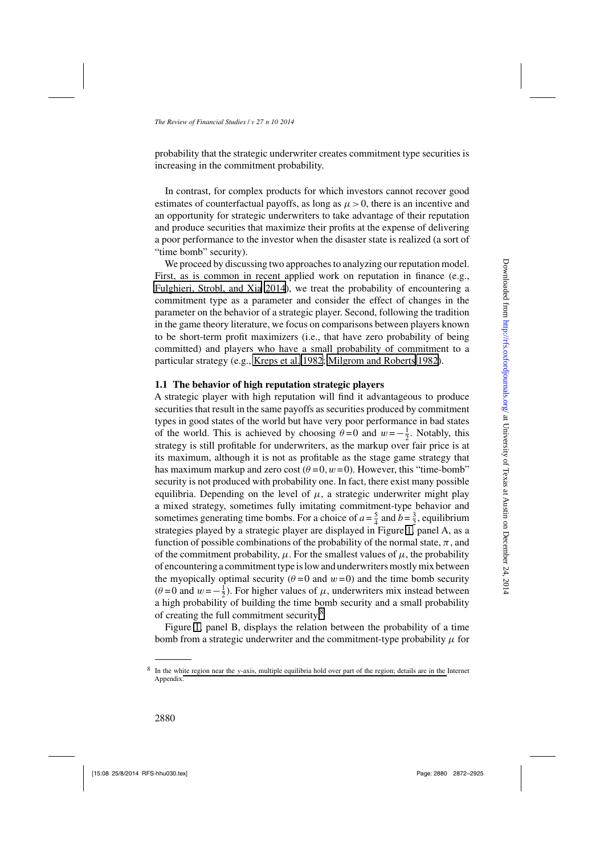probability that the strategic underwriter creates commitment type securities is increasing in the commitment probability.

In contrast, for complex products for which investors cannot recover good estimates of counterfactual payoffs, as long as  $\mu > 0$ , there is an incentive and an opportunity for strategic underwriters to take advantage of their reputation and produce securities that maximize their profits at the expense of delivering a poor performance to the investor when the disaster state is realized (a sort of "time bomb" security).

We proceed by discussing two approaches to analyzing our reputation model. First, as is common in recent applied work on reputation in finance (e.g., [Fulghieri, Strobl, and Xia 2014](#page-51-0)), we treat the probability of encountering a commitment type as a parameter and consider the effect of changes in the parameter on the behavior of a strategic player. Second, following the tradition in the game theory literature, we focus on comparisons between players known to be short-term profit maximizers (i.e., that have zero probability of being committed) and players who have a small probability of commitment to a particular strategy (e.g., [Kreps et al. 1982; Milgrom and Roberts 1982](#page-52-0)).

## **1.1 The behavior of high reputation strategic players**

A strategic player with high reputation will find it advantageous to produce securities that result in the same payoffs as securities produced by commitment types in good states of the world but have very poor performance in bad states of the world. This is achieved by choosing  $\theta = 0$  and  $w = -\frac{1}{2}$ . Notably, this strategy is still profitable for underwriters as the markup over fair price is at strategy is still profitable for underwriters, as the markup over fair price is at its maximum, although it is not as profitable as the stage game strategy that has maximum markup and zero cost  $(\theta = 0, w = 0)$ . However, this "time-bomb" security is not produced with probability one. In fact, there exist many possible equilibria. Depending on the level of  $\mu$ , a strategic underwriter might play a mixed strategy, sometimes fully imitating commitment-type behavior and sometimes generating time bombs. For a choice of  $a = \frac{5}{4}$  and  $b = \frac{3}{2}$ , equilibrium<br>strategies played by a strategic player are displayed in Figure 1, panel A, as a strategies played by a strategic player are displayed in Figure [1,](#page-9-0) panel A, as a function of possible combinations of the probability of the normal state,  $\pi$ , and of the commitment probability,  $\mu$ . For the smallest values of  $\mu$ , the probability of encountering a commitment type is low and underwriters mostly mix between the myopically optimal security  $(\theta = 0 \text{ and } w = 0)$  and the time bomb security  $(\theta = 0$  and  $w = -\frac{1}{2})$ . For higher values of  $\mu$ , underwriters mix instead between a high probability of building the time bomb security and a small probability a high probability of building the time bomb security and a small probability of creating the full commitment security.<sup>8</sup>

Figure [1,](#page-9-0) panel B, displays the relation between the probability of a time bomb from a strategic underwriter and the commitment-type probability  $\mu$  for

<sup>8</sup> In the white region near the *y*-axis, multiple equilibria hold over part of the region; details are in the Internet Appendix.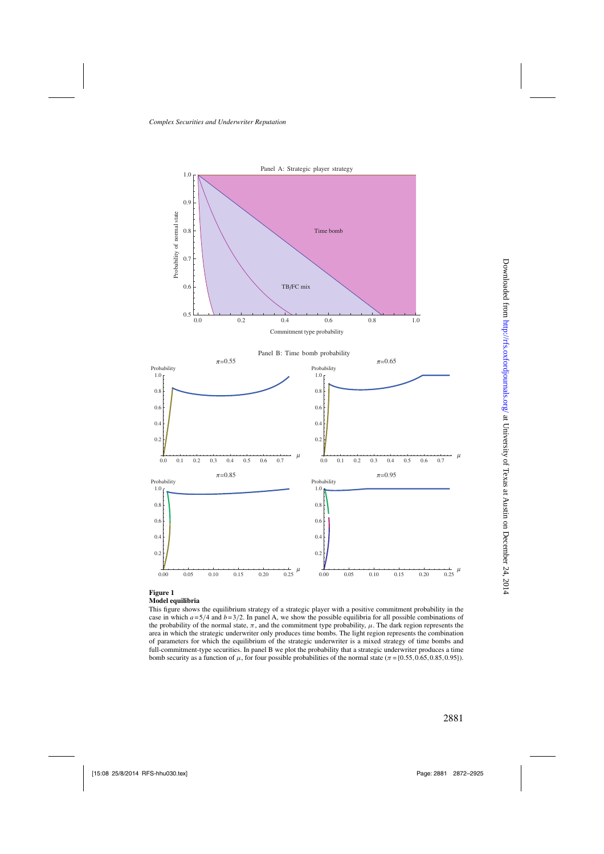<span id="page-9-0"></span>

#### **Figure 1 Model equilibria**

This figure shows the equilibrium strategy of a strategic player with a positive commitment probability in the case in which *<sup>a</sup>* = 5*/*<sup>4</sup> and *<sup>b</sup>*= 3*/*2. In panel A, we show the possible equilibria for all possible combinations of the probability of the normal state,  $\pi$ , and the commitment type probability,  $\mu$ . The dark region represents the area in which the strategic underwriter only produces time bombs. The light region represents the combination of parameters for which the equilibrium of the strategic underwriter is a mixed strategy of time bombs and full-commitment-type securities. In panel B we plot the probability that a strategic underwriter produces a time bomb security as a function of *μ*, for four possible probabilities of the normal state ( $\pi$  ={0.55*,*0*.65,*0*.85<i>,*0*.95}*).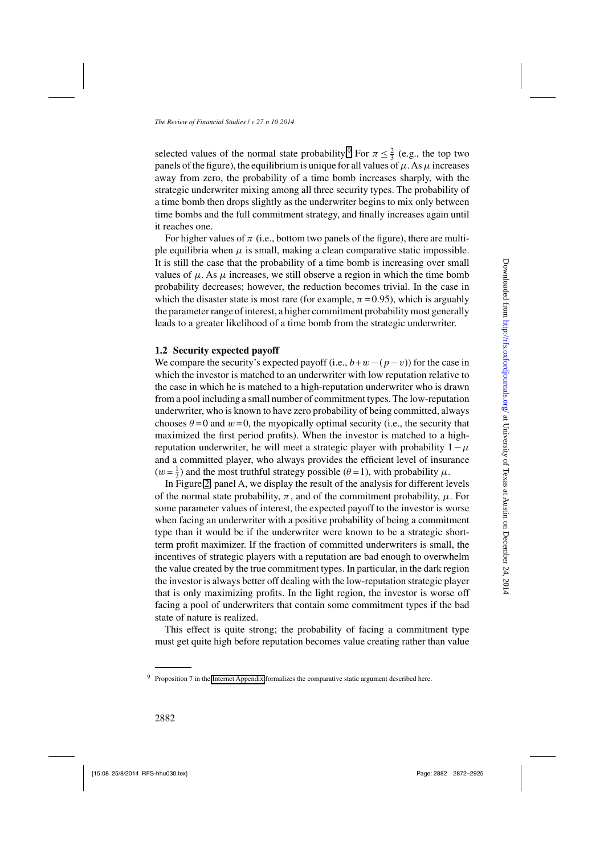selected values of the normal state probability.<sup>9</sup> For  $\pi \leq \frac{2}{3}$  (e.g., the top two panels of the figure) the equilibrium is unique for all values of  $\mu$ . As  $\mu$  increases panels of the figure), the equilibrium is unique for all values of  $\mu$ . As  $\mu$  increases away from zero, the probability of a time bomb increases sharply, with the strategic underwriter mixing among all three security types. The probability of a time bomb then drops slightly as the underwriter begins to mix only between time bombs and the full commitment strategy, and finally increases again until it reaches one.

For higher values of  $\pi$  (i.e., bottom two panels of the figure), there are multiple equilibria when  $\mu$  is small, making a clean comparative static impossible. It is still the case that the probability of a time bomb is increasing over small values of  $\mu$ . As  $\mu$  increases, we still observe a region in which the time bomb probability decreases; however, the reduction becomes trivial. In the case in which the disaster state is most rare (for example,  $\pi$  = 0.95), which is arguably the parameter range of interest, a higher commitment probability most generally leads to a greater likelihood of a time bomb from the strategic underwriter.

## **1.2 Security expected payoff**

We compare the security's expected payoff (i.e.,  $b+w-(p-v)$ ) for the case in which the investor is matched to an underwriter with low reputation relative to the case in which he is matched to a high-reputation underwriter who is drawn from a pool including a small number of commitment types. The low-reputation underwriter, who is known to have zero probability of being committed, always chooses  $\theta = 0$  and  $w = 0$ , the myopically optimal security (i.e., the security that maximized the first period profits). When the investor is matched to a highreputation underwriter, he will meet a strategic player with probability  $1-\mu$ and a committed player, who always provides the efficient level of insurance  $(w = \frac{1}{2})$  and the most truthful strategy possible ( $\theta = 1$ ), with probability  $\mu$ .<br>In Figure 2, panel A, we display the result of the analysis for different la

In Figure [2,](#page-11-0) panel A, we display the result of the analysis for different levels of the normal state probability,  $\pi$ , and of the commitment probability,  $\mu$ . For some parameter values of interest, the expected payoff to the investor is worse when facing an underwriter with a positive probability of being a commitment type than it would be if the underwriter were known to be a strategic shortterm profit maximizer. If the fraction of committed underwriters is small, the incentives of strategic players with a reputation are bad enough to overwhelm the value created by the true commitment types. In particular, in the dark region the investor is always better off dealing with the low-reputation strategic player that is only maximizing profits. In the light region, the investor is worse off facing a pool of underwriters that contain some commitment types if the bad state of nature is realized.

This effect is quite strong; the probability of facing a commitment type must get quite high before reputation becomes value creating rather than value

<sup>&</sup>lt;sup>9</sup> Proposition 7 in the [Internet Appendix](http://rfs.oxfordjournals.org/lookup/suppl/doi:10.1093/rfs/hhu030/-/DC1) formalizes the comparative static argument described here.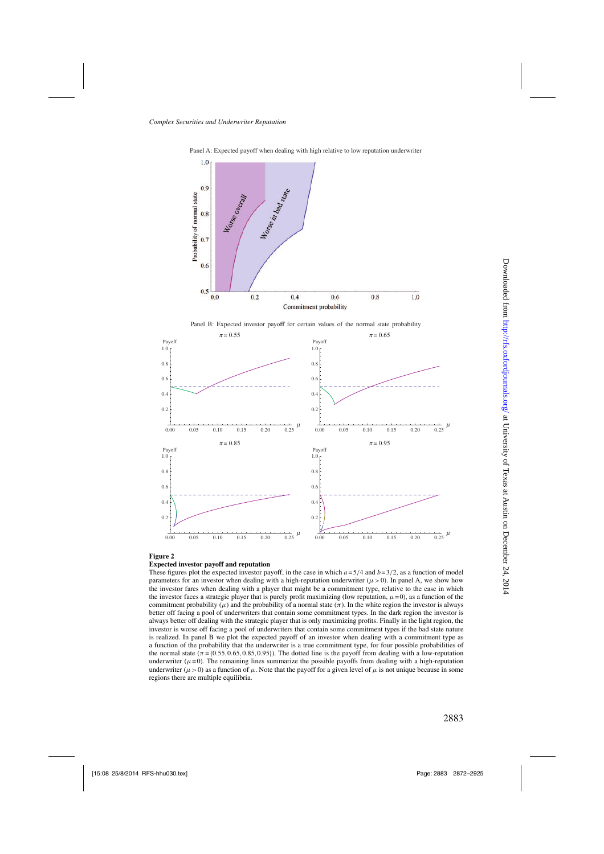<span id="page-11-0"></span>



Panel B: Expected investor payo**ff** for certain values of the normal state probability



#### **Figure 2**

#### **Expected investor payoff and reputation**

These figures plot the expected investor payoff, in the case in which  $a = 5/4$  and  $b = 3/2$ , as a function of model parameters for an investor when dealing with a high-reputation underwriter ( $\mu > 0$ ). In panel A, we show parameters for an investor when dealing with a high-reputation underwriter (*μ>*0). In panel A, we show how the investor fares when dealing with a player that might be a commitment type, relative to the case in which the investor faces a strategic player that is purely profit maximizing (low reputation,  $\mu$  =0), as a function of the<br>commitment probability ( $\mu$ ) and the probability of a normal state ( $\pi$ ). In the white region the in better off facing a pool of underwriters that contain some commitment types. In the dark region the investor is always better off dealing with the strategic player that is only maximizing profits. Finally in the light region, the investor is worse off facing a pool of underwriters that contain some commitment types if the bad state nature is realized. In panel B we plot the expected payoff of an investor when dealing with a commitment type as a function of the probability that the underwriter is a true commitment type, for four possible probabilities of the normal state  $(\pi = \{0.55, 0.65, 0.85, 0.95\})$ . The dotted line is the payoff from dealing with a low-reputation underwriter  $(\mu = 0)$ . The remaining lines summarize the possible payoffs from dealing with a high-reputation underwriter ( $\mu > 0$ ) as a function of  $\mu$ . Note that the payoff for a given level of  $\mu$  is not unique because in some regions there are multiple equilibria.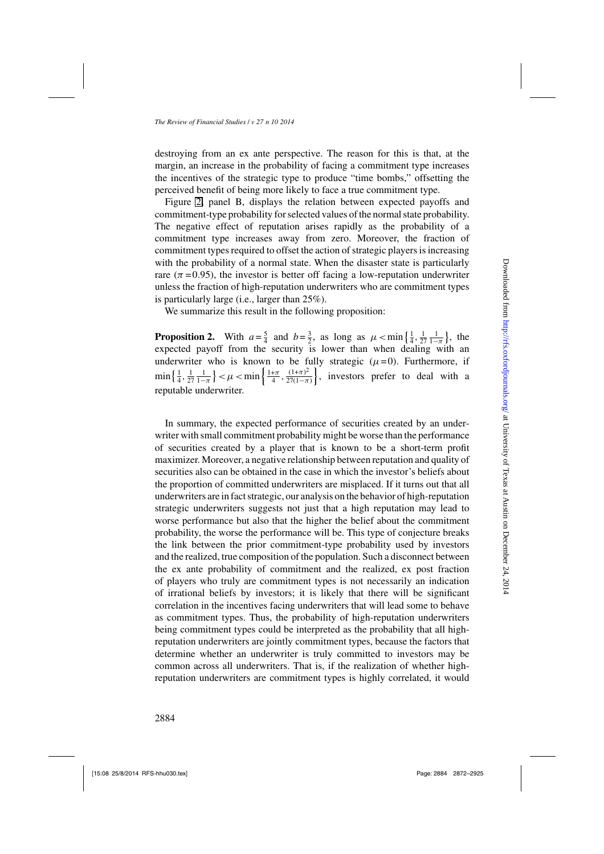destroying from an ex ante perspective. The reason for this is that, at the margin, an increase in the probability of facing a commitment type increases the incentives of the strategic type to produce "time bombs," offsetting the perceived benefit of being more likely to face a true commitment type.

Figure [2,](#page-11-0) panel B, displays the relation between expected payoffs and commitment-type probability for selected values of the normal state probability. The negative effect of reputation arises rapidly as the probability of a commitment type increases away from zero. Moreover, the fraction of commitment types required to offset the action of strategic players is increasing with the probability of a normal state. When the disaster state is particularly rare ( $\pi$  = 0.95), the investor is better off facing a low-reputation underwriter unless the fraction of high-reputation underwriters who are commitment types is particularly large (i.e., larger than 25%).

We summarize this result in the following proposition:

**Proposition 2.** With  $a = \frac{5}{4}$  and  $b = \frac{3}{2}$ , as long as  $\mu < \min\left\{\frac{1}{4}, \frac{1}{27}, \frac{1}{1-\pi}\right\}$ , the expected payoff from the security is lower than when dealing with an **10***nnn***<sub><b>***n***</sub>***<i>n***<sub>1</sub> <b>***n*<sub>*n***</sub>***n***<sub>1</sub><sup>***n***</sup><b>***n***<sub>1</sub><sup>***n***</sup>***n***<sub>1</sub><sup>***n***</sup>***n***<sub>1</sub><sup>***n***</sup>***n***<sub>1</sub><sup>***n***</sup></del>***n***<sub>1</sub>***n***</sup><b>***n***<sup>1</sup>***n***<sub>1</sub><sup>***n***</sup>***n***<sub>1</sub>***n***</sup>***n***<sup>1</sup>***n***<sub>1</sub><sup>***n***</sup>***n***<sup>1</sup>***n***<sub>1</sub><sup>***n***</sup>***n***<sup>1</sup>***n***</sup>***n***<sup>1</sup>***n***<sup>1</sup>***n***</sup>***n***<sup>1</sup>***</sub></sub>* underwriter who is known to be fully strategic  $(\mu = 0)$ . Furthermore, if  $\min\left\{\frac{1}{4},\frac{1}{27}\frac{1}{1-\pi}\right\} < \mu < \min\left\{\frac{1+\pi}{4},\frac{(1+\pi)^2}{27(1-\pi)}\right\}$ 27(1−*π*) , investors prefer to deal with a reputable underwriter.

In summary, the expected performance of securities created by an underwriter with small commitment probability might be worse than the performance of securities created by a player that is known to be a short-term profit maximizer. Moreover, a negative relationship between reputation and quality of securities also can be obtained in the case in which the investor's beliefs about the proportion of committed underwriters are misplaced. If it turns out that all underwriters are in fact strategic, our analysis on the behavior of high-reputation strategic underwriters suggests not just that a high reputation may lead to worse performance but also that the higher the belief about the commitment probability, the worse the performance will be. This type of conjecture breaks the link between the prior commitment-type probability used by investors and the realized, true composition of the population. Such a disconnect between the ex ante probability of commitment and the realized, ex post fraction of players who truly are commitment types is not necessarily an indication of irrational beliefs by investors; it is likely that there will be significant correlation in the incentives facing underwriters that will lead some to behave as commitment types. Thus, the probability of high-reputation underwriters being commitment types could be interpreted as the probability that all highreputation underwriters are jointly commitment types, because the factors that determine whether an underwriter is truly committed to investors may be common across all underwriters. That is, if the realization of whether highreputation underwriters are commitment types is highly correlated, it would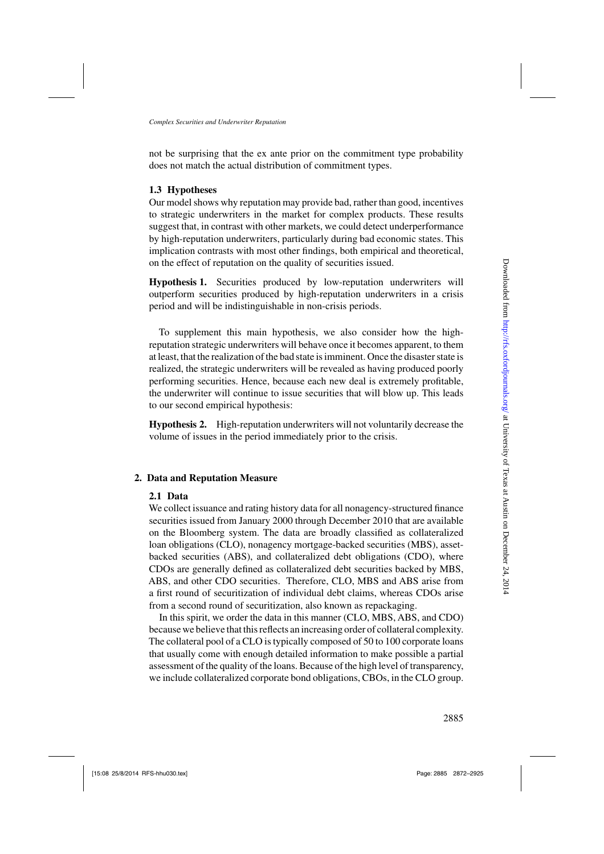not be surprising that the ex ante prior on the commitment type probability does not match the actual distribution of commitment types.

## **1.3 Hypotheses**

Our model shows why reputation may provide bad, rather than good, incentives to strategic underwriters in the market for complex products. These results suggest that, in contrast with other markets, we could detect underperformance by high-reputation underwriters, particularly during bad economic states. This implication contrasts with most other findings, both empirical and theoretical, on the effect of reputation on the quality of securities issued.

**Hypothesis 1.** Securities produced by low-reputation underwriters will outperform securities produced by high-reputation underwriters in a crisis period and will be indistinguishable in non-crisis periods.

To supplement this main hypothesis, we also consider how the highreputation strategic underwriters will behave once it becomes apparent, to them at least, that the realization of the bad state is imminent. Once the disaster state is realized, the strategic underwriters will be revealed as having produced poorly performing securities. Hence, because each new deal is extremely profitable, the underwriter will continue to issue securities that will blow up. This leads to our second empirical hypothesis:

**Hypothesis 2.** High-reputation underwriters will not voluntarily decrease the volume of issues in the period immediately prior to the crisis.

## **2. Data and Reputation Measure**

## **2.1 Data**

We collect issuance and rating history data for all nonagency-structured finance securities issued from January 2000 through December 2010 that are available on the Bloomberg system. The data are broadly classified as collateralized loan obligations (CLO), nonagency mortgage-backed securities (MBS), assetbacked securities (ABS), and collateralized debt obligations (CDO), where CDOs are generally defined as collateralized debt securities backed by MBS, ABS, and other CDO securities. Therefore, CLO, MBS and ABS arise from a first round of securitization of individual debt claims, whereas CDOs arise from a second round of securitization, also known as repackaging.

In this spirit, we order the data in this manner (CLO, MBS, ABS, and CDO) because we believe that this reflects an increasing order of collateral complexity. The collateral pool of a CLO is typically composed of 50 to 100 corporate loans that usually come with enough detailed information to make possible a partial assessment of the quality of the loans. Because of the high level of transparency, we include collateralized corporate bond obligations, CBOs, in the CLO group.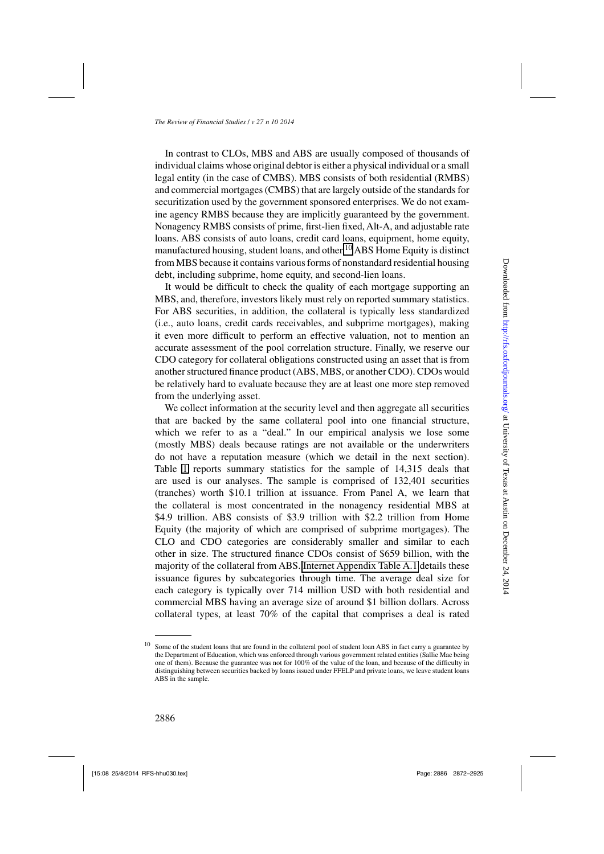In contrast to CLOs, MBS and ABS are usually composed of thousands of individual claims whose original debtor is either a physical individual or a small legal entity (in the case of CMBS). MBS consists of both residential (RMBS) and commercial mortgages (CMBS) that are largely outside of the standards for securitization used by the government sponsored enterprises. We do not examine agency RMBS because they are implicitly guaranteed by the government. Nonagency RMBS consists of prime, first-lien fixed, Alt-A, and adjustable rate loans. ABS consists of auto loans, credit card loans, equipment, home equity, manufactured housing, student loans, and other.<sup>10</sup> ABS Home Equity is distinct from MBS because it contains various forms of nonstandard residential housing debt, including subprime, home equity, and second-lien loans.

It would be difficult to check the quality of each mortgage supporting an MBS, and, therefore, investors likely must rely on reported summary statistics. For ABS securities, in addition, the collateral is typically less standardized (i.e., auto loans, credit cards receivables, and subprime mortgages), making it even more difficult to perform an effective valuation, not to mention an accurate assessment of the pool correlation structure. Finally, we reserve our CDO category for collateral obligations constructed using an asset that is from another structured finance product (ABS, MBS, or another CDO). CDOs would be relatively hard to evaluate because they are at least one more step removed from the underlying asset.

We collect information at the security level and then aggregate all securities that are backed by the same collateral pool into one financial structure, which we refer to as a "deal." In our empirical analysis we lose some (mostly MBS) deals because ratings are not available or the underwriters do not have a reputation measure (which we detail in the next section). Table [1](#page-15-0) reports summary statistics for the sample of 14,315 deals that are used is our analyses. The sample is comprised of 132,401 securities (tranches) worth \$10.1 trillion at issuance. From Panel A, we learn that the collateral is most concentrated in the nonagency residential MBS at \$4.9 trillion. ABS consists of \$3.9 trillion with \$2.2 trillion from Home Equity (the majority of which are comprised of subprime mortgages). The CLO and CDO categories are considerably smaller and similar to each other in size. The structured finance CDOs consist of \$659 billion, with the majority of the collateral from ABS. [Internet Appendix Table A.1](http://rfs.oxfordjournals.org/lookup/suppl/doi:10.1093/rfs/hhu030/-/DC1) details these issuance figures by subcategories through time. The average deal size for each category is typically over 714 million USD with both residential and commercial MBS having an average size of around \$1 billion dollars. Across collateral types, at least 70% of the capital that comprises a deal is rated

<sup>&</sup>lt;sup>10</sup> Some of the student loans that are found in the collateral pool of student loan ABS in fact carry a guarantee by the Department of Education, which was enforced through various government related entities (Sallie Mae being one of them). Because the guarantee was not for 100% of the value of the loan, and because of the difficulty in distinguishing between securities backed by loans issued under FFELP and private loans, we leave student loans ABS in the sample.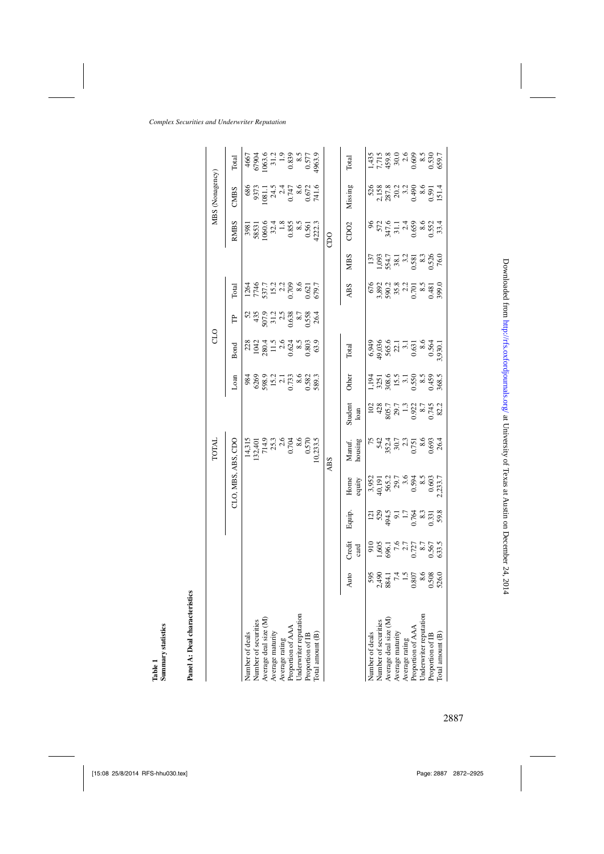|   | ٦<br>59<br>., |
|---|---------------|
| ⋍ | P             |
| ÷ | ═             |

<span id="page-15-0"></span>

| Summary statistics<br>Table 1       |                                                          |                                                               |                                                                                                                            |                                                         |                                                                                        |                                                                                                                       |                                                              |                                                                                                                                                     |                                                                                             |                                                                                                         |                                                                                                                   |                                                                                                             |                                                          |                                                                                           |
|-------------------------------------|----------------------------------------------------------|---------------------------------------------------------------|----------------------------------------------------------------------------------------------------------------------------|---------------------------------------------------------|----------------------------------------------------------------------------------------|-----------------------------------------------------------------------------------------------------------------------|--------------------------------------------------------------|-----------------------------------------------------------------------------------------------------------------------------------------------------|---------------------------------------------------------------------------------------------|---------------------------------------------------------------------------------------------------------|-------------------------------------------------------------------------------------------------------------------|-------------------------------------------------------------------------------------------------------------|----------------------------------------------------------|-------------------------------------------------------------------------------------------|
| Panel A: Deal characteristics       |                                                          |                                                               |                                                                                                                            |                                                         |                                                                                        |                                                                                                                       |                                                              |                                                                                                                                                     |                                                                                             |                                                                                                         |                                                                                                                   |                                                                                                             |                                                          |                                                                                           |
|                                     |                                                          |                                                               |                                                                                                                            |                                                         | <b>TOTAL</b>                                                                           |                                                                                                                       |                                                              | C10                                                                                                                                                 |                                                                                             |                                                                                                         |                                                                                                                   |                                                                                                             | MBS (Nonagency)                                          |                                                                                           |
|                                     |                                                          |                                                               |                                                                                                                            | CLO, MBS, ABS, CDO                                      |                                                                                        |                                                                                                                       | Loan                                                         | <b>Bond</b>                                                                                                                                         | È                                                                                           | <b>Total</b>                                                                                            |                                                                                                                   | <b>RMBS</b>                                                                                                 | <b>CMBS</b>                                              | Total                                                                                     |
| Number of deals                     |                                                          |                                                               |                                                                                                                            |                                                         |                                                                                        |                                                                                                                       |                                                              |                                                                                                                                                     |                                                                                             |                                                                                                         |                                                                                                                   |                                                                                                             |                                                          |                                                                                           |
| Number of securities                |                                                          |                                                               |                                                                                                                            |                                                         |                                                                                        |                                                                                                                       |                                                              |                                                                                                                                                     |                                                                                             |                                                                                                         |                                                                                                                   |                                                                                                             |                                                          |                                                                                           |
| Average deal size (M)               |                                                          |                                                               |                                                                                                                            |                                                         | 14,315<br>132,401<br>132,401<br>25.3<br>25.0<br>0.570<br>0.570<br>0.5733.5<br>0.0233.5 |                                                                                                                       | 984<br>6269<br>15.7133<br>15.7133<br>1582<br>1583            | $\begin{array}{c}\n 228 \\  \hline\n 1042 \\  \hline\n 2804 \\  \hline\n 1.5 \\  \hline\n 2.64 \\  \hline\n 3.803 \\  \hline\n 0.603\n \end{array}$ | $\begin{array}{c} 52 \\ 435 \\ 507.9 \\ 1.1 \\ 0.638 \\ 0.538 \\ 0.538 \\ 26.4 \end{array}$ | $\begin{array}{c} 1264 \\ 7746 \\ 537.7 \\ 15.2 \\ 2.2 \\ 0.709 \\ 8.6 \\ 0.621 \\ 0.679.7 \end{array}$ |                                                                                                                   | $\begin{array}{c} 3981 \\ 58531 \\ 1060.6 \\ 12.4 \\ 0.85 \\ 0.55 \\ 0.56 \\ 0.56 \\ 0.4223 \\ \end{array}$ | 686<br>9373<br>081.1<br>0.345<br>0.672<br>0.672<br>0.672 | 4667<br>67904<br>67904 31.2<br>0.339<br>1.339<br>0.577<br>0.577                           |
| Average maturity                    |                                                          |                                                               |                                                                                                                            |                                                         |                                                                                        |                                                                                                                       |                                                              |                                                                                                                                                     |                                                                                             |                                                                                                         |                                                                                                                   |                                                                                                             |                                                          |                                                                                           |
|                                     |                                                          |                                                               |                                                                                                                            |                                                         |                                                                                        |                                                                                                                       |                                                              |                                                                                                                                                     |                                                                                             |                                                                                                         |                                                                                                                   |                                                                                                             |                                                          |                                                                                           |
| Average rating<br>Proportion of AAA |                                                          |                                                               |                                                                                                                            |                                                         |                                                                                        |                                                                                                                       |                                                              |                                                                                                                                                     |                                                                                             |                                                                                                         |                                                                                                                   |                                                                                                             |                                                          |                                                                                           |
| Jnderwriter reputation              |                                                          |                                                               |                                                                                                                            |                                                         |                                                                                        |                                                                                                                       |                                                              |                                                                                                                                                     |                                                                                             |                                                                                                         |                                                                                                                   |                                                                                                             |                                                          |                                                                                           |
| Proportion of IB                    |                                                          |                                                               |                                                                                                                            |                                                         |                                                                                        |                                                                                                                       |                                                              |                                                                                                                                                     |                                                                                             |                                                                                                         |                                                                                                                   |                                                                                                             |                                                          |                                                                                           |
| Total amount (B)                    |                                                          |                                                               |                                                                                                                            |                                                         |                                                                                        |                                                                                                                       |                                                              |                                                                                                                                                     |                                                                                             |                                                                                                         |                                                                                                                   |                                                                                                             |                                                          |                                                                                           |
|                                     |                                                          |                                                               |                                                                                                                            |                                                         | ABS                                                                                    |                                                                                                                       |                                                              |                                                                                                                                                     |                                                                                             |                                                                                                         |                                                                                                                   | g                                                                                                           |                                                          |                                                                                           |
|                                     | Auto                                                     | Credit                                                        | Equip.                                                                                                                     |                                                         | Manuf.                                                                                 | Student                                                                                                               | Other                                                        | Total                                                                                                                                               |                                                                                             | ABS                                                                                                     | <b>MBS</b>                                                                                                        | CDO2                                                                                                        | Missing                                                  | Total                                                                                     |
|                                     |                                                          | card                                                          |                                                                                                                            | Home<br>equity                                          | housing                                                                                | loan                                                                                                                  |                                                              |                                                                                                                                                     |                                                                                             |                                                                                                         |                                                                                                                   |                                                                                                             |                                                          |                                                                                           |
| Number of deals                     |                                                          |                                                               |                                                                                                                            |                                                         |                                                                                        |                                                                                                                       |                                                              |                                                                                                                                                     |                                                                                             |                                                                                                         |                                                                                                                   |                                                                                                             |                                                          |                                                                                           |
| Number of securities                | 595<br>2,490<br>884.1<br>7.4 526.0<br>0.526.0<br>0.526.5 | 910<br>1,605<br>696.1<br>7.6 7.777<br>0.567<br>0.567<br>0.567 | $121$<br>$529$<br>$494.5$ $-1.7$<br>$-1.7$<br>$-1.7$<br>$-1.7$<br>$-1.3$<br>$-1.3$<br>$-1.3$<br>$-1.3$<br>$-1.3$<br>$-1.3$ | 3,952<br>40,191<br>565.2<br>5.395.0<br>8.595.0<br>0.603 | $75\n542\n542, 7\n30.7\n20\n30.7\n30.4\n20.4$                                          | $\begin{array}{c} 102 \\ 428 \\ 805.7 \\ 29.7 \\ 1.3 \\ 0.922 \\ 8.7 \\ 8.7 \\ 8.2 \\ 2.745 \\ 0.82.2 \\ \end{array}$ | 1,194<br>3251<br>308.6<br>30.550<br>30.459<br>0.550<br>308.5 | 6,949<br>0,036<br>565.6<br>22.1<br>3,056<br>0.564<br>0.564                                                                                          |                                                                                             | 676<br>3,892<br>590.2<br>590.3<br>3,8,2<br>0.7<br>0.4<br>0.3<br>0.3<br>0.3                              | $\begin{array}{c} 137 \\ 1,093 \\ 554.7 \\ 81.1 \\ 38.1 \\ 32.0 \\ 531. \\ 0.581 \\ 0.526 \\ 76.0 \\ \end{array}$ | 96<br>572<br>571 51 74<br>24 8 90<br>652 6<br>0.552                                                         | 526<br>2158 2021<br>32021<br>32021<br>3591<br>3511       | $1,435$<br>$7,715$<br>$459.8$<br>$30.0$<br>$2.6$<br>$8.5$<br>$8.5$<br>$0.530$<br>$0.59,7$ |
| Average deal size (M                |                                                          |                                                               |                                                                                                                            |                                                         |                                                                                        |                                                                                                                       |                                                              |                                                                                                                                                     |                                                                                             |                                                                                                         |                                                                                                                   |                                                                                                             |                                                          |                                                                                           |
| Average maturity                    |                                                          |                                                               |                                                                                                                            |                                                         |                                                                                        |                                                                                                                       |                                                              |                                                                                                                                                     |                                                                                             |                                                                                                         |                                                                                                                   |                                                                                                             |                                                          |                                                                                           |
| Average rating                      |                                                          |                                                               |                                                                                                                            |                                                         |                                                                                        |                                                                                                                       |                                                              |                                                                                                                                                     |                                                                                             |                                                                                                         |                                                                                                                   |                                                                                                             |                                                          |                                                                                           |
| Proportion of AAA                   |                                                          |                                                               |                                                                                                                            |                                                         |                                                                                        |                                                                                                                       |                                                              |                                                                                                                                                     |                                                                                             |                                                                                                         |                                                                                                                   |                                                                                                             |                                                          |                                                                                           |
| Underwriter reputation              |                                                          |                                                               |                                                                                                                            |                                                         |                                                                                        |                                                                                                                       |                                                              |                                                                                                                                                     |                                                                                             |                                                                                                         |                                                                                                                   |                                                                                                             |                                                          |                                                                                           |
| Proportion of IB                    |                                                          |                                                               |                                                                                                                            |                                                         |                                                                                        |                                                                                                                       |                                                              |                                                                                                                                                     |                                                                                             |                                                                                                         |                                                                                                                   |                                                                                                             |                                                          |                                                                                           |
| Total amount (B)                    |                                                          |                                                               |                                                                                                                            |                                                         |                                                                                        |                                                                                                                       |                                                              |                                                                                                                                                     |                                                                                             |                                                                                                         |                                                                                                                   |                                                                                                             |                                                          |                                                                                           |
|                                     |                                                          |                                                               |                                                                                                                            |                                                         |                                                                                        |                                                                                                                       |                                                              |                                                                                                                                                     |                                                                                             |                                                                                                         |                                                                                                                   |                                                                                                             |                                                          |                                                                                           |

## 2887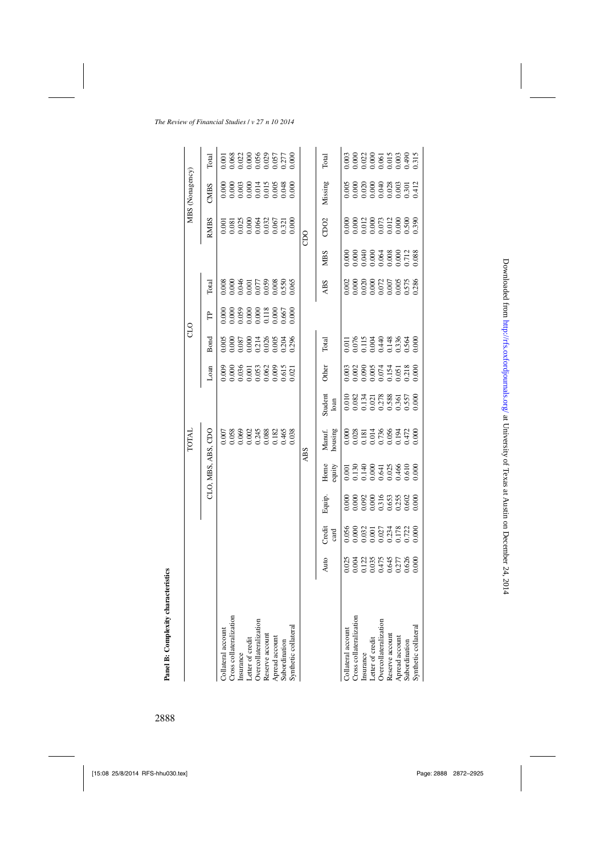|                                                                                                                                             |                                                        |                                                   |                                                              |                    | <b>INTOI</b>                                                                       |         |                                                           | C<br>U      |   |                                                               |            |                                                             | MBS (Nonagency)                                                    |                                                                             |
|---------------------------------------------------------------------------------------------------------------------------------------------|--------------------------------------------------------|---------------------------------------------------|--------------------------------------------------------------|--------------------|------------------------------------------------------------------------------------|---------|-----------------------------------------------------------|-------------|---|---------------------------------------------------------------|------------|-------------------------------------------------------------|--------------------------------------------------------------------|-----------------------------------------------------------------------------|
|                                                                                                                                             |                                                        |                                                   |                                                              | CLO, MBS, ABS, CDO |                                                                                    |         | Loan                                                      | <b>Bond</b> | Ê | <b>Total</b>                                                  |            | RMBS                                                        | CMBS                                                               | Total                                                                       |
|                                                                                                                                             |                                                        |                                                   |                                                              |                    |                                                                                    |         |                                                           |             |   |                                                               |            |                                                             |                                                                    |                                                                             |
| Collateral account<br>Cross collateralization                                                                                               |                                                        |                                                   |                                                              |                    | 0.007<br>0.058<br>0.00245<br>0.038<br>0.038<br>0.038                               |         | 0.009<br>0.00010033<br>0.001333<br>0.00000001515<br>0.021 |             |   | 0.008<br>0.000100177<br>0.001777<br>0.00890.008<br>0.00590.00 |            | 0.001<br>0.025<br>0.0264<br>0.032<br>0.057<br>0.000         |                                                                    | 001<br>0.003 0.000<br>0.000 0.000 0.000<br>0.000 0.000 0.000<br>0.000 0.000 |
| Insurance<br>Letter of credit<br>Overcollateralization                                                                                      |                                                        |                                                   |                                                              |                    |                                                                                    |         |                                                           |             |   |                                                               |            |                                                             |                                                                    |                                                                             |
|                                                                                                                                             |                                                        |                                                   |                                                              |                    |                                                                                    |         |                                                           |             |   |                                                               |            |                                                             |                                                                    |                                                                             |
|                                                                                                                                             |                                                        |                                                   |                                                              |                    |                                                                                    |         |                                                           |             |   |                                                               |            |                                                             |                                                                    |                                                                             |
|                                                                                                                                             |                                                        |                                                   |                                                              |                    |                                                                                    |         |                                                           |             |   |                                                               |            |                                                             |                                                                    |                                                                             |
| Reserve account<br>Apread account                                                                                                           |                                                        |                                                   |                                                              |                    |                                                                                    |         |                                                           |             |   |                                                               |            |                                                             |                                                                    |                                                                             |
| Subordination                                                                                                                               |                                                        |                                                   |                                                              |                    |                                                                                    |         |                                                           |             |   |                                                               |            |                                                             |                                                                    |                                                                             |
| Synthetic collateral                                                                                                                        |                                                        |                                                   |                                                              |                    |                                                                                    |         |                                                           |             |   |                                                               |            |                                                             |                                                                    |                                                                             |
|                                                                                                                                             |                                                        |                                                   |                                                              | ABS                |                                                                                    |         |                                                           |             |   |                                                               |            | CDO <sub>0</sub>                                            |                                                                    |                                                                             |
|                                                                                                                                             | Auto                                                   | Credit                                            | Equip.                                                       | Home               | Manuf.                                                                             | Student | Other                                                     | Total       |   | <b>ABS</b>                                                    | <b>MBS</b> | CDO2                                                        | Missing                                                            | Total                                                                       |
|                                                                                                                                             |                                                        | card                                              |                                                              | squity             | housing                                                                            | loan    |                                                           |             |   |                                                               |            |                                                             |                                                                    |                                                                             |
| Collateral account                                                                                                                          |                                                        |                                                   |                                                              |                    |                                                                                    |         |                                                           |             |   |                                                               |            |                                                             |                                                                    |                                                                             |
| Cross collateralization<br>Insurance<br>Letter of credit<br>Deverollateralization<br>Rowellateralization<br>Apread account<br>Subordination | 0.025<br>0.00475<br>0.035<br>0.645<br>0.02775<br>0.000 | 0.056<br>0.003234<br>0.001234<br>0.02734<br>0.000 | 000<br>0.000 0.000<br>0.000 0.000 0.000<br>0.000 0.000 0.000 |                    | 000.000<br>0.013 13 13 13 14<br>0.05 15 15 16 16 17 17 18<br>0.000.000.000.000.000 |         | 0.003<br>0.003<br>0.005<br>0.01513<br>0.000<br>0.000      |             |   |                                                               |            | 0.000<br>0.000 0.012<br>0.000 0.012<br>0.000 0.000<br>0.390 | 005<br>0.000 0.000 0.000<br>0.000 0.000 0.000<br>0.000 0.000 0.000 |                                                                             |
|                                                                                                                                             |                                                        |                                                   |                                                              |                    |                                                                                    |         |                                                           |             |   |                                                               |            |                                                             |                                                                    |                                                                             |
|                                                                                                                                             |                                                        |                                                   |                                                              |                    |                                                                                    |         |                                                           |             |   |                                                               |            |                                                             |                                                                    |                                                                             |
|                                                                                                                                             |                                                        |                                                   |                                                              |                    |                                                                                    |         |                                                           |             |   |                                                               |            |                                                             |                                                                    |                                                                             |
|                                                                                                                                             |                                                        |                                                   |                                                              |                    |                                                                                    |         |                                                           |             |   |                                                               |            |                                                             |                                                                    |                                                                             |
|                                                                                                                                             |                                                        |                                                   |                                                              |                    |                                                                                    |         |                                                           |             |   |                                                               |            |                                                             |                                                                    |                                                                             |
|                                                                                                                                             |                                                        |                                                   |                                                              |                    |                                                                                    |         |                                                           |             |   |                                                               |            |                                                             |                                                                    |                                                                             |
| Synthetic collateral                                                                                                                        |                                                        |                                                   |                                                              |                    |                                                                                    |         |                                                           |             |   |                                                               |            |                                                             |                                                                    |                                                                             |
|                                                                                                                                             |                                                        |                                                   |                                                              |                    |                                                                                    |         |                                                           |             |   |                                                               |            |                                                             |                                                                    |                                                                             |

Panel B: Complexity characteristics **Panel B: Complexity characteristics**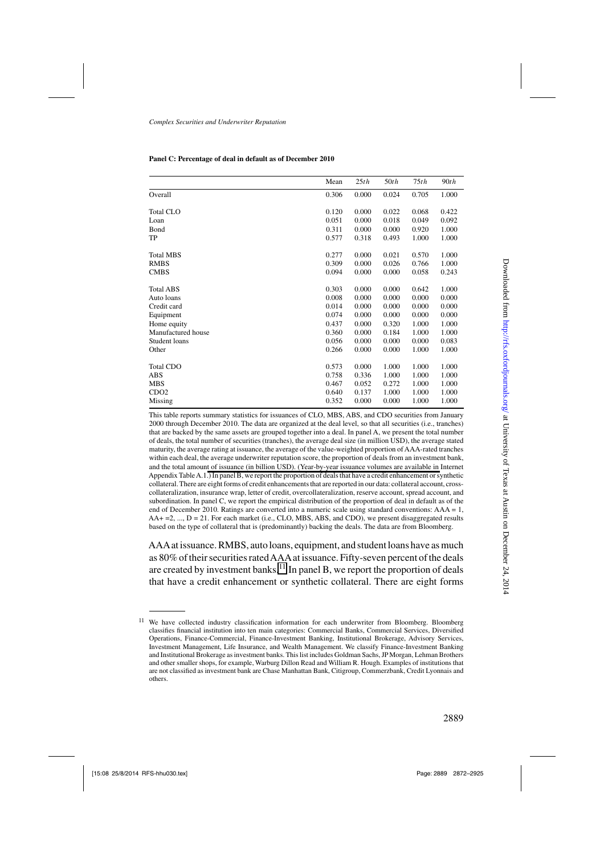#### **Panel C: Percentage of deal in default as of December 2010**

|                    | Mean  | 25th  | 50th  | 75th  | 90th  |
|--------------------|-------|-------|-------|-------|-------|
| Overall            | 0.306 | 0.000 | 0.024 | 0.705 | 1.000 |
| <b>Total CLO</b>   | 0.120 | 0.000 | 0.022 | 0.068 | 0.422 |
| Loan               | 0.051 | 0.000 | 0.018 | 0.049 | 0.092 |
| Bond               | 0.311 | 0.000 | 0.000 | 0.920 | 1.000 |
| TP                 | 0.577 | 0.318 | 0.493 | 1.000 | 1.000 |
| <b>Total MBS</b>   | 0.277 | 0.000 | 0.021 | 0.570 | 1.000 |
| <b>RMBS</b>        | 0.309 | 0.000 | 0.026 | 0.766 | 1.000 |
| <b>CMBS</b>        | 0.094 | 0.000 | 0.000 | 0.058 | 0.243 |
| <b>Total ABS</b>   | 0.303 | 0.000 | 0.000 | 0.642 | 1.000 |
| Auto loans         | 0.008 | 0.000 | 0.000 | 0.000 | 0.000 |
| Credit card        | 0.014 | 0.000 | 0.000 | 0.000 | 0.000 |
| Equipment          | 0.074 | 0.000 | 0.000 | 0.000 | 0.000 |
| Home equity        | 0.437 | 0.000 | 0.320 | 1.000 | 1.000 |
| Manufactured house | 0.360 | 0.000 | 0.184 | 1.000 | 1.000 |
| Student loans      | 0.056 | 0.000 | 0.000 | 0.000 | 0.083 |
| Other              | 0.266 | 0.000 | 0.000 | 1.000 | 1.000 |
| <b>Total CDO</b>   | 0.573 | 0.000 | 1.000 | 1.000 | 1.000 |
| ABS                | 0.758 | 0.336 | 1.000 | 1.000 | 1.000 |
| MBS                | 0.467 | 0.052 | 0.272 | 1.000 | 1.000 |
| CD <sub>O2</sub>   | 0.640 | 0.137 | 1.000 | 1.000 | 1.000 |
| Missing            | 0.352 | 0.000 | 0.000 | 1.000 | 1.000 |

This table reports summary statistics for issuances of CLO, MBS, ABS, and CDO securities from January 2000 through December 2010. The data are organized at the deal level, so that all securities (i.e., tranches) that are backed by the same assets are grouped together into a deal. In panel A, we present the total number of deals, the total number of securities (tranches), the average deal size (in million USD), the average stated maturity, the average rating at issuance, the average of the value-weighted proportion of AAA-rated tranches within each deal, the average underwriter reputation score, the proportion of deals from an investment bank, and the total amount of issuance (in billion USD). (Year-by-year issuance volumes are available in Internet Appendix TableA.1.) In panel B, we report the proportion of deals that have a credit enhancement or synthetic collateral. There are eight forms of credit enhancements that are reported in our data: collateral account, crosscollateralization, insurance wrap, letter of credit, overcollateralization, reserve account, spread account, and subordination. In panel C, we report the empirical distribution of the proportion of deal in default as of the end of December 2010. Ratings are converted into a numeric scale using standard conventions: AAA = 1,  $AA + =2$ , ...,  $D = 21$ . For each market (i.e., CLO, MBS, ABS, and CDO), we present disaggregated results based on the type of collateral that is (predominantly) backing the deals. The data are from Bloomberg.

AAAat issuance. RMBS, auto loans, equipment, and student loans have as much as 80% of their securities ratedAAAat issuance. Fifty-seven percent of the deals are created by investment banks.<sup>11</sup> In panel B, we report the proportion of deals that have a credit enhancement or synthetic collateral. There are eight forms

<sup>&</sup>lt;sup>11</sup> We have collected industry classification information for each underwriter from Bloomberg. Bloomberg classifies financial institution into ten main categories: Commercial Banks, Commercial Services, Diversified Operations, Finance-Commercial, Finance-Investment Banking, Institutional Brokerage, Advisory Services, Investment Management, Life Insurance, and Wealth Management. We classify Finance-Investment Banking and Institutional Brokerage as investment banks. This list includes Goldman Sachs, JPMorgan, Lehman Brothers and other smaller shops, for example, Warburg Dillon Read and William R. Hough. Examples of institutions that are not classified as investment bank are Chase Manhattan Bank, Citigroup, Commerzbank, Credit Lyonnais and others.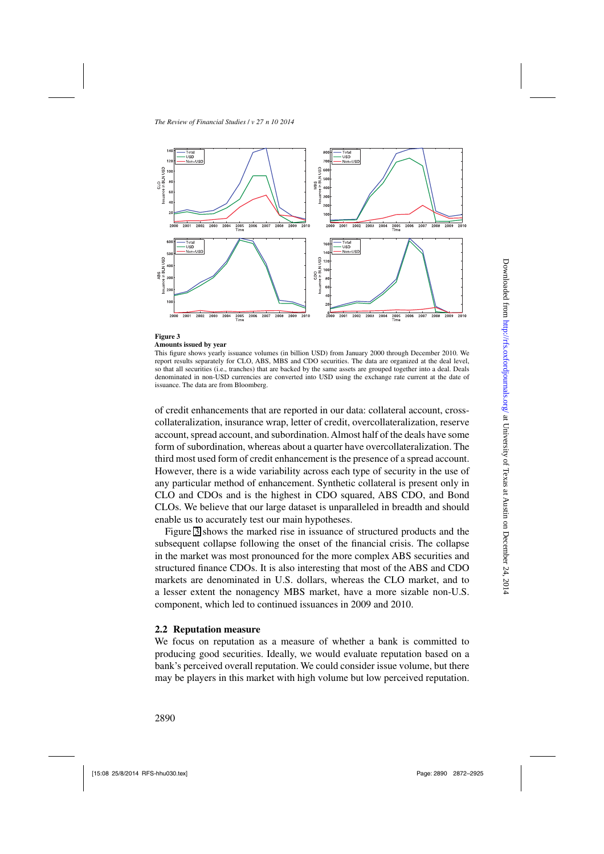

#### **Figure 3 Amounts issued by year**

This figure shows yearly issuance volumes (in billion USD) from January 2000 through December 2010. We report results separately for CLO, ABS, MBS and CDO securities. The data are organized at the deal level, so that all securities (i.e., tranches) that are backed by the same assets are grouped together into a deal. Deals denominated in non-USD currencies are converted into USD using the exchange rate current at the date of issuance. The data are from Bloomberg.

of credit enhancements that are reported in our data: collateral account, crosscollateralization, insurance wrap, letter of credit, overcollateralization, reserve account, spread account, and subordination. Almost half of the deals have some form of subordination, whereas about a quarter have overcollateralization. The third most used form of credit enhancement is the presence of a spread account. However, there is a wide variability across each type of security in the use of any particular method of enhancement. Synthetic collateral is present only in CLO and CDOs and is the highest in CDO squared, ABS CDO, and Bond CLOs. We believe that our large dataset is unparalleled in breadth and should enable us to accurately test our main hypotheses.

Figure 3 shows the marked rise in issuance of structured products and the subsequent collapse following the onset of the financial crisis. The collapse in the market was most pronounced for the more complex ABS securities and structured finance CDOs. It is also interesting that most of the ABS and CDO markets are denominated in U.S. dollars, whereas the CLO market, and to a lesser extent the nonagency MBS market, have a more sizable non-U.S. component, which led to continued issuances in 2009 and 2010.

## **2.2 Reputation measure**

We focus on reputation as a measure of whether a bank is committed to producing good securities. Ideally, we would evaluate reputation based on a bank's perceived overall reputation. We could consider issue volume, but there may be players in this market with high volume but low perceived reputation.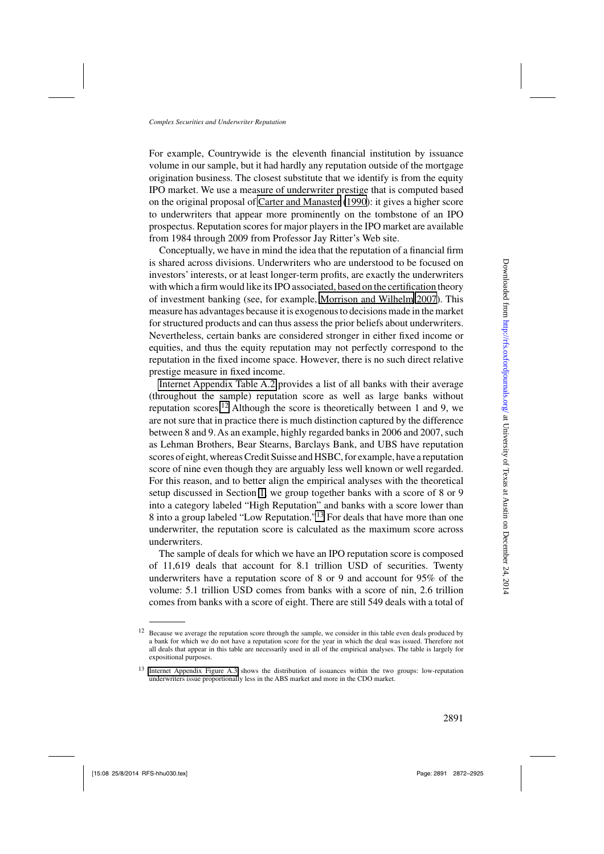For example, Countrywide is the eleventh financial institution by issuance volume in our sample, but it had hardly any reputation outside of the mortgage origination business. The closest substitute that we identify is from the equity IPO market. We use a measure of underwriter prestige that is computed based on the original proposal of [Carter and Manaster](#page-51-0) [\(1990\)](#page-51-0): it gives a higher score to underwriters that appear more prominently on the tombstone of an IPO prospectus. Reputation scores for major players in the IPO market are available from 1984 through 2009 from Professor Jay Ritter's Web site.

Conceptually, we have in mind the idea that the reputation of a financial firm is shared across divisions. Underwriters who are understood to be focused on investors' interests, or at least longer-term profits, are exactly the underwriters with which a firm would like its IPO associated, based on the certification theory of investment banking (see, for example, [Morrison and Wilhelm 2007](#page-52-0)). This measure has advantages because it is exogenous to decisions made in the market for structured products and can thus assess the prior beliefs about underwriters. Nevertheless, certain banks are considered stronger in either fixed income or equities, and thus the equity reputation may not perfectly correspond to the reputation in the fixed income space. However, there is no such direct relative prestige measure in fixed income.

[Internet Appendix Table A.2](http://rfs.oxfordjournals.org/lookup/suppl/doi:10.1093/rfs/hhu030/-/DC1) provides a list of all banks with their average (throughout the sample) reputation score as well as large banks without reputation scores.<sup>12</sup> Although the score is theoretically between 1 and 9, we are not sure that in practice there is much distinction captured by the difference between 8 and 9. As an example, highly regarded banks in 2006 and 2007, such as Lehman Brothers, Bear Stearns, Barclays Bank, and UBS have reputation scores of eight, whereas Credit Suisse and HSBC, for example, have a reputation score of nine even though they are arguably less well known or well regarded. For this reason, and to better align the empirical analyses with the theoretical setup discussed in Section [1,](#page-4-0) we group together banks with a score of 8 or 9 into a category labeled "High Reputation" and banks with a score lower than 8 into a group labeled "Low Reputation."<sup>13</sup> For deals that have more than one underwriter, the reputation score is calculated as the maximum score across underwriters.

The sample of deals for which we have an IPO reputation score is composed of 11,619 deals that account for 8.1 trillion USD of securities. Twenty underwriters have a reputation score of 8 or 9 and account for 95% of the volume: 5.1 trillion USD comes from banks with a score of nin, 2.6 trillion comes from banks with a score of eight. There are still 549 deals with a total of

<sup>&</sup>lt;sup>12</sup> Because we average the reputation score through the sample, we consider in this table even deals produced by a bank for which we do not have a reputation score for the year in which the deal was issued. Therefore not all deals that appear in this table are necessarily used in all of the empirical analyses. The table is largely for expositional purposes.

<sup>13</sup> [Internet Appendix Figure A.3](http://rfs.oxfordjournals.org/lookup/suppl/doi:10.1093/rfs/hhu030/-/DC1) shows the distribution of issuances within the two groups: low-reputation underwriters issue proportionally less in the ABS market and more in the CDO market.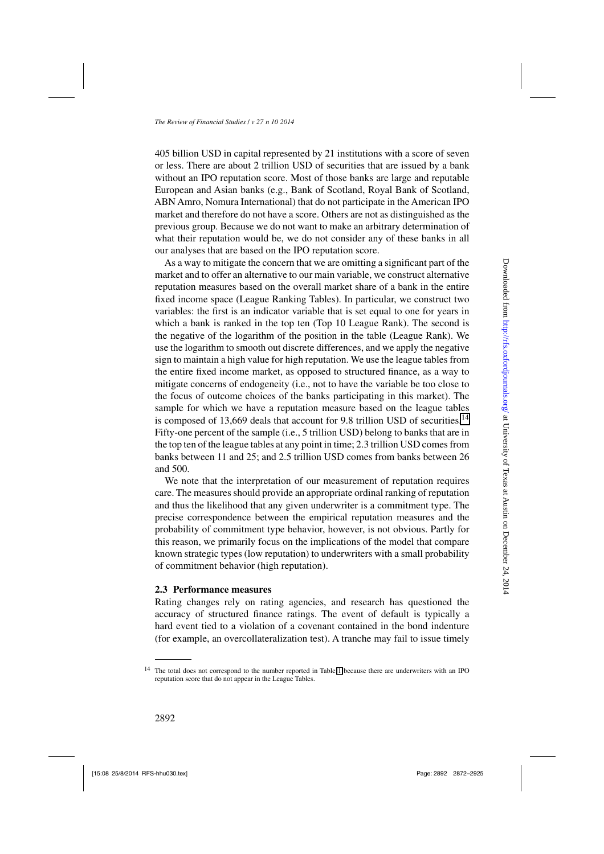405 billion USD in capital represented by 21 institutions with a score of seven or less. There are about 2 trillion USD of securities that are issued by a bank without an IPO reputation score. Most of those banks are large and reputable European and Asian banks (e.g., Bank of Scotland, Royal Bank of Scotland, ABN Amro, Nomura International) that do not participate in the American IPO market and therefore do not have a score. Others are not as distinguished as the previous group. Because we do not want to make an arbitrary determination of what their reputation would be, we do not consider any of these banks in all our analyses that are based on the IPO reputation score.

As a way to mitigate the concern that we are omitting a significant part of the market and to offer an alternative to our main variable, we construct alternative reputation measures based on the overall market share of a bank in the entire fixed income space (League Ranking Tables). In particular, we construct two variables: the first is an indicator variable that is set equal to one for years in which a bank is ranked in the top ten (Top 10 League Rank). The second is the negative of the logarithm of the position in the table (League Rank). We use the logarithm to smooth out discrete differences, and we apply the negative sign to maintain a high value for high reputation. We use the league tables from the entire fixed income market, as opposed to structured finance, as a way to mitigate concerns of endogeneity (i.e., not to have the variable be too close to the focus of outcome choices of the banks participating in this market). The sample for which we have a reputation measure based on the league tables is composed of 13,669 deals that account for 9.8 trillion USD of securities.<sup>14</sup> Fifty-one percent of the sample (i.e., 5 trillion USD) belong to banks that are in the top ten of the league tables at any point in time; 2.3 trillion USD comes from banks between 11 and 25; and 2.5 trillion USD comes from banks between 26 and 500.

We note that the interpretation of our measurement of reputation requires care. The measures should provide an appropriate ordinal ranking of reputation and thus the likelihood that any given underwriter is a commitment type. The precise correspondence between the empirical reputation measures and the probability of commitment type behavior, however, is not obvious. Partly for this reason, we primarily focus on the implications of the model that compare known strategic types (low reputation) to underwriters with a small probability of commitment behavior (high reputation).

## **2.3 Performance measures**

Rating changes rely on rating agencies, and research has questioned the accuracy of structured finance ratings. The event of default is typically a hard event tied to a violation of a covenant contained in the bond indenture (for example, an overcollateralization test). A tranche may fail to issue timely

<sup>14</sup> The total does not correspond to the number reported in Table [1](#page-15-0) because there are underwriters with an IPO reputation score that do not appear in the League Tables.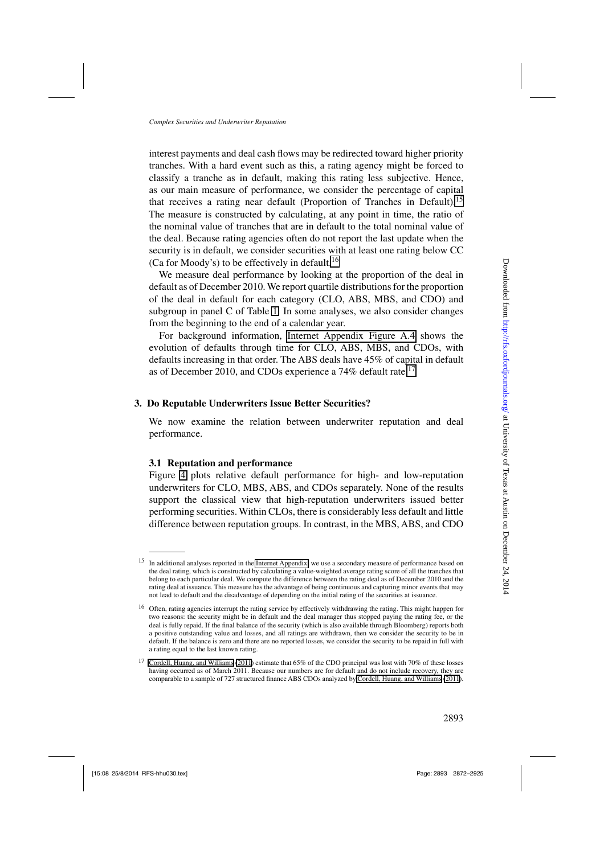interest payments and deal cash flows may be redirected toward higher priority tranches. With a hard event such as this, a rating agency might be forced to classify a tranche as in default, making this rating less subjective. Hence, as our main measure of performance, we consider the percentage of capital that receives a rating near default (Proportion of Tranches in Default).<sup>15</sup> The measure is constructed by calculating, at any point in time, the ratio of the nominal value of tranches that are in default to the total nominal value of the deal. Because rating agencies often do not report the last update when the security is in default, we consider securities with at least one rating below CC (Ca for Moody's) to be effectively in default.<sup>16</sup>

We measure deal performance by looking at the proportion of the deal in default as of December 2010. We report quartile distributions for the proportion of the deal in default for each category (CLO, ABS, MBS, and CDO) and subgroup in panel C of Table [1.](#page-15-0) In some analyses, we also consider changes from the beginning to the end of a calendar year.

For background information, [Internet Appendix Figure A.4](http://rfs.oxfordjournals.org/lookup/suppl/doi:10.1093/rfs/hhu030/-/DC1) shows the evolution of defaults through time for CLO, ABS, MBS, and CDOs, with defaults increasing in that order. The ABS deals have 45% of capital in default as of December 2010, and CDOs experience a 74% default rate.<sup>17</sup>

## **3. Do Reputable Underwriters Issue Better Securities?**

We now examine the relation between underwriter reputation and deal performance.

## **3.1 Reputation and performance**

Figure [4](#page-22-0) plots relative default performance for high- and low-reputation underwriters for CLO, MBS, ABS, and CDOs separately. None of the results support the classical view that high-reputation underwriters issued better performing securities. Within CLOs, there is considerably less default and little difference between reputation groups. In contrast, in the MBS, ABS, and CDO

<sup>&</sup>lt;sup>15</sup> In additional analyses reported in the [Internet Appendix,](http://rfs.oxfordjournals.org/lookup/suppl/doi:10.1093/rfs/hhu030/-/DC1) we use a secondary measure of performance based on the deal rating, which is constructed by calculating a value-weighted average rating score of all the tranches that belong to each particular deal. We compute the difference between the rating deal as of December 2010 and the rating deal at issuance. This measure has the advantage of being continuous and capturing minor events that may not lead to default and the disadvantage of depending on the initial rating of the securities at issuance.

<sup>&</sup>lt;sup>16</sup> Often, rating agencies interrupt the rating service by effectively withdrawing the rating. This might happen for two reasons: the security might be in default and the deal manager thus stopped paying the rating fee, or the deal is fully repaid. If the final balance of the security (which is also available through Bloomberg) reports both a positive outstanding value and losses, and all ratings are withdrawn, then we consider the security to be in default. If the balance is zero and there are no reported losses, we consider the security to be repaid in full with a rating equal to the last known rating.

<sup>17</sup> [Cordell, Huang, and Williams](#page-51-0) [\(2011\)](#page-51-0) estimate that 65% of the CDO principal was lost with 70% of these losses having occurred as of March 2011. Because our numbers are for default and do not include recovery, they are comparable to a sample of 727 structured finance ABS CDOs analyzed by [Cordell, Huang, and Williams](#page-51-0) [\(2011](#page-51-0)).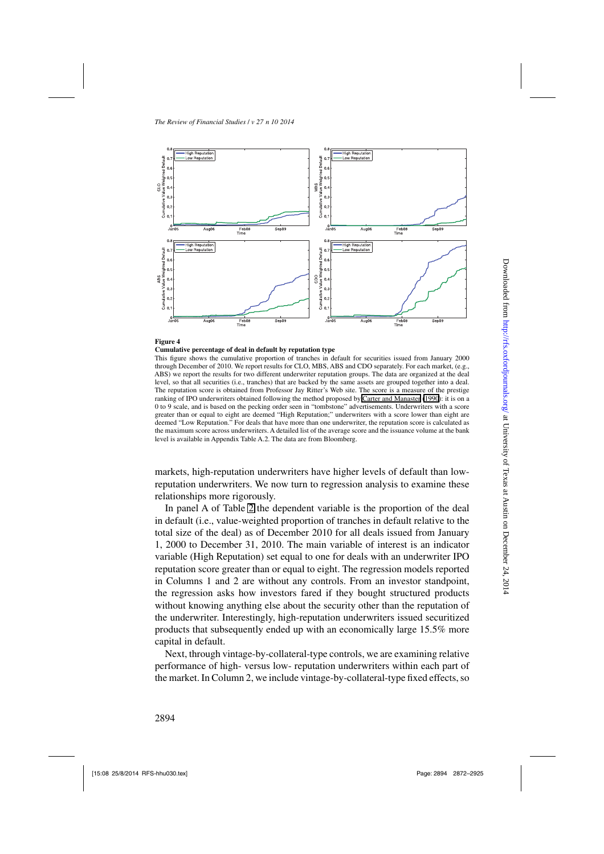<span id="page-22-0"></span>

#### **Figure 4**

#### **Cumulative percentage of deal in default by reputation type**

This figure shows the cumulative proportion of tranches in default for securities issued from January 2000 through December of 2010. We report results for CLO, MBS, ABS and CDO separately. For each market, (e.g., ABS) we report the results for two different underwriter reputation groups. The data are organized at the deal level, so that all securities (i.e., tranches) that are backed by the same assets are grouped together into a deal. The reputation score is obtained from Professor Jay Ritter's Web site. The score is a measure of the prestige ranking of IPO underwriters obtained following the method proposed by [Carter and Manaster](#page-51-0) [\(1990](#page-51-0)): it is on a 0 to 9 scale, and is based on the pecking order seen in "tombstone" advertisements. Underwriters with a score greater than or equal to eight are deemed "High Reputation;" underwriters with a score lower than eight are deemed "Low Reputation." For deals that have more than one underwriter, the reputation score is calculated as the maximum score across underwriters. A detailed list of the average score and the issuance volume at the bank level is available in Appendix Table A.2. The data are from Bloomberg.

markets, high-reputation underwriters have higher levels of default than lowreputation underwriters. We now turn to regression analysis to examine these relationships more rigorously.

In panel A of Table [2](#page-23-0) the dependent variable is the proportion of the deal in default (i.e., value-weighted proportion of tranches in default relative to the total size of the deal) as of December 2010 for all deals issued from January 1, 2000 to December 31, 2010. The main variable of interest is an indicator variable (High Reputation) set equal to one for deals with an underwriter IPO reputation score greater than or equal to eight. The regression models reported in Columns 1 and 2 are without any controls. From an investor standpoint, the regression asks how investors fared if they bought structured products without knowing anything else about the security other than the reputation of the underwriter. Interestingly, high-reputation underwriters issued securitized products that subsequently ended up with an economically large 15.5% more capital in default.

Next, through vintage-by-collateral-type controls, we are examining relative performance of high- versus low- reputation underwriters within each part of the market. In Column 2, we include vintage-by-collateral-type fixed effects, so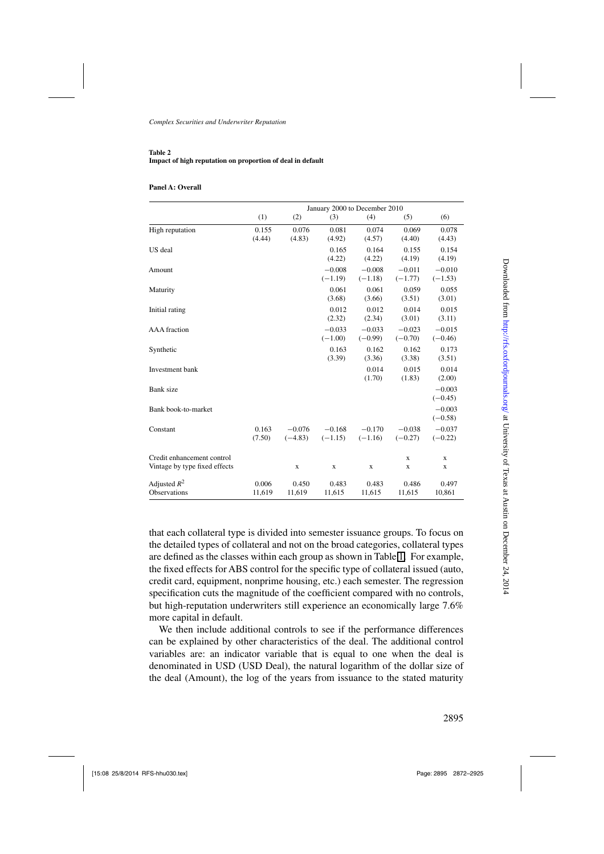#### <span id="page-23-0"></span>**Table 2 Impact of high reputation on proportion of deal in default**

#### **Panel A: Overall**

|                                                             |                 |                       |                       | January 2000 to December 2010 |                       |                       |
|-------------------------------------------------------------|-----------------|-----------------------|-----------------------|-------------------------------|-----------------------|-----------------------|
|                                                             | (1)             | (2)                   | (3)                   | (4)                           | (5)                   | (6)                   |
| High reputation                                             | 0.155<br>(4.44) | 0.076<br>(4.83)       | 0.081<br>(4.92)       | 0.074<br>(4.57)               | 0.069<br>(4.40)       | 0.078<br>(4.43)       |
| US deal                                                     |                 |                       | 0.165<br>(4.22)       | 0.164<br>(4.22)               | 0.155<br>(4.19)       | 0.154<br>(4.19)       |
| Amount                                                      |                 |                       | $-0.008$<br>$(-1.19)$ | $-0.008$<br>$(-1.18)$         | $-0.011$<br>$(-1.77)$ | $-0.010$<br>$(-1.53)$ |
| Maturity                                                    |                 |                       | 0.061<br>(3.68)       | 0.061<br>(3.66)               | 0.059<br>(3.51)       | 0.055<br>(3.01)       |
| Initial rating                                              |                 |                       | 0.012<br>(2.32)       | 0.012<br>(2.34)               | 0.014<br>(3.01)       | 0.015<br>(3.11)       |
| <b>AAA</b> fraction                                         |                 |                       | $-0.033$<br>$(-1.00)$ | $-0.033$<br>$(-0.99)$         | $-0.023$<br>$(-0.70)$ | $-0.015$<br>$(-0.46)$ |
| Synthetic                                                   |                 |                       | 0.163<br>(3.39)       | 0.162<br>(3.36)               | 0.162<br>(3.38)       | 0.173<br>(3.51)       |
| Investment bank                                             |                 |                       |                       | 0.014<br>(1.70)               | 0.015<br>(1.83)       | 0.014<br>(2.00)       |
| Bank size                                                   |                 |                       |                       |                               |                       | $-0.003$<br>$(-0.45)$ |
| Bank book-to-market                                         |                 |                       |                       |                               |                       | $-0.003$<br>$(-0.58)$ |
| Constant                                                    | 0.163<br>(7.50) | $-0.076$<br>$(-4.83)$ | $-0.168$<br>$(-1.15)$ | $-0.170$<br>$(-1.16)$         | $-0.038$<br>$(-0.27)$ | $-0.037$<br>$(-0.22)$ |
| Credit enhancement control<br>Vintage by type fixed effects |                 | $\mathbf X$           | $\mathbf x$           | X                             | X<br>X                | X<br>X                |
| Adjusted $R^2$<br>Observations                              | 0.006<br>11,619 | 0.450<br>11,619       | 0.483<br>11,615       | 0.483<br>11,615               | 0.486<br>11,615       | 0.497<br>10,861       |

that each collateral type is divided into semester issuance groups. To focus on the detailed types of collateral and not on the broad categories, collateral types are defined as the classes within each group as shown in Table [1.](#page-15-0) For example, the fixed effects for ABS control for the specific type of collateral issued (auto, credit card, equipment, nonprime housing, etc.) each semester. The regression specification cuts the magnitude of the coefficient compared with no controls, but high-reputation underwriters still experience an economically large 7.6% more capital in default.

We then include additional controls to see if the performance differences can be explained by other characteristics of the deal. The additional control variables are: an indicator variable that is equal to one when the deal is denominated in USD (USD Deal), the natural logarithm of the dollar size of the deal (Amount), the log of the years from issuance to the stated maturity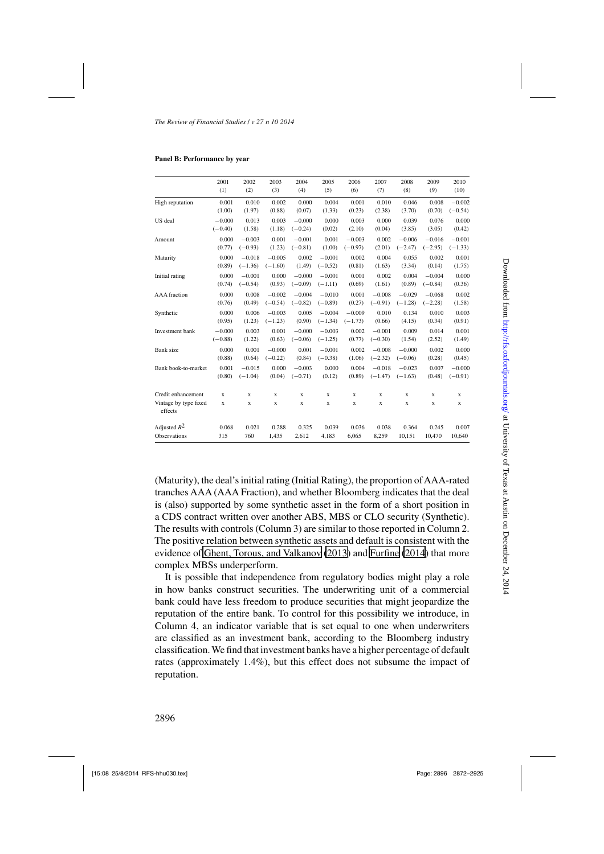|                                  | 2001            | 2002            | 2003                  | 2004                  | 2005                  | 2006            | 2007                  | 2008                  | 2009            | 2010            |
|----------------------------------|-----------------|-----------------|-----------------------|-----------------------|-----------------------|-----------------|-----------------------|-----------------------|-----------------|-----------------|
|                                  | (1)             | (2)             | (3)                   | (4)                   | (5)                   | (6)             | (7)                   | (8)                   | (9)             | (10)            |
| High reputation                  | 0.001           | 0.010           | 0.002                 | 0.000                 | 0.004                 | 0.001           | 0.010                 | 0.046                 | 0.008           | $-0.002$        |
|                                  | (1.00)          | (1.97)          | (0.88)                | (0.07)                | (1.33)                | (0.23)          | (2.38)                | (3.70)                | (0.70)          | $(-0.54)$       |
| US deal                          | $-0.000$        | 0.013           | 0.003                 | $-0.000$              | 0.000                 | 0.003           | 0.000                 | 0.039                 | 0.076           | 0.000           |
|                                  | $(-0.40)$       | (1.58)          | (1.18)                | $(-0.24)$             | (0.02)                | (2.10)          | (0.04)                | (3.85)                | (3.05)          | (0.42)          |
| Amount                           | 0.000           | $-0.003$        | 0.001                 | $-0.001$              | 0.001                 | $-0.003$        | 0.002                 | $-0.006$              | $-0.016$        | $-0.001$        |
|                                  | (0.77)          | $(-0.93)$       | (1.23)                | $(-0.81)$             | (1.00)                | $(-0.97)$       | (2.01)                | $(-2.47)$             | $(-2.95)$       | $(-1.33)$       |
| Maturity                         | 0.000           | $-0.018$        | $-0.005$              | 0.002                 | $-0.001$              | 0.002           | 0.004                 | 0.055                 | 0.002           | 0.001           |
|                                  | (0.89)          | $(-1.36)$       | $(-1.60)$             | (1.49)                | $(-0.52)$             | (0.81)          | (1.63)                | (3.34)                | (0.14)          | (1.75)          |
| Initial rating                   | 0.000           | $-0.001$        | 0.000                 | $-0.000$              | $-0.001$              | 0.001           | 0.002                 | 0.004                 | $-0.004$        | 0.000           |
|                                  | (0.74)          | $(-0.54)$       | (0.93)                | $(-0.09)$             | $(-1.11)$             | (0.69)          | (1.61)                | (0.89)                | $(-0.84)$       | (0.36)          |
| <b>AAA</b> fraction              | 0.000           | 0.008           | $-0.002$              | $-0.004$              | $-0.010$              | 0.001           | $-0.008$              | $-0.029$              | $-0.068$        | 0.002           |
|                                  | (0.76)          | (0.49)          | $(-0.54)$             | $(-0.82)$             | $(-0.89)$             | (0.27)          | $(-0.91)$             | $(-1.28)$             | $(-2.28)$       | (1.58)          |
| Synthetic                        | 0.000           | 0.006           | $-0.003$              | 0.005                 | $-0.004$              | $-0.009$        | 0.010                 | 0.134                 | 0.010           | 0.003           |
|                                  | (0.95)          | (1.23)          | $(-1.23)$             | (0.90)                | $(-1.34)$             | $(-1.73)$       | (0.66)                | (4.15)                | (0.34)          | (0.91)          |
| Investment bank                  | $-0.000$        | 0.003           | 0.001                 | $-0.000$              | $-0.003$              | 0.002           | $-0.001$              | 0.009                 | 0.014           | 0.001           |
|                                  | $(-0.88)$       | (1.22)          | (0.63)                | $(-0.06)$             | $(-1.25)$             | (0.77)          | $(-0.30)$             | (1.54)                | (2.52)          | (1.49)          |
| Bank size                        | 0.000<br>(0.88) | 0.001<br>(0.64) | $-0.000$<br>$(-0.22)$ | 0.001<br>(0.84)       | $-0.001$<br>$(-0.38)$ | 0.002<br>(1.06) | $-0.008$<br>$(-2.32)$ | $-0.000$<br>$(-0.06)$ | 0.002<br>(0.28) | 0.000<br>(0.45) |
|                                  | 0.001           | $-0.015$        | 0.000                 |                       | 0.000                 | 0.004           | $-0.018$              | $-0.023$              | 0.007           | $-0.000$        |
| Bank book-to-market              | (0.80)          | $(-1.04)$       | (0.04)                | $-0.003$<br>$(-0.71)$ | (0.12)                | (0.89)          | $(-1.47)$             | $(-1.63)$             | (0.48)          | $(-0.91)$       |
|                                  |                 |                 |                       |                       |                       |                 |                       |                       |                 |                 |
| Credit enhancement               | $\mathbf x$     | $\mathbf x$     | $\mathbf x$           | X                     | X                     | $\mathbf x$     | $\mathbf x$           | $\mathbf x$           | $\mathbf x$     | X               |
| Vintage by type fixed<br>effects | X               | $\mathbf x$     | $\mathbf x$           | x                     | x                     | $\mathbf x$     | $\mathbf x$           | $\mathbf x$           | $\mathbf x$     | X               |
| Adjusted $R^2$                   | 0.068           | 0.021           | 0.288                 | 0.325                 | 0.039                 | 0.036           | 0.038                 | 0.364                 | 0.245           | 0.007           |
| Observations                     | 315             | 760             | 1,435                 | 2,612                 | 4,183                 | 6,065           | 8,259                 | 10,151                | 10.470          | 10,640          |

#### **Panel B: Performance by year**

(Maturity), the deal's initial rating (Initial Rating), the proportion of AAA-rated tranches AAA (AAA Fraction), and whether Bloomberg indicates that the deal is (also) supported by some synthetic asset in the form of a short position in a CDS contract written over another ABS, MBS or CLO security (Synthetic). The results with controls (Column 3) are similar to those reported in Column 2. The positive relation between synthetic assets and default is consistent with the evidence of [Ghent, Torous, and Valkanov](#page-51-0) [\(2013\)](#page-51-0) and [Furfine](#page-51-0) [\(2014\)](#page-51-0) that more complex MBSs underperform.

It is possible that independence from regulatory bodies might play a role in how banks construct securities. The underwriting unit of a commercial bank could have less freedom to produce securities that might jeopardize the reputation of the entire bank. To control for this possibility we introduce, in Column 4, an indicator variable that is set equal to one when underwriters are classified as an investment bank, according to the Bloomberg industry classification.We find that investment banks have a higher percentage of default rates (approximately 1.4%), but this effect does not subsume the impact of reputation.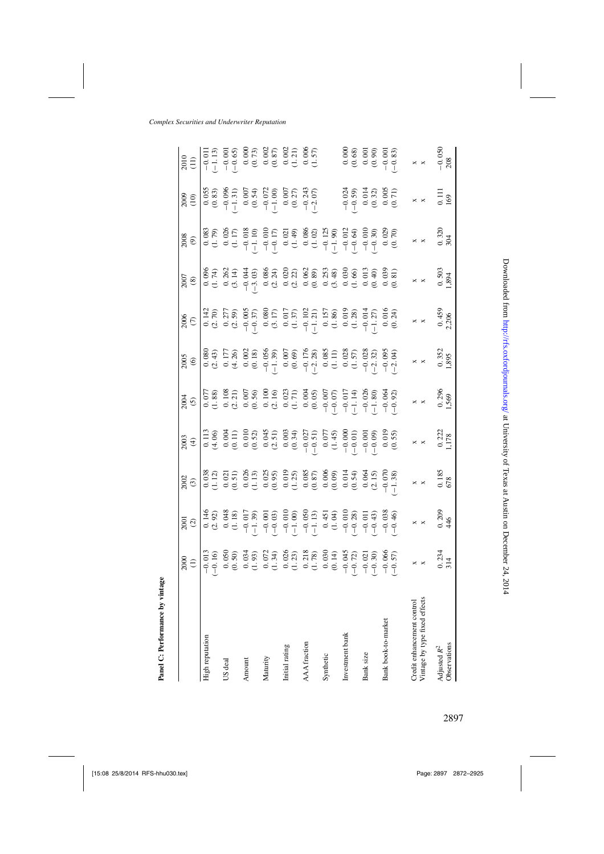| ŗ           |
|-------------|
|             |
|             |
| í           |
|             |
|             |
| i           |
|             |
| ٦           |
|             |
| 1           |
| J.<br>֚֚֚֚֓ |
|             |
|             |
|             |
| gut         |
| ć           |
|             |

| Panel C: Performance by                                     |                   |                  |                                                                                                                                                                                                                                      |                                                                                                                                                                                                                                                                                                               |                           |                                                                                                                                                                                                                                                                                                     |                                                                                                                                                                                                                                                                                                                                                                                                                                                           |                                               |                 |                                                                                                                                                                                                                                                                                                                   |                                           |
|-------------------------------------------------------------|-------------------|------------------|--------------------------------------------------------------------------------------------------------------------------------------------------------------------------------------------------------------------------------------|---------------------------------------------------------------------------------------------------------------------------------------------------------------------------------------------------------------------------------------------------------------------------------------------------------------|---------------------------|-----------------------------------------------------------------------------------------------------------------------------------------------------------------------------------------------------------------------------------------------------------------------------------------------------|-----------------------------------------------------------------------------------------------------------------------------------------------------------------------------------------------------------------------------------------------------------------------------------------------------------------------------------------------------------------------------------------------------------------------------------------------------------|-----------------------------------------------|-----------------|-------------------------------------------------------------------------------------------------------------------------------------------------------------------------------------------------------------------------------------------------------------------------------------------------------------------|-------------------------------------------|
|                                                             | $rac{1}{200}$     | $\frac{2001}{2}$ | $\frac{2002}{(3)}$                                                                                                                                                                                                                   | 2003                                                                                                                                                                                                                                                                                                          |                           |                                                                                                                                                                                                                                                                                                     |                                                                                                                                                                                                                                                                                                                                                                                                                                                           |                                               |                 | $2009$<br>$(10)$                                                                                                                                                                                                                                                                                                  | $\begin{matrix} 2010 \\ 111 \end{matrix}$ |
| High reputation                                             |                   |                  |                                                                                                                                                                                                                                      |                                                                                                                                                                                                                                                                                                               |                           |                                                                                                                                                                                                                                                                                                     |                                                                                                                                                                                                                                                                                                                                                                                                                                                           |                                               |                 |                                                                                                                                                                                                                                                                                                                   |                                           |
| US deal                                                     |                   |                  |                                                                                                                                                                                                                                      |                                                                                                                                                                                                                                                                                                               |                           |                                                                                                                                                                                                                                                                                                     |                                                                                                                                                                                                                                                                                                                                                                                                                                                           |                                               |                 |                                                                                                                                                                                                                                                                                                                   |                                           |
| Amount                                                      |                   |                  |                                                                                                                                                                                                                                      |                                                                                                                                                                                                                                                                                                               |                           |                                                                                                                                                                                                                                                                                                     |                                                                                                                                                                                                                                                                                                                                                                                                                                                           |                                               |                 |                                                                                                                                                                                                                                                                                                                   |                                           |
| Maturity                                                    |                   |                  |                                                                                                                                                                                                                                      |                                                                                                                                                                                                                                                                                                               |                           |                                                                                                                                                                                                                                                                                                     |                                                                                                                                                                                                                                                                                                                                                                                                                                                           |                                               |                 | $\begin{bmatrix} 1000000 \\ 000000 \\ -000000 \\ -100000 \\ -100000 \\ -100000 \\ -100000 \\ -100000 \\ -100000 \\ -100000 \\ -100000 \\ -100000 \\ -100000 \\ -100000 \\ -100000 \\ -100000 \\ -100000 \\ -100000 \\ -100000 \\ -100000 \\ -1000000 \\ -1000000 \\ -1000000 \\ -1000000 \\ -1000000 \\ -1000000$ |                                           |
| Initial rating                                              |                   |                  |                                                                                                                                                                                                                                      |                                                                                                                                                                                                                                                                                                               |                           |                                                                                                                                                                                                                                                                                                     |                                                                                                                                                                                                                                                                                                                                                                                                                                                           |                                               |                 |                                                                                                                                                                                                                                                                                                                   |                                           |
| <b>AAA</b> fraction                                         |                   |                  |                                                                                                                                                                                                                                      |                                                                                                                                                                                                                                                                                                               |                           |                                                                                                                                                                                                                                                                                                     |                                                                                                                                                                                                                                                                                                                                                                                                                                                           |                                               |                 |                                                                                                                                                                                                                                                                                                                   |                                           |
| Synthetic                                                   |                   |                  |                                                                                                                                                                                                                                      |                                                                                                                                                                                                                                                                                                               |                           |                                                                                                                                                                                                                                                                                                     |                                                                                                                                                                                                                                                                                                                                                                                                                                                           |                                               |                 |                                                                                                                                                                                                                                                                                                                   |                                           |
| Investment bank                                             |                   |                  |                                                                                                                                                                                                                                      |                                                                                                                                                                                                                                                                                                               |                           |                                                                                                                                                                                                                                                                                                     |                                                                                                                                                                                                                                                                                                                                                                                                                                                           |                                               |                 |                                                                                                                                                                                                                                                                                                                   |                                           |
| Bank size                                                   |                   |                  |                                                                                                                                                                                                                                      |                                                                                                                                                                                                                                                                                                               |                           |                                                                                                                                                                                                                                                                                                     |                                                                                                                                                                                                                                                                                                                                                                                                                                                           |                                               |                 |                                                                                                                                                                                                                                                                                                                   |                                           |
| Bank book-to-market                                         |                   |                  | e construction de la construction de la construction de la construction de la construction de la construction<br>1990: Se construction de la construction de la construction de la construction de la construction de la constr<br>1 | $\begin{array}{l} 1196 \\ 1296 \\ 1396 \\ 1496 \\ 1596 \\ 1696 \\ 1696 \\ 1696 \\ 1696 \\ 1696 \\ 1696 \\ 1696 \\ 1696 \\ 1696 \\ 1696 \\ 1696 \\ 1696 \\ 1696 \\ 1696 \\ 1696 \\ 1696 \\ 1696 \\ 1696 \\ 1696 \\ 1696 \\ 1696 \\ 1696 \\ 1696 \\ 1696 \\ 1696 \\ 1696 \\ 1696 \\ 1696 \\ 1696 \\ 1696 \\ 16$ |                           | $\begin{array}{r} 0.866 \\ 0.867 \\ 0.868 \\ 0.008 \\ 0.008 \\ 0.008 \\ 0.008 \\ 0.008 \\ 0.008 \\ 0.008 \\ 0.008 \\ 0.008 \\ 0.008 \\ 0.008 \\ 0.008 \\ 0.008 \\ 0.008 \\ 0.008 \\ 0.008 \\ 0.008 \\ 0.008 \\ 0.008 \\ 0.008 \\ 0.008 \\ 0.008 \\ 0.008 \\ 0.008 \\ 0.008 \\ 0.008 \\ 0.008 \\ 0.$ | $\frac{1}{20} \times \frac{1}{20} \times \frac{1}{20} \times \frac{1}{20} \times \frac{1}{20} \times \frac{1}{20} \times \frac{1}{20} \times \frac{1}{20} \times \frac{1}{20} \times \frac{1}{20} \times \frac{1}{20} \times \frac{1}{20} \times \frac{1}{20} \times \frac{1}{20} \times \frac{1}{20} \times \frac{1}{20} \times \frac{1}{20} \times \frac{1}{20} \times \frac{1}{20} \times \frac{1}{20} \times \frac{1}{20} \times \frac{1}{20} \times$ |                                               |                 | $-0.024$<br>$(-0.59)$<br>0.014<br>0.05<br>0.005<br>0.005                                                                                                                                                                                                                                                          |                                           |
| Vintage by type fixed effects<br>Credit enhancement control | $\times$ $\times$ | $x \times 0.209$ | $\times$ $\times$                                                                                                                                                                                                                    |                                                                                                                                                                                                                                                                                                               |                           |                                                                                                                                                                                                                                                                                                     |                                                                                                                                                                                                                                                                                                                                                                                                                                                           | $\times$ $\times$                             | $*$ $*$ $0.320$ | $\times$                                                                                                                                                                                                                                                                                                          | $\times$ $\times$                         |
| Observations<br>Adjusted $R^2$                              | $0.234$<br>314    |                  | $\frac{0.185}{678}$                                                                                                                                                                                                                  | $x \times 0.222$<br>1,178                                                                                                                                                                                                                                                                                     | $x \times 0.296$<br>1,569 | $*$ $*$ 0.352<br>1,895                                                                                                                                                                                                                                                                              | $x = 0.459$<br>0.459                                                                                                                                                                                                                                                                                                                                                                                                                                      | $\begin{array}{c} 0.503 \\ 1,894 \end{array}$ |                 | $\frac{111}{169}$                                                                                                                                                                                                                                                                                                 | $-0.050$<br>208                           |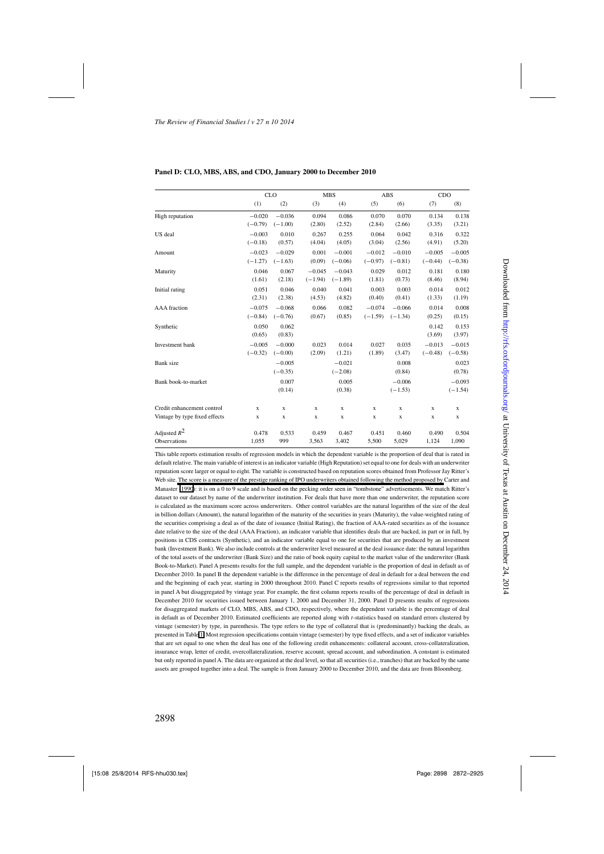|                               |             | <b>CLO</b>  |             | <b>MBS</b>  |             | <b>ABS</b>  | CDO         |             |
|-------------------------------|-------------|-------------|-------------|-------------|-------------|-------------|-------------|-------------|
|                               | (1)         | (2)         | (3)         | (4)         | (5)         | (6)         | (7)         | (8)         |
| High reputation               | $-0.020$    | $-0.036$    | 0.094       | 0.086       | 0.070       | 0.070       | 0.134       | 0.138       |
|                               | $(-0.79)$   | $(-1.00)$   | (2.80)      | (2.52)      | (2.84)      | (2.66)      | (3.35)      | (3.21)      |
| US deal                       | $-0.003$    | 0.010       | 0.267       | 0.255       | 0.064       | 0.042       | 0.316       | 0.322       |
|                               | $(-0.18)$   | (0.57)      | (4.04)      | (4.05)      | (3.04)      | (2.56)      | (4.91)      | (5.20)      |
| Amount                        | $-0.023$    | $-0.029$    | 0.001       | $-0.001$    | $-0.012$    | $-0.010$    | $-0.005$    | $-0.005$    |
|                               | $(-1.27)$   | $(-1.63)$   | (0.09)      | $(-0.06)$   | $(-0.97)$   | $(-0.81)$   | $(-0.44)$   | $(-0.38)$   |
| Maturity                      | 0.046       | 0.067       | $-0.045$    | $-0.043$    | 0.029       | 0.012       | 0.181       | 0.180       |
|                               | (1.61)      | (2.18)      | $(-1.94)$   | $(-1.89)$   | (1.81)      | (0.73)      | (8.46)      | (8.94)      |
| Initial rating                | 0.051       | 0.046       | 0.040       | 0.041       | 0.003       | 0.003       | 0.014       | 0.012       |
|                               | (2.31)      | (2.38)      | (4.53)      | (4.82)      | (0.40)      | (0.41)      | (1.33)      | (1.19)      |
| <b>AAA</b> fraction           | $-0.075$    | $-0.068$    | 0.066       | 0.082       | $-0.074$    | $-0.066$    | 0.014       | 0.008       |
|                               | $(-0.84)$   | $(-0.76)$   | (0.67)      | (0.85)      | $(-1.59)$   | $(-1.34)$   | (0.25)      | (0.15)      |
| Synthetic                     | 0.050       | 0.062       |             |             |             |             | 0.142       | 0.153       |
|                               | (0.65)      | (0.83)      |             |             |             |             | (3.69)      | (3.97)      |
| Investment bank               | $-0.005$    | $-0.000$    | 0.023       | 0.014       | 0.027       | 0.035       | $-0.013$    | $-0.015$    |
|                               | $(-0.32)$   | $(-0.00)$   | (2.09)      | (1.21)      | (1.89)      | (3.47)      | $(-0.48)$   | $(-0.58)$   |
| Bank size                     |             | $-0.005$    |             | $-0.021$    |             | 0.008       |             | 0.023       |
|                               |             | $(-0.35)$   |             | $(-2.08)$   |             | (0.84)      |             | (0.78)      |
| Bank book-to-market           |             | 0.007       |             | 0.005       |             | $-0.006$    |             | $-0.093$    |
|                               |             | (0.14)      |             | (0.38)      |             | $(-1.53)$   |             | $(-1.54)$   |
| Credit enhancement control    | $\mathbf x$ | $\mathbf x$ | $\mathbf x$ | $\mathbf x$ | $\mathbf x$ | $\mathbf x$ | $\mathbf x$ | $\mathbf x$ |
| Vintage by type fixed effects | $\mathbf x$ | $\mathbf x$ | $\mathbf x$ | $\mathbf x$ | $\mathbf x$ | $\mathbf x$ | $\mathbf x$ | X           |
| Adjusted $R^2$                | 0.478       | 0.533       | 0.459       | 0.467       | 0.451       | 0.460       | 0.490       | 0.504       |
| Observations                  | 1,055       | 999         | 3.563       | 3,402       | 5,500       | 5,029       | 1,124       | 1,090       |

#### **Panel D: CLO, MBS, ABS, and CDO, January 2000 to December 2010**

This table reports estimation results of regression models in which the dependent variable is the proportion of deal that is rated in default relative. The main variable of interest is an indicator variable (High Reputation) set equal to one for deals with an underwriter reputation score larger or equal to eight. The variable is constructed based on reputation scores obtained from Professor Jay Ritter's Web site. [The score is a measure of the prestige ranking of IPO underwriters obtained following the method proposed by](#page-51-0) Carter and Manaster [\(1990](#page-51-0)): it is on a 0 to 9 scale and is based on the pecking order seen in "tombstone" advertisements. We match Ritter's dataset to our dataset by name of the underwriter institution. For deals that have more than one underwriter, the reputation score is calculated as the maximum score across underwriters. Other control variables are the natural logarithm of the size of the deal in billion dollars (Amount), the natural logarithm of the maturity of the securities in years (Maturity), the value-weighted rating of the securities comprising a deal as of the date of issuance (Initial Rating), the fraction of AAA-rated securities as of the issuance date relative to the size of the deal (AAA Fraction), an indicator variable that identifies deals that are backed, in part or in full, by positions in CDS contracts (Synthetic), and an indicator variable equal to one for securities that are produced by an investment bank (Investment Bank). We also include controls at the underwriter level measured at the deal issuance date: the natural logarithm of the total assets of the underwriter (Bank Size) and the ratio of book equity capital to the market value of the underwriter (Bank Book-to-Market). Panel A presents results for the full sample, and the dependent variable is the proportion of deal in default as of December 2010. In panel B the dependent variable is the difference in the percentage of deal in default for a deal between the end and the beginning of each year, starting in 2000 throughout 2010. Panel C reports results of regressions similar to that reported in panel A but disaggregated by vintage year. For example, the first column reports results of the percentage of deal in default in December 2010 for securities issued between January 1, 2000 and December 31, 2000. Panel D presents results of regressions for disaggregated markets of CLO, MBS, ABS, and CDO, respectively, where the dependent variable is the percentage of deal in default as of December 2010. Estimated coefficients are reported along with *t*-statistics based on standard errors clustered by vintage (semester) by type, in parenthesis. The type refers to the type of collateral that is (predominantly) backing the deals, as presented in Table [1.](#page-15-0) Most regression specifications contain vintage (semester) by type fixed effects, and a set of indicator variables that are set equal to one when the deal has one of the following credit enhancements: collateral account, cross-collateralization, insurance wrap, letter of credit, overcollateralization, reserve account, spread account, and subordination. A constant is estimated but only reported in panel A. The data are organized at the deal level, so that all securities (i.e., tranches) that are backed by the same assets are grouped together into a deal. The sample is from January 2000 to December 2010, and the data are from Bloomberg.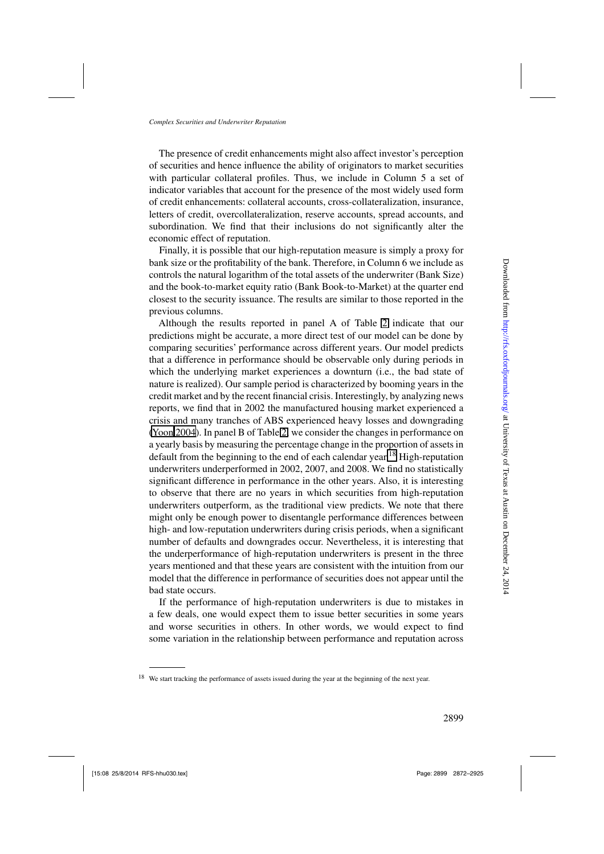The presence of credit enhancements might also affect investor's perception of securities and hence influence the ability of originators to market securities with particular collateral profiles. Thus, we include in Column 5 a set of indicator variables that account for the presence of the most widely used form of credit enhancements: collateral accounts, cross-collateralization, insurance, letters of credit, overcollateralization, reserve accounts, spread accounts, and subordination. We find that their inclusions do not significantly alter the economic effect of reputation.

Finally, it is possible that our high-reputation measure is simply a proxy for bank size or the profitability of the bank. Therefore, in Column 6 we include as controls the natural logarithm of the total assets of the underwriter (Bank Size) and the book-to-market equity ratio (Bank Book-to-Market) at the quarter end closest to the security issuance. The results are similar to those reported in the previous columns.

Although the results reported in panel A of Table [2](#page-23-0) indicate that our predictions might be accurate, a more direct test of our model can be done by comparing securities' performance across different years. Our model predicts that a difference in performance should be observable only during periods in which the underlying market experiences a downturn (i.e., the bad state of nature is realized). Our sample period is characterized by booming years in the credit market and by the recent financial crisis. Interestingly, by analyzing news reports, we find that in 2002 the manufactured housing market experienced a crisis and many tranches of ABS experienced heavy losses and downgrading [\(Yoon 2004\)](#page-53-0). In panel B of Table [2,](#page-23-0) we consider the changes in performance on a yearly basis by measuring the percentage change in the proportion of assets in default from the beginning to the end of each calendar year.<sup>18</sup> High-reputation underwriters underperformed in 2002, 2007, and 2008. We find no statistically significant difference in performance in the other years. Also, it is interesting to observe that there are no years in which securities from high-reputation underwriters outperform, as the traditional view predicts. We note that there might only be enough power to disentangle performance differences between high- and low-reputation underwriters during crisis periods, when a significant number of defaults and downgrades occur. Nevertheless, it is interesting that the underperformance of high-reputation underwriters is present in the three years mentioned and that these years are consistent with the intuition from our model that the difference in performance of securities does not appear until the bad state occurs.

If the performance of high-reputation underwriters is due to mistakes in a few deals, one would expect them to issue better securities in some years and worse securities in others. In other words, we would expect to find some variation in the relationship between performance and reputation across

<sup>&</sup>lt;sup>18</sup> We start tracking the performance of assets issued during the year at the beginning of the next year.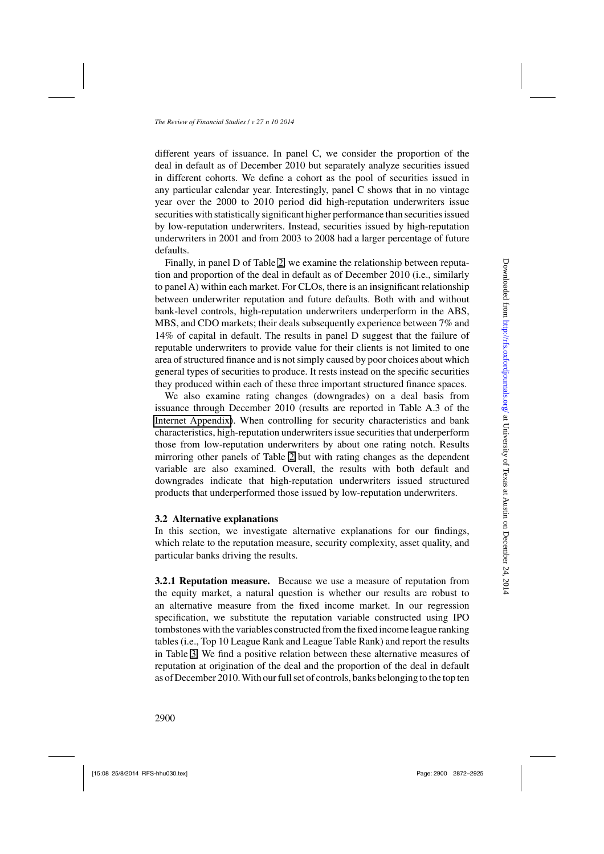different years of issuance. In panel C, we consider the proportion of the deal in default as of December 2010 but separately analyze securities issued in different cohorts. We define a cohort as the pool of securities issued in any particular calendar year. Interestingly, panel C shows that in no vintage year over the 2000 to 2010 period did high-reputation underwriters issue securities with statistically significant higher performance than securities issued by low-reputation underwriters. Instead, securities issued by high-reputation underwriters in 2001 and from 2003 to 2008 had a larger percentage of future defaults.

Finally, in panel D of Table [2,](#page-23-0) we examine the relationship between reputation and proportion of the deal in default as of December 2010 (i.e., similarly to panel A) within each market. For CLOs, there is an insignificant relationship between underwriter reputation and future defaults. Both with and without bank-level controls, high-reputation underwriters underperform in the ABS, MBS, and CDO markets; their deals subsequently experience between 7% and 14% of capital in default. The results in panel D suggest that the failure of reputable underwriters to provide value for their clients is not limited to one area of structured finance and is not simply caused by poor choices about which general types of securities to produce. It rests instead on the specific securities they produced within each of these three important structured finance spaces.

We also examine rating changes (downgrades) on a deal basis from issuance through December 2010 (results are reported in Table A.3 of the [Internet Appendix\)](http://rfs.oxfordjournals.org/lookup/suppl/doi:10.1093/rfs/hhu030/-/DC1). When controlling for security characteristics and bank characteristics, high-reputation underwriters issue securities that underperform those from low-reputation underwriters by about one rating notch. Results mirroring other panels of Table [2](#page-23-0) but with rating changes as the dependent variable are also examined. Overall, the results with both default and downgrades indicate that high-reputation underwriters issued structured products that underperformed those issued by low-reputation underwriters.

## **3.2 Alternative explanations**

In this section, we investigate alternative explanations for our findings, which relate to the reputation measure, security complexity, asset quality, and particular banks driving the results.

**3.2.1 Reputation measure.** Because we use a measure of reputation from the equity market, a natural question is whether our results are robust to an alternative measure from the fixed income market. In our regression specification, we substitute the reputation variable constructed using IPO tombstones with the variables constructed from the fixed income league ranking tables (i.e., Top 10 League Rank and League Table Rank) and report the results in Table [3.](#page-29-0) We find a positive relation between these alternative measures of reputation at origination of the deal and the proportion of the deal in default as of December 2010.With our full set of controls, banks belonging to the top ten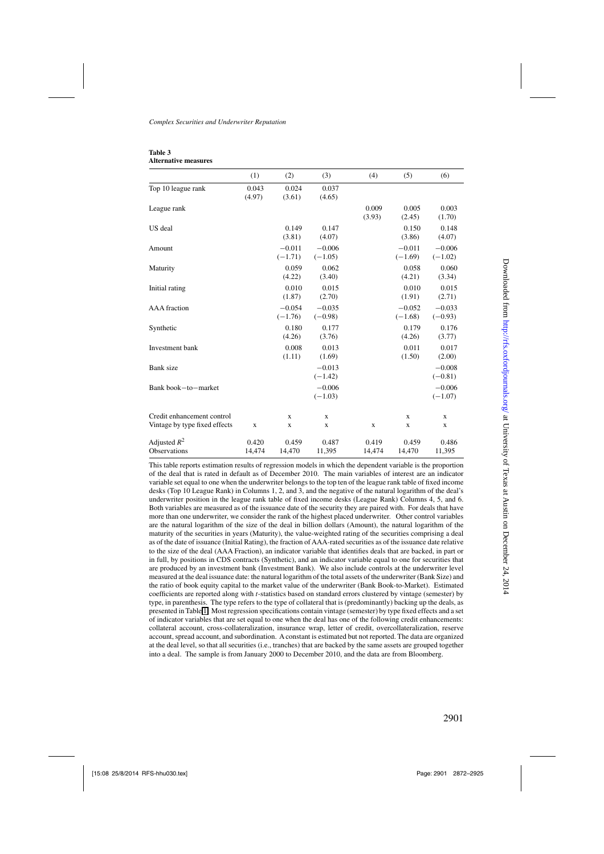<span id="page-29-0"></span>

| Table 3                     |  |
|-----------------------------|--|
| <b>Alternative measures</b> |  |

|                                                             | (1)             | (2)                        | (3)                   | (4)             | (5)                   | (6)                   |
|-------------------------------------------------------------|-----------------|----------------------------|-----------------------|-----------------|-----------------------|-----------------------|
| Top 10 league rank                                          | 0.043<br>(4.97) | 0.024<br>(3.61)            | 0.037<br>(4.65)       |                 |                       |                       |
| League rank                                                 |                 |                            |                       | 0.009<br>(3.93) | 0.005<br>(2.45)       | 0.003<br>(1.70)       |
| US deal                                                     |                 | 0.149<br>(3.81)            | 0.147<br>(4.07)       |                 | 0.150<br>(3.86)       | 0.148<br>(4.07)       |
| Amount                                                      |                 | $-0.011$<br>$(-1.71)$      | $-0.006$<br>$(-1.05)$ |                 | $-0.011$<br>$(-1.69)$ | $-0.006$<br>$(-1.02)$ |
| Maturity                                                    |                 | 0.059<br>(4.22)            | 0.062<br>(3.40)       |                 | 0.058<br>(4.21)       | 0.060<br>(3.34)       |
| Initial rating                                              |                 | 0.010<br>(1.87)            | 0.015<br>(2.70)       |                 | 0.010<br>(1.91)       | 0.015<br>(2.71)       |
| <b>AAA</b> fraction                                         |                 | $-0.054$<br>$(-1.76)$      | $-0.035$<br>$(-0.98)$ |                 | $-0.052$<br>$(-1.68)$ | $-0.033$<br>$(-0.93)$ |
| Synthetic                                                   |                 | 0.180<br>(4.26)            | 0.177<br>(3.76)       |                 | 0.179<br>(4.26)       | 0.176<br>(3.77)       |
| Investment bank                                             |                 | 0.008<br>(1.11)            | 0.013<br>(1.69)       |                 | 0.011<br>(1.50)       | 0.017<br>(2.00)       |
| Bank size                                                   |                 |                            | $-0.013$<br>$(-1.42)$ |                 |                       | $-0.008$<br>$(-0.81)$ |
| Bank book-to-market                                         |                 |                            | $-0.006$<br>$(-1.03)$ |                 |                       | $-0.006$<br>$(-1.07)$ |
| Credit enhancement control<br>Vintage by type fixed effects | $\mathbf X$     | $\mathbf x$<br>$\mathbf X$ | $\mathbf X$<br>X      | $\mathbf X$     | X<br>$\mathbf x$      | X<br>$\mathbf X$      |
|                                                             |                 |                            |                       |                 |                       |                       |
| Adjusted $R^2$                                              | 0.420           | 0.459                      | 0.487                 | 0.419           | 0.459                 | 0.486                 |
| Observations                                                | 14,474          | 14,470                     | 11,395                | 14,474          | 14,470                | 11,395                |

This table reports estimation results of regression models in which the dependent variable is the proportion of the deal that is rated in default as of December 2010. The main variables of interest are an indicator variable set equal to one when the underwriter belongs to the top ten of the league rank table of fixed income desks (Top 10 League Rank) in Columns 1, 2, and 3, and the negative of the natural logarithm of the deal's underwriter position in the league rank table of fixed income desks (League Rank) Columns 4, 5, and 6. Both variables are measured as of the issuance date of the security they are paired with. For deals that have more than one underwriter, we consider the rank of the highest placed underwriter. Other control variables are the natural logarithm of the size of the deal in billion dollars (Amount), the natural logarithm of the maturity of the securities in years (Maturity), the value-weighted rating of the securities comprising a deal as of the date of issuance (Initial Rating), the fraction of AAA-rated securities as of the issuance date relative to the size of the deal (AAA Fraction), an indicator variable that identifies deals that are backed, in part or in full, by positions in CDS contracts (Synthetic), and an indicator variable equal to one for securities that are produced by an investment bank (Investment Bank). We also include controls at the underwriter level measured at the deal issuance date: the natural logarithm of the total assets of the underwriter (Bank Size) and the ratio of book equity capital to the market value of the underwriter (Bank Book-to-Market). Estimated coefficients are reported along with *t*-statistics based on standard errors clustered by vintage (semester) by type, in parenthesis. The type refers to the type of collateral that is (predominantly) backing up the deals, as presented in Table [1.](#page-15-0) Most regression specifications contain vintage (semester) by type fixed effects and a set of indicator variables that are set equal to one when the deal has one of the following credit enhancements: collateral account, cross-collateralization, insurance wrap, letter of credit, overcollateralization, reserve account, spread account, and subordination. A constant is estimated but not reported. The data are organized at the deal level, so that all securities (i.e., tranches) that are backed by the same assets are grouped together into a deal. The sample is from January 2000 to December 2010, and the data are from Bloomberg.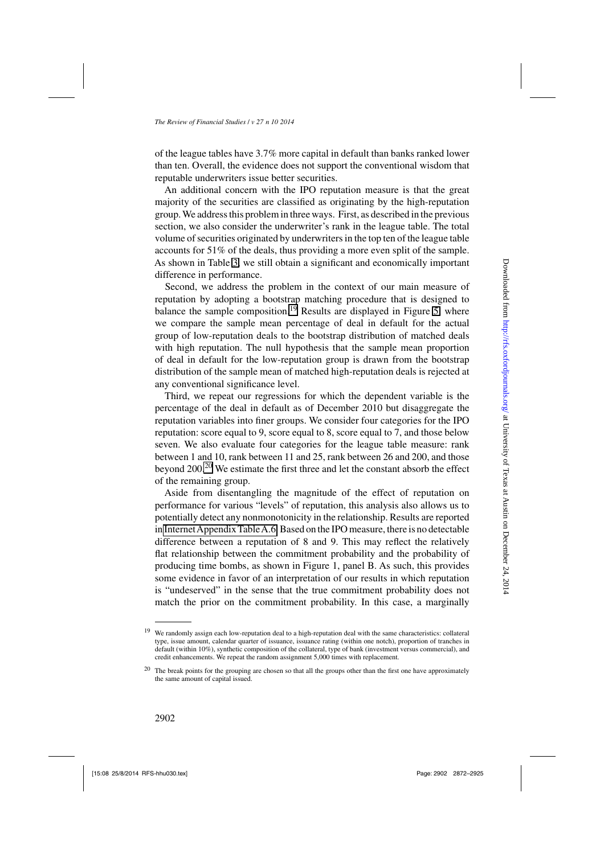of the league tables have 3.7% more capital in default than banks ranked lower than ten. Overall, the evidence does not support the conventional wisdom that reputable underwriters issue better securities.

An additional concern with the IPO reputation measure is that the great majority of the securities are classified as originating by the high-reputation group.We address this problem in three ways. First, as described in the previous section, we also consider the underwriter's rank in the league table. The total volume of securities originated by underwriters in the top ten of the league table accounts for 51% of the deals, thus providing a more even split of the sample. As shown in Table [3,](#page-29-0) we still obtain a significant and economically important difference in performance.

Second, we address the problem in the context of our main measure of reputation by adopting a bootstrap matching procedure that is designed to balance the sample composition.<sup>19</sup> Results are displayed in Figure [5,](#page-31-0) where we compare the sample mean percentage of deal in default for the actual group of low-reputation deals to the bootstrap distribution of matched deals with high reputation. The null hypothesis that the sample mean proportion of deal in default for the low-reputation group is drawn from the bootstrap distribution of the sample mean of matched high-reputation deals is rejected at any conventional significance level.

Third, we repeat our regressions for which the dependent variable is the percentage of the deal in default as of December 2010 but disaggregate the reputation variables into finer groups. We consider four categories for the IPO reputation: score equal to 9, score equal to 8, score equal to 7, and those below seven. We also evaluate four categories for the league table measure: rank between 1 and 10, rank between 11 and 25, rank between 26 and 200, and those beyond 200.<sup>20</sup> We estimate the first three and let the constant absorb the effect of the remaining group.

Aside from disentangling the magnitude of the effect of reputation on performance for various "levels" of reputation, this analysis also allows us to potentially detect any nonmonotonicity in the relationship. Results are reported in Internet Appendix Table A.6. Based on the IPO measure, there is no detectable difference between a reputation of 8 and 9. This may reflect the relatively flat relationship between the commitment probability and the probability of producing time bombs, as shown in Figure 1, panel B. As such, this provides some evidence in favor of an interpretation of our results in which reputation is "undeserved" in the sense that the true commitment probability does not match the prior on the commitment probability. In this case, a marginally

<sup>&</sup>lt;sup>19</sup> We randomly assign each low-reputation deal to a high-reputation deal with the same characteristics: collateral type, issue amount, calendar quarter of issuance, issuance rating (within one notch), proportion of tranches in default (within 10%), synthetic composition of the collateral, type of bank (investment versus commercial), and credit enhancements. We repeat the random assignment 5,000 times with replacement.

<sup>20</sup> The break points for the grouping are chosen so that all the groups other than the first one have approximately the same amount of capital issued.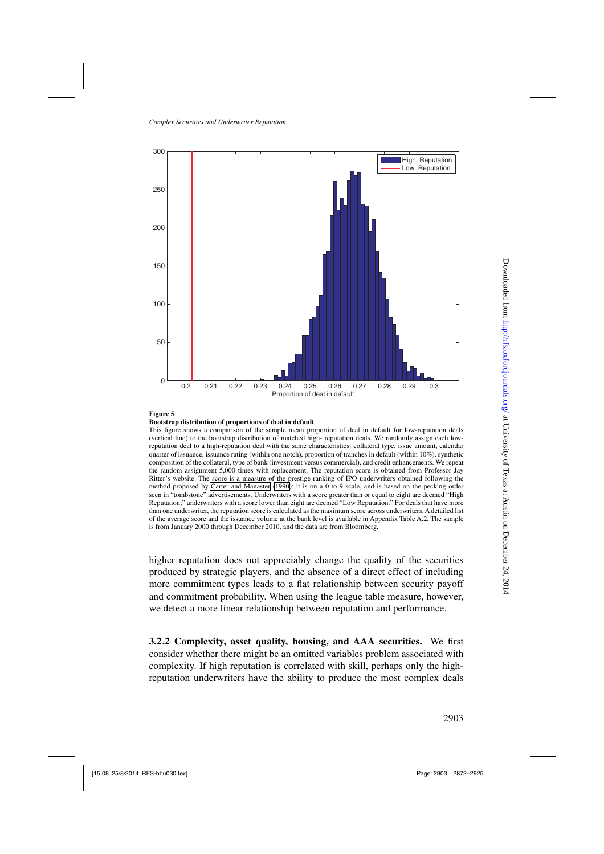<span id="page-31-0"></span>

**Figure 5 Bootstrap distribution of proportions of deal in default**

This figure shows a comparison of the sample mean proportion of deal in default for low-reputation deals (vertical line) to the bootstrap distribution of matched high- reputation deals. We randomly assign each lowreputation deal to a high-reputation deal with the same characteristics: collateral type, issue amount, calendar quarter of issuance, issuance rating (within one notch), proportion of tranches in default (within 10%), synthetic composition of the collateral, type of bank (investment versus commercial), and credit enhancements. We repeat the random assignment 5,000 times with replacement. The reputation score is obtained from Professor Jay Ritter's website. The score is a measure of the prestige ranking of IPO underwriters obtained following the method proposed by [Carter and Manaster](#page-51-0) [\(1990\)](#page-51-0): it is on a 0 to 9 scale, and is based on the pecking order seen in "tombstone" advertisements. Underwriters with a score greater than or equal to eight are deemed "High Reputation;" underwriters with a score lower than eight are deemed "Low Reputation." For deals that have more than one underwriter, the reputation score is calculated as the maximum score across underwriters. A detailed list of the average score and the issuance volume at the bank level is available in Appendix Table A.2. The sample is from January 2000 through December 2010, and the data are from Bloomberg.

higher reputation does not appreciably change the quality of the securities produced by strategic players, and the absence of a direct effect of including more commitment types leads to a flat relationship between security payoff and commitment probability. When using the league table measure, however, we detect a more linear relationship between reputation and performance.

**3.2.2 Complexity, asset quality, housing, and AAA securities.** We first consider whether there might be an omitted variables problem associated with complexity. If high reputation is correlated with skill, perhaps only the highreputation underwriters have the ability to produce the most complex deals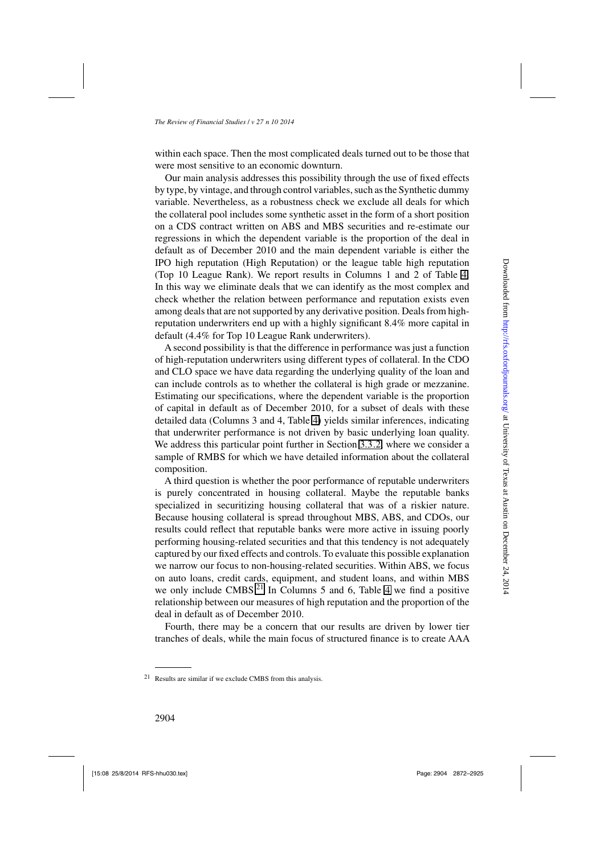within each space. Then the most complicated deals turned out to be those that were most sensitive to an economic downturn.

Our main analysis addresses this possibility through the use of fixed effects by type, by vintage, and through control variables, such as the Synthetic dummy variable. Nevertheless, as a robustness check we exclude all deals for which the collateral pool includes some synthetic asset in the form of a short position on a CDS contract written on ABS and MBS securities and re-estimate our regressions in which the dependent variable is the proportion of the deal in default as of December 2010 and the main dependent variable is either the IPO high reputation (High Reputation) or the league table high reputation (Top 10 League Rank). We report results in Columns 1 and 2 of Table [4.](#page-33-0) In this way we eliminate deals that we can identify as the most complex and check whether the relation between performance and reputation exists even among deals that are not supported by any derivative position. Deals from highreputation underwriters end up with a highly significant 8.4% more capital in default (4.4% for Top 10 League Rank underwriters).

A second possibility is that the difference in performance was just a function of high-reputation underwriters using different types of collateral. In the CDO and CLO space we have data regarding the underlying quality of the loan and can include controls as to whether the collateral is high grade or mezzanine. Estimating our specifications, where the dependent variable is the proportion of capital in default as of December 2010, for a subset of deals with these detailed data (Columns 3 and 4, Table [4\)](#page-33-0) yields similar inferences, indicating that underwriter performance is not driven by basic underlying loan quality. We address this particular point further in Section [3.3.2,](#page-37-0) where we consider a sample of RMBS for which we have detailed information about the collateral composition.

A third question is whether the poor performance of reputable underwriters is purely concentrated in housing collateral. Maybe the reputable banks specialized in securitizing housing collateral that was of a riskier nature. Because housing collateral is spread throughout MBS, ABS, and CDOs, our results could reflect that reputable banks were more active in issuing poorly performing housing-related securities and that this tendency is not adequately captured by our fixed effects and controls. To evaluate this possible explanation we narrow our focus to non-housing-related securities. Within ABS, we focus on auto loans, credit cards, equipment, and student loans, and within MBS we only include CMBS.<sup>21</sup> In Columns 5 and 6, Table [4](#page-33-0) we find a positive relationship between our measures of high reputation and the proportion of the deal in default as of December 2010.

Fourth, there may be a concern that our results are driven by lower tier tranches of deals, while the main focus of structured finance is to create AAA

<sup>21</sup> Results are similar if we exclude CMBS from this analysis.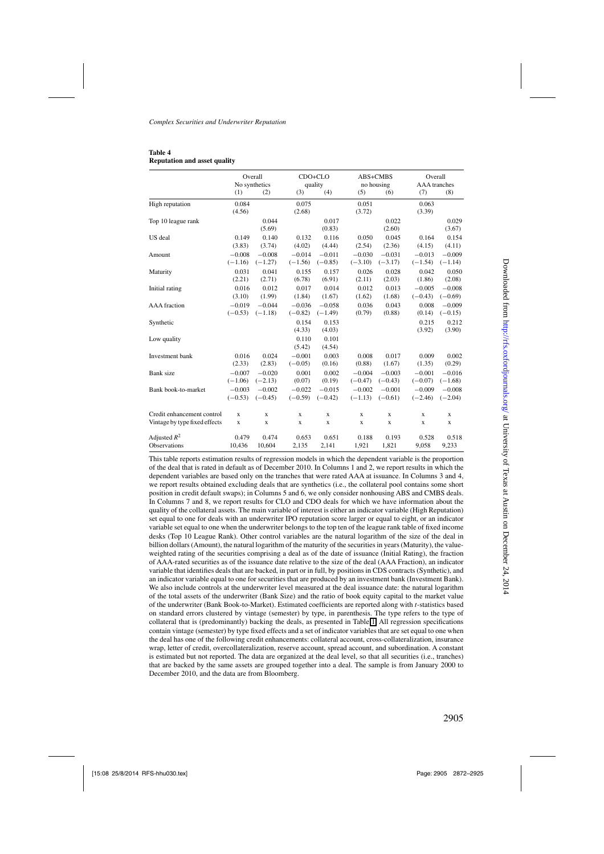<span id="page-33-0"></span>

| Table 4                             |  |  |
|-------------------------------------|--|--|
| <b>Reputation and asset quality</b> |  |  |

|                               |             | Overall       |             | CDO+CLO     |             | ABS+CMBS    | Overall             |             |
|-------------------------------|-------------|---------------|-------------|-------------|-------------|-------------|---------------------|-------------|
|                               |             | No synthetics |             | quality     |             | no housing  | <b>AAA</b> tranches |             |
|                               | (1)         | (2)           | (3)         | (4)         | (5)         | (6)         | (7)                 | (8)         |
| High reputation               | 0.084       |               | 0.075       |             | 0.051       |             | 0.063               |             |
|                               | (4.56)      |               | (2.68)      |             | (3.72)      |             | (3.39)              |             |
| Top 10 league rank            |             | 0.044         |             | 0.017       |             | 0.022       |                     | 0.029       |
|                               |             | (5.69)        |             | (0.83)      |             | (2.60)      |                     | (3.67)      |
| US deal                       | 0.149       | 0.140         | 0.132       | 0.116       | 0.050       | 0.045       | 0.164               | 0.154       |
|                               | (3.83)      | (3.74)        | (4.02)      | (4.44)      | (2.54)      | (2.36)      | (4.15)              | (4.11)      |
| Amount                        | $-0.008$    | $-0.008$      | $-0.014$    | $-0.011$    | $-0.030$    | $-0.031$    | $-0.013$            | $-0.009$    |
|                               | $(-1.16)$   | $(-1.27)$     | $(-1.56)$   | $(-0.85)$   | $(-3.10)$   | $(-3.17)$   | $(-1.54)$           | $(-1.14)$   |
| Maturity                      | 0.031       | 0.041         | 0.155       | 0.157       | 0.026       | 0.028       | 0.042               | 0.050       |
|                               | (2.21)      | (2.71)        | (6.78)      | (6.91)      | (2.11)      | (2.03)      | (1.86)              | (2.08)      |
| Initial rating                | 0.016       | 0.012         | 0.017       | 0.014       | 0.012       | 0.013       | $-0.005$            | $-0.008$    |
|                               | (3.10)      | (1.99)        | (1.84)      | (1.67)      | (1.62)      | (1.68)      | $(-0.43)$           | $(-0.69)$   |
| <b>AAA</b> fraction           | $-0.019$    | $-0.044$      | $-0.036$    | $-0.058$    | 0.036       | 0.043       | 0.008               | $-0.009$    |
|                               | $(-0.53)$   | $(-1.18)$     | $(-0.82)$   | $(-1.49)$   | (0.79)      | (0.88)      | (0.14)              | $(-0.15)$   |
| Synthetic                     |             |               | 0.154       | 0.153       |             |             | 0.215               | 0.212       |
|                               |             |               | (4.33)      | (4.03)      |             |             | (3.92)              | (3.90)      |
| Low quality                   |             |               | 0.110       | 0.101       |             |             |                     |             |
|                               |             |               | (5.42)      | (4.54)      |             |             |                     |             |
| Investment bank               | 0.016       | 0.024         | $-0.001$    | 0.003       | 0.008       | 0.017       | 0.009               | 0.002       |
|                               | (2.33)      | (2.83)        | $(-0.05)$   | (0.16)      | (0.88)      | (1.67)      | (1.35)              | (0.29)      |
| Bank size                     | $-0.007$    | $-0.020$      | 0.001       | 0.002       | $-0.004$    | $-0.003$    | $-0.001$            | $-0.016$    |
|                               | $(-1.06)$   | $(-2.13)$     | (0.07)      | (0.19)      | $(-0.47)$   | $(-0.43)$   | $(-0.07)$           | $(-1.68)$   |
| Bank book-to-market           | $-0.003$    | $-0.002$      | $-0.022$    | $-0.015$    | $-0.002$    | $-0.001$    | $-0.009$            | $-0.008$    |
|                               | $(-0.53)$   | $(-0.45)$     | $(-0.59)$   | $(-0.42)$   | $(-1.13)$   | $(-0.61)$   | $(-2.46)$           | $(-2.04)$   |
| Credit enhancement control    | $\mathbf x$ | x             | X           | x           | x           | $\mathbf x$ | X                   | $\mathbf x$ |
| Vintage by type fixed effects | $\mathbf X$ | $\mathbf x$   | $\mathbf x$ | $\mathbf x$ | $\mathbf x$ | $\mathbf x$ | $\mathbf x$         | $\mathbf x$ |
| Adjusted $R^2$                | 0.479       | 0.474         | 0.653       | 0.651       | 0.188       | 0.193       | 0.528               | 0.518       |
| Observations                  | 10,436      | 10,604        | 2,135       | 2,141       | 1,921       | 1,821       | 9,058               | 9,233       |

This table reports estimation results of regression models in which the dependent variable is the proportion of the deal that is rated in default as of December 2010. In Columns 1 and 2, we report results in which the dependent variables are based only on the tranches that were rated AAA at issuance. In Columns 3 and 4, we report results obtained excluding deals that are synthetics (i.e., the collateral pool contains some short position in credit default swaps); in Columns 5 and 6, we only consider nonhousing ABS and CMBS deals. In Columns 7 and 8, we report results for CLO and CDO deals for which we have information about the quality of the collateral assets. The main variable of interest is either an indicator variable (High Reputation) set equal to one for deals with an underwriter IPO reputation score larger or equal to eight, or an indicator variable set equal to one when the underwriter belongs to the top ten of the league rank table of fixed income desks (Top 10 League Rank). Other control variables are the natural logarithm of the size of the deal in billion dollars (Amount), the natural logarithm of the maturity of the securities in years (Maturity), the valueweighted rating of the securities comprising a deal as of the date of issuance (Initial Rating), the fraction of AAA-rated securities as of the issuance date relative to the size of the deal (AAA Fraction), an indicator variable that identifies deals that are backed, in part or in full, by positions in CDS contracts (Synthetic), and an indicator variable equal to one for securities that are produced by an investment bank (Investment Bank). We also include controls at the underwriter level measured at the deal issuance date: the natural logarithm of the total assets of the underwriter (Bank Size) and the ratio of book equity capital to the market value of the underwriter (Bank Book-to-Market). Estimated coefficients are reported along with *t*-statistics based on standard errors clustered by vintage (semester) by type, in parenthesis. The type refers to the type of collateral that is (predominantly) backing the deals, as presented in Table [1.](#page-15-0) All regression specifications contain vintage (semester) by type fixed effects and a set of indicator variables that are set equal to one when the deal has one of the following credit enhancements: collateral account, cross-collateralization, insurance wrap, letter of credit, overcollateralization, reserve account, spread account, and subordination. A constant is estimated but not reported. The data are organized at the deal level, so that all securities (i.e., tranches) that are backed by the same assets are grouped together into a deal. The sample is from January 2000 to December 2010, and the data are from Bloomberg.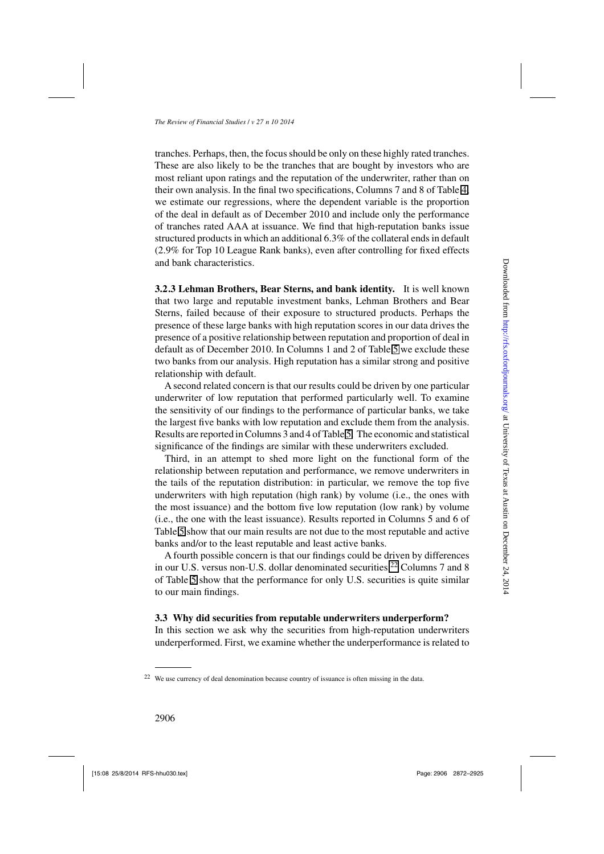tranches. Perhaps, then, the focus should be only on these highly rated tranches. These are also likely to be the tranches that are bought by investors who are most reliant upon ratings and the reputation of the underwriter, rather than on their own analysis. In the final two specifications, Columns 7 and 8 of Table [4,](#page-33-0) we estimate our regressions, where the dependent variable is the proportion of the deal in default as of December 2010 and include only the performance of tranches rated AAA at issuance. We find that high-reputation banks issue structured products in which an additional 6.3% of the collateral ends in default (2.9% for Top 10 League Rank banks), even after controlling for fixed effects and bank characteristics.

**3.2.3 Lehman Brothers, Bear Sterns, and bank identity.** It is well known that two large and reputable investment banks, Lehman Brothers and Bear Sterns, failed because of their exposure to structured products. Perhaps the presence of these large banks with high reputation scores in our data drives the presence of a positive relationship between reputation and proportion of deal in default as of December 2010. In Columns 1 and 2 of Table [5](#page-35-0) we exclude these two banks from our analysis. High reputation has a similar strong and positive relationship with default.

A second related concern is that our results could be driven by one particular underwriter of low reputation that performed particularly well. To examine the sensitivity of our findings to the performance of particular banks, we take the largest five banks with low reputation and exclude them from the analysis. Results are reported in Columns 3 and 4 of Table [5.](#page-35-0) The economic and statistical significance of the findings are similar with these underwriters excluded.

Third, in an attempt to shed more light on the functional form of the relationship between reputation and performance, we remove underwriters in the tails of the reputation distribution: in particular, we remove the top five underwriters with high reputation (high rank) by volume (i.e., the ones with the most issuance) and the bottom five low reputation (low rank) by volume (i.e., the one with the least issuance). Results reported in Columns 5 and 6 of Table [5](#page-35-0) show that our main results are not due to the most reputable and active banks and/or to the least reputable and least active banks.

A fourth possible concern is that our findings could be driven by differences in our U.S. versus non-U.S. dollar denominated securities.<sup>22</sup> Columns 7 and 8 of Table [5](#page-35-0) show that the performance for only U.S. securities is quite similar to our main findings.

## **3.3 Why did securities from reputable underwriters underperform?**

In this section we ask why the securities from high-reputation underwriters underperformed. First, we examine whether the underperformance is related to

<sup>&</sup>lt;sup>22</sup> We use currency of deal denomination because country of issuance is often missing in the data.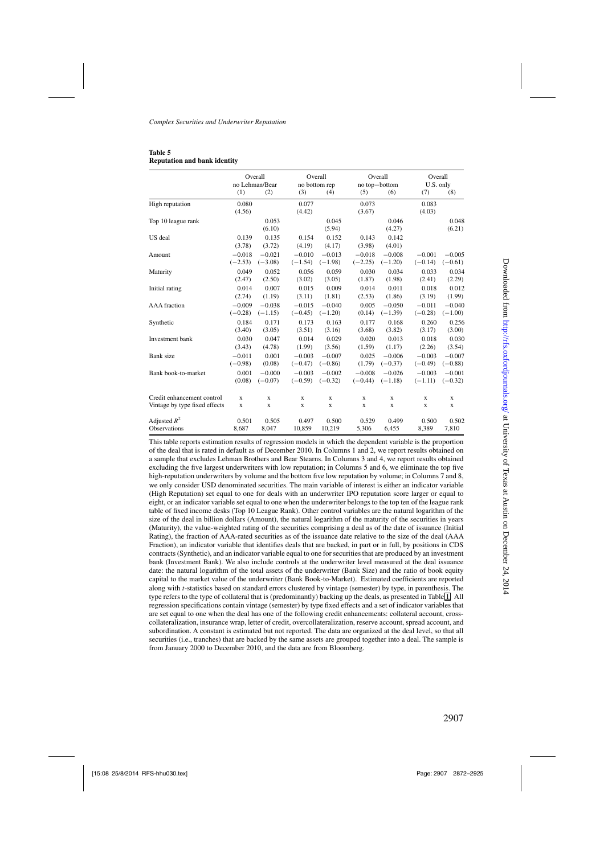#### <span id="page-35-0"></span>**Table 5 Reputation and bank identity**

|                               |                       | Overall<br>no Lehman/Bear |                       | Overall<br>no bottom rep |                       | Overall<br>no top-bottom | Overall<br>U.S. only  |                       |
|-------------------------------|-----------------------|---------------------------|-----------------------|--------------------------|-----------------------|--------------------------|-----------------------|-----------------------|
|                               | (1)                   | (2)                       | (3)                   | (4)                      | (5)                   | (6)                      | (7)                   | (8)                   |
| High reputation               | 0.080<br>(4.56)       |                           | 0.077<br>(4.42)       |                          | 0.073<br>(3.67)       |                          | 0.083<br>(4.03)       |                       |
| Top 10 league rank            |                       | 0.053<br>(6.10)           |                       | 0.045<br>(5.94)          |                       | 0.046<br>(4.27)          |                       | 0.048<br>(6.21)       |
| US deal                       | 0.139<br>(3.78)       | 0.135<br>(3.72)           | 0.154<br>(4.19)       | 0.152<br>(4.17)          | 0.143<br>(3.98)       | 0.142<br>(4.01)          |                       |                       |
| Amount                        | $-0.018$<br>$(-2.53)$ | $-0.021$<br>$(-3.08)$     | $-0.010$<br>$(-1.54)$ | $-0.013$<br>$(-1.98)$    | $-0.018$<br>$(-2.25)$ | $-0.008$<br>$(-1.20)$    | $-0.001$<br>$(-0.14)$ | $-0.005$<br>$(-0.61)$ |
| Maturity                      | 0.049<br>(2.47)       | 0.052<br>(2.50)           | 0.056<br>(3.02)       | 0.059<br>(3.05)          | 0.030<br>(1.87)       | 0.034<br>(1.98)          | 0.033<br>(2.41)       | 0.034<br>(2.29)       |
| Initial rating                | 0.014<br>(2.74)       | 0.007<br>(1.19)           | 0.015<br>(3.11)       | 0.009<br>(1.81)          | 0.014<br>(2.53)       | 0.011<br>(1.86)          | 0.018<br>(3.19)       | 0.012<br>(1.99)       |
| <b>AAA</b> fraction           | $-0.009$<br>$(-0.28)$ | $-0.038$<br>$(-1.15)$     | $-0.015$<br>$(-0.45)$ | $-0.040$<br>$(-1.20)$    | 0.005<br>(0.14)       | $-0.050$<br>$(-1.39)$    | $-0.011$<br>$(-0.28)$ | $-0.040$<br>$(-1.00)$ |
| Synthetic                     | 0.184<br>(3.40)       | 0.171<br>(3.05)           | 0.173<br>(3.51)       | 0.163<br>(3.16)          | 0.177<br>(3.68)       | 0.168<br>(3.82)          | 0.260<br>(3.17)       | 0.256<br>(3.00)       |
| Investment bank               | 0.030<br>(3.43)       | 0.047<br>(4.78)           | 0.014<br>(1.99)       | 0.029<br>(3.56)          | 0.020<br>(1.59)       | 0.013<br>(1.17)          | 0.018<br>(2.26)       | 0.030<br>(3.54)       |
| Bank size                     | $-0.011$<br>$(-0.98)$ | 0.001<br>(0.08)           | $-0.003$<br>$(-0.47)$ | $-0.007$<br>$(-0.86)$    | 0.025<br>(1.79)       | $-0.006$<br>$(-0.37)$    | $-0.003$<br>$(-0.49)$ | $-0.007$<br>$(-0.88)$ |
| Bank book-to-market           | 0.001<br>(0.08)       | $-0.000$<br>$(-0.07)$     | $-0.003$<br>$(-0.59)$ | $-0.002$<br>$(-0.32)$    | $-0.008$<br>$(-0.44)$ | $-0.026$<br>$(-1.18)$    | $-0.003$<br>$(-1.11)$ | $-0.001$<br>$(-0.32)$ |
| Credit enhancement control    | $\mathbf x$           | $\mathbf x$               | $\mathbf x$           | x                        | X                     | $\mathbf x$              | $\mathbf x$           | $\mathbf x$           |
| Vintage by type fixed effects | $\mathbf x$           | $\mathbf x$               | $\mathbf x$           | x                        | $\mathbf x$           | $\mathbf x$              | $\mathbf x$           | $\mathbf x$           |
| Adjusted $R^2$                | 0.501                 | 0.505                     | 0.497                 | 0.500                    | 0.529                 | 0.499                    | 0.500                 | 0.502                 |
| Observations                  | 8,687                 | 8,047                     | 10,859                | 10,219                   | 5,306                 | 6,455                    | 8,389                 | 7,810                 |

This table reports estimation results of regression models in which the dependent variable is the proportion of the deal that is rated in default as of December 2010. In Columns 1 and 2, we report results obtained on a sample that excludes Lehman Brothers and Bear Stearns. In Columns 3 and 4, we report results obtained excluding the five largest underwriters with low reputation; in Columns 5 and 6, we eliminate the top five high-reputation underwriters by volume and the bottom five low reputation by volume; in Columns 7 and 8, we only consider USD denominated securities. The main variable of interest is either an indicator variable (High Reputation) set equal to one for deals with an underwriter IPO reputation score larger or equal to eight, or an indicator variable set equal to one when the underwriter belongs to the top ten of the league rank table of fixed income desks (Top 10 League Rank). Other control variables are the natural logarithm of the size of the deal in billion dollars (Amount), the natural logarithm of the maturity of the securities in years (Maturity), the value-weighted rating of the securities comprising a deal as of the date of issuance (Initial Rating), the fraction of AAA-rated securities as of the issuance date relative to the size of the deal (AAA Fraction), an indicator variable that identifies deals that are backed, in part or in full, by positions in CDS contracts (Synthetic), and an indicator variable equal to one for securities that are produced by an investment bank (Investment Bank). We also include controls at the underwriter level measured at the deal issuance date: the natural logarithm of the total assets of the underwriter (Bank Size) and the ratio of book equity capital to the market value of the underwriter (Bank Book-to-Market). Estimated coefficients are reported along with *t*-statistics based on standard errors clustered by vintage (semester) by type, in parenthesis. The type refers to the type of collateral that is (predominantly) backing up the deals, as presented in Table [1.](#page-15-0) All regression specifications contain vintage (semester) by type fixed effects and a set of indicator variables that are set equal to one when the deal has one of the following credit enhancements: collateral account, crosscollateralization, insurance wrap, letter of credit, overcollateralization, reserve account, spread account, and subordination. A constant is estimated but not reported. The data are organized at the deal level, so that all securities (i.e., tranches) that are backed by the same assets are grouped together into a deal. The sample is from January 2000 to December 2010, and the data are from Bloomberg.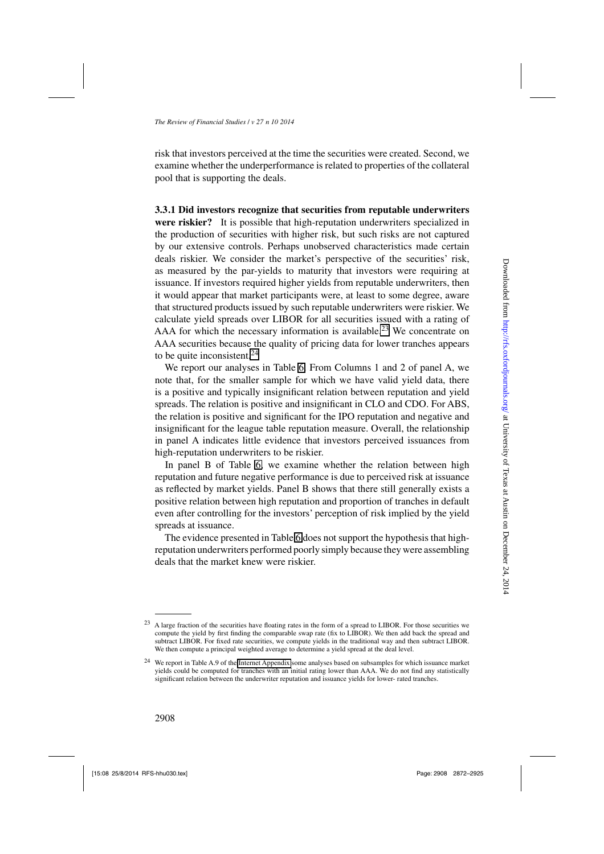risk that investors perceived at the time the securities were created. Second, we examine whether the underperformance is related to properties of the collateral pool that is supporting the deals.

**3.3.1 Did investors recognize that securities from reputable underwriters were riskier?** It is possible that high-reputation underwriters specialized in the production of securities with higher risk, but such risks are not captured by our extensive controls. Perhaps unobserved characteristics made certain deals riskier. We consider the market's perspective of the securities' risk, as measured by the par-yields to maturity that investors were requiring at issuance. If investors required higher yields from reputable underwriters, then it would appear that market participants were, at least to some degree, aware that structured products issued by such reputable underwriters were riskier. We calculate yield spreads over LIBOR for all securities issued with a rating of AAA for which the necessary information is available.<sup>23</sup> We concentrate on AAA securities because the quality of pricing data for lower tranches appears to be quite inconsistent. $24$ 

We report our analyses in Table [6.](#page-37-0) From Columns 1 and 2 of panel A, we note that, for the smaller sample for which we have valid yield data, there is a positive and typically insignificant relation between reputation and yield spreads. The relation is positive and insignificant in CLO and CDO. For ABS, the relation is positive and significant for the IPO reputation and negative and insignificant for the league table reputation measure. Overall, the relationship in panel A indicates little evidence that investors perceived issuances from high-reputation underwriters to be riskier.

In panel B of Table [6,](#page-37-0) we examine whether the relation between high reputation and future negative performance is due to perceived risk at issuance as reflected by market yields. Panel B shows that there still generally exists a positive relation between high reputation and proportion of tranches in default even after controlling for the investors' perception of risk implied by the yield spreads at issuance.

The evidence presented in Table [6](#page-37-0) does not support the hypothesis that highreputation underwriters performed poorly simply because they were assembling deals that the market knew were riskier.

<sup>&</sup>lt;sup>23</sup> A large fraction of the securities have floating rates in the form of a spread to LIBOR. For those securities we compute the yield by first finding the comparable swap rate (fix to LIBOR). We then add back the spread and subtract LIBOR. For fixed rate securities, we compute yields in the traditional way and then subtract LIBOR. We then compute a principal weighted average to determine a yield spread at the deal level.

<sup>24</sup> We report in Table A.9 of the [Internet Appendix](http://rfs.oxfordjournals.org/lookup/suppl/doi:10.1093/rfs/hhu030/-/DC1) some analyses based on subsamples for which issuance market yields could be computed for tranches with an initial rating lower than AAA. We do not find any statistically significant relation between the underwriter reputation and issuance yields for lower- rated tranches.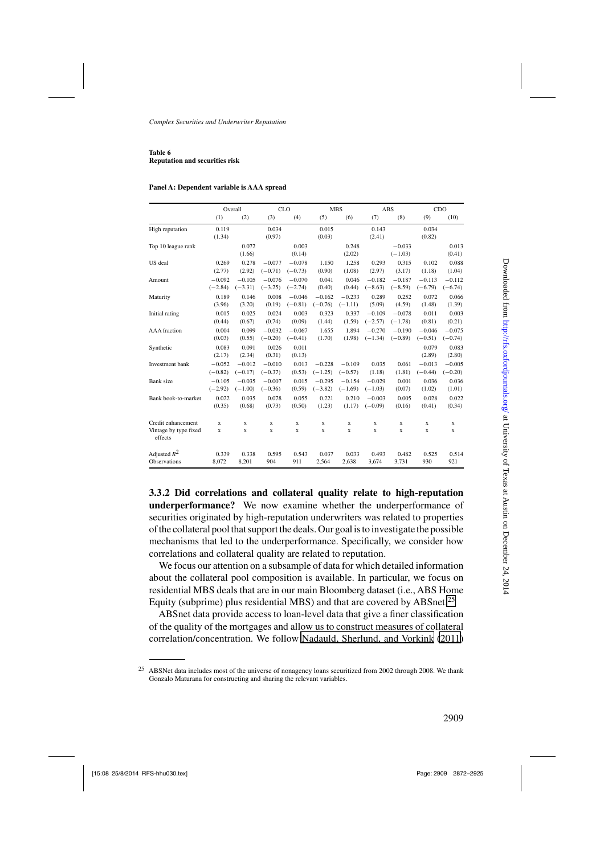#### <span id="page-37-0"></span>**Table 6 Reputation and securities risk**

#### **Panel A: Dependent variable is AAA spread**

|                                  |                       | Overall               |                       | <b>CLO</b>            |                       | <b>MBS</b>            |                       | <b>ABS</b>            |                       | CDO                   |
|----------------------------------|-----------------------|-----------------------|-----------------------|-----------------------|-----------------------|-----------------------|-----------------------|-----------------------|-----------------------|-----------------------|
|                                  | (1)                   | (2)                   | (3)                   | (4)                   | (5)                   | (6)                   | (7)                   | (8)                   | (9)                   | (10)                  |
| High reputation                  | 0.119<br>(1.34)       |                       | 0.034<br>(0.97)       |                       | 0.015<br>(0.03)       |                       | 0.143<br>(2.41)       |                       | 0.034<br>(0.82)       |                       |
| Top 10 league rank               |                       | 0.072<br>(1.66)       |                       | 0.003<br>(0.14)       |                       | 0.248<br>(2.02)       |                       | $-0.033$<br>$(-1.03)$ |                       | 0.013<br>(0.41)       |
| US deal                          | 0.269<br>(2.77)       | 0.278<br>(2.92)       | $-0.077$<br>$(-0.71)$ | $-0.078$<br>$(-0.73)$ | 1.150<br>(0.90)       | 1.258<br>(1.08)       | 0.293<br>(2.97)       | 0.315<br>(3.17)       | 0.102<br>(1.18)       | 0.088<br>(1.04)       |
| Amount                           | $-0.092$<br>$(-2.84)$ | $-0.105$<br>$(-3.31)$ | $-0.076$<br>$(-3.25)$ | $-0.070$<br>$(-2.74)$ | 0.041<br>(0.40)       | 0.046<br>(0.44)       | $-0.182$<br>$(-8.63)$ | $-0.187$<br>$(-8.59)$ | $-0.113$<br>$(-6.79)$ | $-0.112$<br>$(-6.74)$ |
| Maturity                         | 0.189<br>(3.96)       | 0.146<br>(3.20)       | 0.008<br>(0.19)       | $-0.046$<br>$(-0.81)$ | $-0.162$<br>$(-0.76)$ | $-0.233$<br>$(-1.11)$ | 0.289<br>(5.09)       | 0.252<br>(4.59)       | 0.072<br>(1.48)       | 0.066<br>(1.39)       |
| Initial rating                   | 0.015<br>(0.44)       | 0.025<br>(0.67)       | 0.024<br>(0.74)       | 0.003<br>(0.09)       | 0.323<br>(1.44)       | 0.337<br>(1.59)       | $-0.109$<br>$(-2.57)$ | $-0.078$<br>$(-1.78)$ | 0.011<br>(0.81)       | 0.003<br>(0.21)       |
| <b>AAA</b> fraction              | 0.004<br>(0.03)       | 0.099<br>(0.55)       | $-0.032$<br>$(-0.20)$ | $-0.067$<br>$(-0.41)$ | 1.655<br>(1.70)       | 1.894<br>(1.98)       | $-0.270$<br>$(-1.34)$ | $-0.190$<br>$(-0.89)$ | $-0.046$<br>$(-0.51)$ | $-0.075$<br>$(-0.74)$ |
| Synthetic                        | 0.083<br>(2.17)       | 0.091<br>(2.34)       | 0.026<br>(0.31)       | 0.011<br>(0.13)       |                       |                       |                       |                       | 0.079<br>(2.89)       | 0.083<br>(2.80)       |
| Investment bank                  | $-0.052$<br>$(-0.82)$ | $-0.012$<br>$(-0.17)$ | $-0.010$<br>$(-0.37)$ | 0.013<br>(0.53)       | $-0.228$<br>$(-1.25)$ | $-0.109$<br>$(-0.57)$ | 0.035<br>(1.18)       | 0.061<br>(1.81)       | $-0.013$<br>$(-0.44)$ | $-0.005$<br>$(-0.20)$ |
| Bank size                        | $-0.105$<br>$(-2.92)$ | $-0.035$<br>$(-1.00)$ | $-0.007$<br>$(-0.36)$ | 0.015<br>(0.59)       | $-0.295$<br>$(-3.82)$ | $-0.154$<br>$(-1.69)$ | $-0.029$<br>$(-1.03)$ | 0.001<br>(0.07)       | 0.036<br>(1.02)       | 0.036<br>(1.01)       |
| Bank book-to-market              | 0.022<br>(0.35)       | 0.035<br>(0.68)       | 0.078<br>(0.73)       | 0.055<br>(0.50)       | 0.221<br>(1.23)       | 0.210<br>(1.17)       | $-0.003$<br>$(-0.09)$ | 0.005<br>(0.16)       | 0.028<br>(0.41)       | 0.022<br>(0.34)       |
| Credit enhancement               | $\mathbf x$           | $\mathbf x$           | $\mathbf{x}$          | $\mathbf x$           | $\mathbf x$           | X                     | $\mathbf x$           | $\mathbf x$           | X                     | $\mathbf x$           |
| Vintage by type fixed<br>effects | $\mathbf x$           | $\mathbf x$           | $\mathbf x$           | $\mathbf x$           | $\mathbf x$           | $\mathbf x$           | $\mathbf x$           | $\mathbf x$           | $\mathbf x$           | $\mathbf x$           |
| Adjusted $R^2$                   | 0.339                 | 0.338                 | 0.595                 | 0.543                 | 0.037                 | 0.033                 | 0.493                 | 0.482                 | 0.525                 | 0.514                 |
| Observations                     | 8,072                 | 8,201                 | 904                   | 911                   | 2,564                 | 2,638                 | 3.674                 | 3,731                 | 930                   | 921                   |

**3.3.2 Did correlations and collateral quality relate to high-reputation underperformance?** We now examine whether the underperformance of securities originated by high-reputation underwriters was related to properties of the collateral pool that support the deals. Our goal is to investigate the possible mechanisms that led to the underperformance. Specifically, we consider how correlations and collateral quality are related to reputation.

We focus our attention on a subsample of data for which detailed information about the collateral pool composition is available. In particular, we focus on residential MBS deals that are in our main Bloomberg dataset (i.e., ABS Home Equity (subprime) plus residential MBS) and that are covered by ABSnet.<sup>25</sup>

ABSnet data provide access to loan-level data that give a finer classification of the quality of the mortgages and allow us to construct measures of collateral correlation/concentration. We follow [Nadauld, Sherlund, and Vorkink](#page-52-0) [\(2011](#page-52-0))

<sup>&</sup>lt;sup>25</sup> ABSNet data includes most of the universe of nonagency loans securitized from 2002 through 2008. We thank Gonzalo Maturana for constructing and sharing the relevant variables.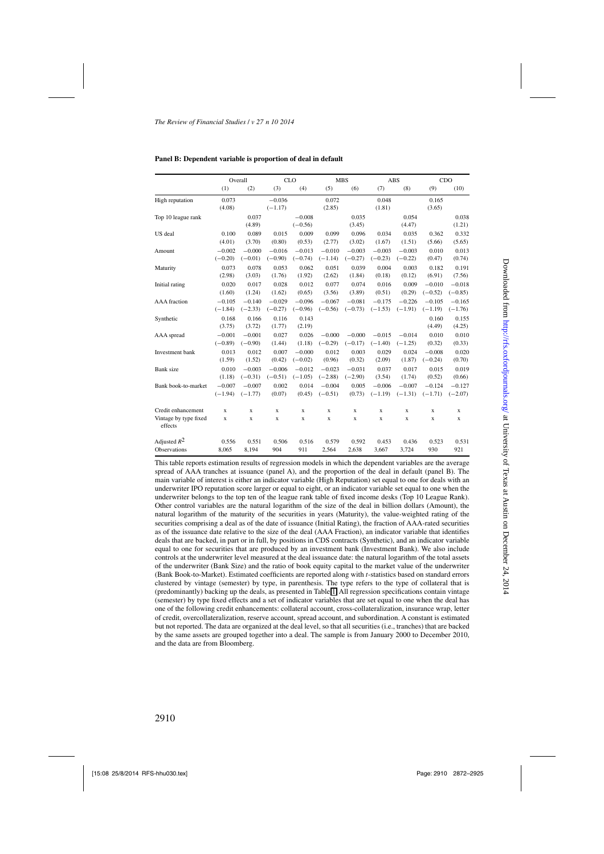|                                  |                 | Overall         |                       | <b>CLO</b>            |                 | <b>MBS</b>      |                 | ABS             |                 | CDO             |
|----------------------------------|-----------------|-----------------|-----------------------|-----------------------|-----------------|-----------------|-----------------|-----------------|-----------------|-----------------|
|                                  | (1)             | (2)             | (3)                   | (4)                   | (5)             | (6)             | (7)             | (8)             | (9)             | (10)            |
| High reputation                  | 0.073<br>(4.08) |                 | $-0.036$<br>$(-1.17)$ |                       | 0.072<br>(2.85) |                 | 0.048<br>(1.81) |                 | 0.165<br>(3.65) |                 |
| Top 10 league rank               |                 | 0.037<br>(4.89) |                       | $-0.008$<br>$(-0.56)$ |                 | 0.035<br>(3.45) |                 | 0.054<br>(4.47) |                 | 0.038<br>(1.21) |
| US deal                          | 0.100           | 0.089           | 0.015                 | 0.009                 | 0.099           | 0.096           | 0.034           | 0.035           | 0.362           | 0.332           |
|                                  | (4.01)          | (3.70)          | (0.80)                | (0.53)                | (2.77)          | (3.02)          | (1.67)          | (1.51)          | (5.66)          | (5.65)          |
| Amount                           | $-0.002$        | $-0.000$        | $-0.016$              | $-0.013$              | $-0.010$        | $-0.003$        | $-0.003$        | $-0.003$        | 0.010           | 0.013           |
|                                  | $(-0.20)$       | $(-0.01)$       | $(-0.90)$             | $(-0.74)$             | $(-1.14)$       | $(-0.27)$       | $(-0.23)$       | $(-0.22)$       | (0.47)          | (0.74)          |
| Maturity                         | 0.073           | 0.078           | 0.053                 | 0.062                 | 0.051           | 0.039           | 0.004           | 0.003           | 0.182           | 0.191           |
|                                  | (2.98)          | (3.03)          | (1.76)                | (1.92)                | (2.62)          | (1.84)          | (0.18)          | (0.12)          | (6.91)          | (7.56)          |
| Initial rating                   | 0.020           | 0.017           | 0.028                 | 0.012                 | 0.077           | 0.074           | 0.016           | 0.009           | $-0.010$        | $-0.018$        |
|                                  | (1.60)          | (1.24)          | (1.62)                | (0.65)                | (3.56)          | (3.89)          | (0.51)          | (0.29)          | $(-0.52)$       | $(-0.85)$       |
| <b>AAA</b> fraction              | $-0.105$        | $-0.140$        | $-0.029$              | $-0.096$              | $-0.067$        | $-0.081$        | $-0.175$        | $-0.226$        | $-0.105$        | $-0.165$        |
|                                  | $(-1.84)$       | $(-2.33)$       | $(-0.27)$             | $(-0.96)$             | $(-0.56)$       | $(-0.73)$       | $(-1.53)$       | $(-1.91)$       | $(-1.19)$       | $(-1.76)$       |
| Synthetic                        | 0.168<br>(3.75) | 0.166<br>(3.72) | 0.116<br>(1.77)       | 0.143<br>(2.19)       |                 |                 |                 |                 | 0.160<br>(4.49) | 0.155<br>(4.25) |
| AAA spread                       | $-0.001$        | $-0.001$        | 0.027                 | 0.026                 | $-0.000$        | $-0.000$        | $-0.015$        | $-0.014$        | 0.010           | 0.010           |
|                                  | $(-0.89)$       | $(-0.90)$       | (1.44)                | (1.18)                | $(-0.29)$       | $(-0.17)$       | $(-1.40)$       | $(-1.25)$       | (0.32)          | (0.33)          |
| Investment bank                  | 0.013           | 0.012           | 0.007                 | $-0.000$              | 0.012           | 0.003           | 0.029           | 0.024           | $-0.008$        | 0.020           |
|                                  | (1.59)          | (1.52)          | (0.42)                | $(-0.02)$             | (0.96)          | (0.32)          | (2.09)          | (1.87)          | $(-0.24)$       | (0.70)          |
| Bank size                        | 0.010           | $-0.003$        | $-0.006$              | $-0.012$              | $-0.023$        | $-0.031$        | 0.037           | 0.017           | 0.015           | 0.019           |
|                                  | (1.18)          | $(-0.31)$       | $(-0.51)$             | $(-1.05)$             | $(-2.88)$       | $(-2.90)$       | (3.54)          | (1.74)          | (0.52)          | (0.66)          |
| Bank book-to-market              | $-0.007$        | $-0.007$        | 0.002                 | 0.014                 | $-0.004$        | 0.005           | $-0.006$        | $-0.007$        | $-0.124$        | $-0.127$        |
|                                  | $(-1.94)$       | $(-1.77)$       | (0.07)                | (0.45)                | $(-0.51)$       | (0.73)          | $(-1.19)$       | $(-1.31)$       | $(-1.71)$       | $(-2.07)$       |
| Credit enhancement               | $\mathbf x$     | $\mathbf x$     | $\mathbf x$           | $\mathbf x$           | x               | x               | x               | x               | $\mathbf x$     | x               |
| Vintage by type fixed<br>effects | $\mathbf x$     | $\mathbf x$     | $\mathbf x$           | $\mathbf x$           | $\mathbf x$     | x               | x               | x               | X               | x               |
| Adjusted $R^2$                   | 0.556           | 0.551           | 0.506                 | 0.516                 | 0.579           | 0.592           | 0.453           | 0.436           | 0.523           | 0.531           |
| Observations                     | 8,065           | 8.194           | 904                   | 911                   | 2,564           | 2,638           | 3,667           | 3,724           | 930             | 921             |

#### **Panel B: Dependent variable is proportion of deal in default**

This table reports estimation results of regression models in which the dependent variables are the average spread of AAA tranches at issuance (panel A), and the proportion of the deal in default (panel B). The main variable of interest is either an indicator variable (High Reputation) set equal to one for deals with an underwriter IPO reputation score larger or equal to eight, or an indicator variable set equal to one when the underwriter belongs to the top ten of the league rank table of fixed income desks (Top 10 League Rank). Other control variables are the natural logarithm of the size of the deal in billion dollars (Amount), the natural logarithm of the maturity of the securities in years (Maturity), the value-weighted rating of the securities comprising a deal as of the date of issuance (Initial Rating), the fraction of AAA-rated securities as of the issuance date relative to the size of the deal (AAA Fraction), an indicator variable that identifies deals that are backed, in part or in full, by positions in CDS contracts (Synthetic), and an indicator variable equal to one for securities that are produced by an investment bank (Investment Bank). We also include controls at the underwriter level measured at the deal issuance date: the natural logarithm of the total assets of the underwriter (Bank Size) and the ratio of book equity capital to the market value of the underwriter (Bank Book-to-Market). Estimated coefficients are reported along with *t*-statistics based on standard errors clustered by vintage (semester) by type, in parenthesis. The type refers to the type of collateral that is (predominantly) backing up the deals, as presented in Table [1.](#page-15-0) All regression specifications contain vintage (semester) by type fixed effects and a set of indicator variables that are set equal to one when the deal has one of the following credit enhancements: collateral account, cross-collateralization, insurance wrap, letter of credit, overcollateralization, reserve account, spread account, and subordination. A constant is estimated but not reported. The data are organized at the deal level, so that all securities (i.e., tranches) that are backed by the same assets are grouped together into a deal. The sample is from January 2000 to December 2010, and the data are from Bloomberg.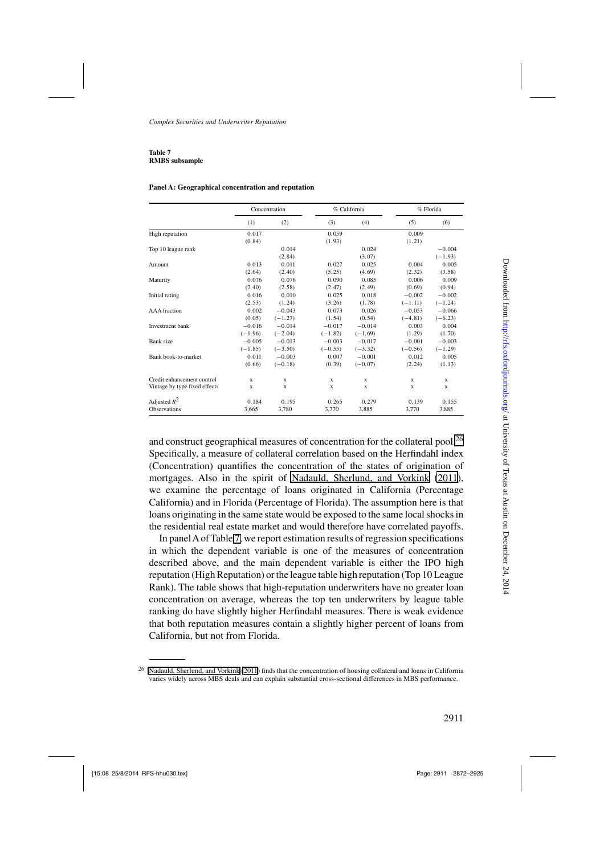#### <span id="page-39-0"></span>**Table 7 RMBS subsample**

|                               |                 | Concentration   |                 | % California    |                 | % Florida             |
|-------------------------------|-----------------|-----------------|-----------------|-----------------|-----------------|-----------------------|
|                               | (1)             | (2)             | (3)             | (4)             | (5)             | (6)                   |
| High reputation               | 0.017<br>(0.84) |                 | 0.059<br>(1.93) |                 | 0.009<br>(1.21) |                       |
| Top 10 league rank            |                 | 0.014<br>(2.84) |                 | 0.024<br>(3.07) |                 | $-0.004$<br>$(-1.93)$ |
| Amount                        | 0.013           | 0.011           | 0.027           | 0.025           | 0.004           | 0.005                 |
|                               | (2.64)          | (2.40)          | (5.25)          | (4.69)          | (2.32)          | (3.58)                |
| Maturity                      | 0.076           | 0.076           | 0.090           | 0.085           | 0.006           | 0.009                 |
|                               | (2.40)          | (2.58)          | (2.47)          | (2.49)          | (0.69)          | (0.94)                |
| Initial rating                | 0.016           | 0.010           | 0.025           | 0.018           | $-0.002$        | $-0.002$              |
|                               | (2.53)          | (1.24)          | (3.26)          | (1.78)          | $(-1.11)$       | $(-1.24)$             |
| AAA fraction                  | 0.002           | $-0.043$        | 0.073           | 0.026           | $-0.053$        | $-0.066$              |
|                               | (0.05)          | $(-1.27)$       | (1.54)          | (0.54)          | $(-4.81)$       | $(-6.23)$             |
| Investment bank               | $-0.016$        | $-0.014$        | $-0.017$        | $-0.014$        | 0.003           | 0.004                 |
|                               | $(-1.96)$       | $(-2.04)$       | $(-1.82)$       | $(-1.69)$       | (1.29)          | (1.70)                |
| Bank size                     | $-0.005$        | $-0.013$        | $-0.003$        | $-0.017$        | $-0.001$        | $-0.003$              |
|                               | $(-1.85)$       | $(-3.50)$       | $(-0.55)$       | $(-3.32)$       | $(-0.56)$       | $(-1.29)$             |
| Bank book-to-market           | 0.011           | $-0.003$        | 0.007           | $-0.001$        | 0.012           | 0.005                 |
|                               | (0.66)          | $(-0.18)$       | (0.39)          | $(-0.07)$       | (2.24)          | (1.13)                |
| Credit enhancement control    | $\mathbf x$     | $\mathbf x$     | X               | X               | $\mathbf x$     | X                     |
| Vintage by type fixed effects | X               | $\mathbf x$     | $\mathbf x$     | $\mathbf x$     | $\mathbf x$     | $\mathbf x$           |
| Adjusted $R^2$                | 0.184           | 0.195           | 0.265           | 0.279           | 0.139           | 0.155                 |
| Observations                  | 3.665           | 3,780           | 3,770           | 3.885           | 3,770           | 3,885                 |

#### **Panel A: Geographical concentration and reputation**

and construct geographical measures of concentration for the collateral pool.<sup>26</sup> Specifically, a measure of collateral correlation based on the Herfindahl index (Concentration) quantifies the concentration of the states of origination of mortgages. Also in the spirit of [Nadauld, Sherlund, and Vorkink](#page-52-0) [\(2011\)](#page-52-0), we examine the percentage of loans originated in California (Percentage California) and in Florida (Percentage of Florida). The assumption here is that loans originating in the same state would be exposed to the same local shocks in the residential real estate market and would therefore have correlated payoffs.

In panel A of Table 7, we report estimation results of regression specifications in which the dependent variable is one of the measures of concentration described above, and the main dependent variable is either the IPO high reputation (High Reputation) or the league table high reputation (Top 10 League Rank). The table shows that high-reputation underwriters have no greater loan concentration on average, whereas the top ten underwriters by league table ranking do have slightly higher Herfindahl measures. There is weak evidence that both reputation measures contain a slightly higher percent of loans from California, but not from Florida.

<sup>26</sup> [Nadauld, Sherlund, and Vorkink](#page-52-0) [\(2011\)](#page-52-0) finds that the concentration of housing collateral and loans in California varies widely across MBS deals and can explain substantial cross-sectional differences in MBS performance.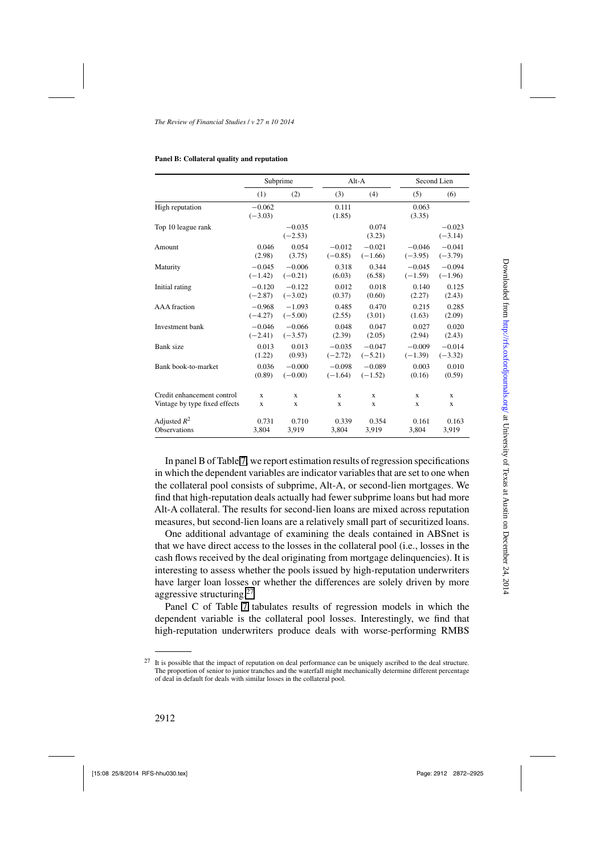|                               |                       | Subprime              |                 | $Alt-A$         | Second Lien     |                       |
|-------------------------------|-----------------------|-----------------------|-----------------|-----------------|-----------------|-----------------------|
|                               | (1)                   | (2)                   | (3)             | (4)             | (5)             | (6)                   |
| High reputation               | $-0.062$<br>$(-3.03)$ |                       | 0.111<br>(1.85) |                 | 0.063<br>(3.35) |                       |
| Top 10 league rank            |                       | $-0.035$<br>$(-2.53)$ |                 | 0.074<br>(3.23) |                 | $-0.023$<br>$(-3.14)$ |
| Amount                        | 0.046                 | 0.054                 | $-0.012$        | $-0.021$        | $-0.046$        | $-0.041$              |
|                               | (2.98)                | (3.75)                | $(-0.85)$       | $(-1.66)$       | $(-3.95)$       | $(-3.79)$             |
| Maturity                      | $-0.045$              | $-0.006$              | 0.318           | 0.344           | $-0.045$        | $-0.094$              |
|                               | $(-1.42)$             | $(-0.21)$             | (6.03)          | (6.58)          | $(-1.59)$       | $(-1.96)$             |
| Initial rating                | $-0.120$              | $-0.122$              | 0.012           | 0.018           | 0.140           | 0.125                 |
|                               | $(-2.87)$             | $(-3.02)$             | (0.37)          | (0.60)          | (2.27)          | (2.43)                |
| <b>AAA</b> fraction           | $-0.968$              | $-1.093$              | 0.485           | 0.470           | 0.215           | 0.285                 |
|                               | $(-4.27)$             | $(-5.00)$             | (2.55)          | (3.01)          | (1.63)          | (2.09)                |
| Investment bank               | $-0.046$              | $-0.066$              | 0.048           | 0.047           | 0.027           | 0.020                 |
|                               | $(-2.41)$             | $(-3.57)$             | (2.39)          | (2.05)          | (2.94)          | (2.43)                |
| Bank size                     | 0.013                 | 0.013                 | $-0.035$        | $-0.047$        | $-0.009$        | $-0.014$              |
|                               | (1.22)                | (0.93)                | $(-2.72)$       | $(-5.21)$       | $(-1.39)$       | $(-3.32)$             |
| Bank book-to-market           | 0.036                 | $-0.000$              | $-0.098$        | $-0.089$        | 0.003           | 0.010                 |
|                               | (0.89)                | $(-0.00)$             | $(-1.64)$       | $(-1.52)$       | (0.16)          | (0.59)                |
| Credit enhancement control    | $\mathbf x$           | X                     | X               | X               | X               | X                     |
| Vintage by type fixed effects | X                     | X                     | $\mathbf x$     | $\mathbf x$     | X               | X                     |
| Adjusted $R^2$                | 0.731                 | 0.710                 | 0.339           | 0.354           | 0.161           | 0.163                 |
| Observations                  | 3,804                 | 3,919                 | 3,804           | 3,919           | 3,804           | 3,919                 |

#### **Panel B: Collateral quality and reputation**

In panel B of Table [7,](#page-39-0) we report estimation results of regression specifications in which the dependent variables are indicator variables that are set to one when the collateral pool consists of subprime, Alt-A, or second-lien mortgages. We find that high-reputation deals actually had fewer subprime loans but had more Alt-A collateral. The results for second-lien loans are mixed across reputation measures, but second-lien loans are a relatively small part of securitized loans.

One additional advantage of examining the deals contained in ABSnet is that we have direct access to the losses in the collateral pool (i.e., losses in the cash flows received by the deal originating from mortgage delinquencies). It is interesting to assess whether the pools issued by high-reputation underwriters have larger loan losses or whether the differences are solely driven by more aggressive structuring.<sup>27</sup>

Panel C of Table [7](#page-39-0) tabulates results of regression models in which the dependent variable is the collateral pool losses. Interestingly, we find that high-reputation underwriters produce deals with worse-performing RMBS

<sup>&</sup>lt;sup>27</sup> It is possible that the impact of reputation on deal performance can be uniquely ascribed to the deal structure. The proportion of senior to junior tranches and the waterfall might mechanically determine different percentage of deal in default for deals with similar losses in the collateral pool.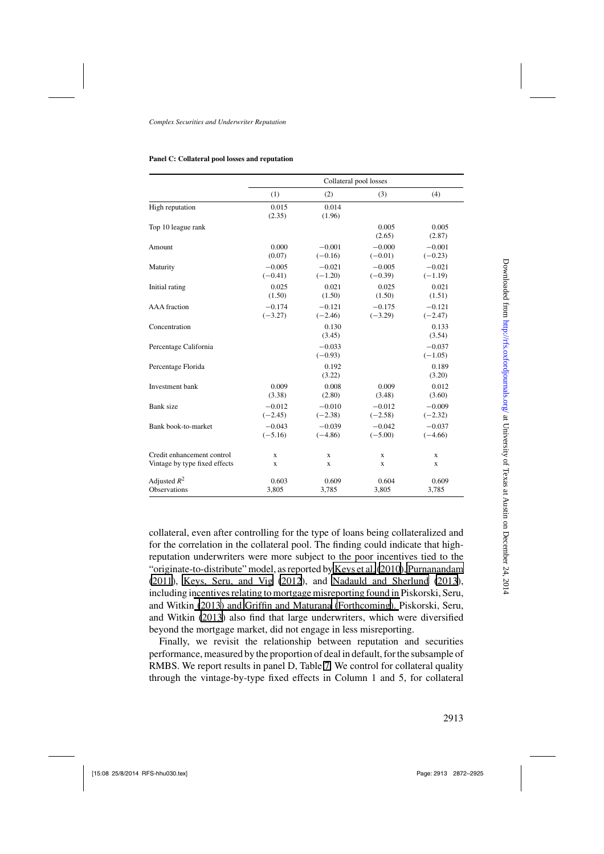|  |  |  | Panel C: Collateral pool losses and reputation |
|--|--|--|------------------------------------------------|
|--|--|--|------------------------------------------------|

|                               |                       |                       | Collateral pool losses |                       |
|-------------------------------|-----------------------|-----------------------|------------------------|-----------------------|
|                               | (1)                   | (2)                   | (3)                    | (4)                   |
| High reputation               | 0.015<br>(2.35)       | 0.014<br>(1.96)       |                        |                       |
| Top 10 league rank            |                       |                       | 0.005<br>(2.65)        | 0.005<br>(2.87)       |
| Amount                        | 0.000<br>(0.07)       | $-0.001$<br>$(-0.16)$ | $-0.000$<br>$(-0.01)$  | $-0.001$<br>$(-0.23)$ |
| Maturity                      | $-0.005$<br>$(-0.41)$ | $-0.021$<br>$(-1.20)$ | $-0.005$<br>$(-0.39)$  | $-0.021$<br>$(-1.19)$ |
| Initial rating                | 0.025<br>(1.50)       | 0.021<br>(1.50)       | 0.025<br>(1.50)        | 0.021<br>(1.51)       |
| <b>AAA</b> fraction           | $-0.174$<br>$(-3.27)$ | $-0.121$<br>$(-2.46)$ | $-0.175$<br>$(-3.29)$  | $-0.121$<br>$(-2.47)$ |
| Concentration                 |                       | 0.130<br>(3.45)       |                        | 0.133<br>(3.54)       |
| Percentage California         |                       | $-0.033$<br>$(-0.93)$ |                        | $-0.037$<br>$(-1.05)$ |
| Percentage Florida            |                       | 0.192<br>(3.22)       |                        | 0.189<br>(3.20)       |
| Investment bank               | 0.009<br>(3.38)       | 0.008<br>(2.80)       | 0.009<br>(3.48)        | 0.012<br>(3.60)       |
| <b>Bank</b> size              | $-0.012$<br>$(-2.45)$ | $-0.010$<br>$(-2.38)$ | $-0.012$<br>$(-2.58)$  | $-0.009$<br>$(-2.32)$ |
| Bank book-to-market           | $-0.043$<br>$(-5.16)$ | $-0.039$<br>$(-4.86)$ | $-0.042$<br>$(-5.00)$  | $-0.037$<br>$(-4.66)$ |
| Credit enhancement control    | X                     | X                     | X                      | X                     |
| Vintage by type fixed effects | X                     | X                     | X                      | X                     |
| Adjusted $R^2$                | 0.603                 | 0.609                 | 0.604                  | 0.609                 |
| Observations                  | 3,805                 | 3,785                 | 3,805                  | 3,785                 |

collateral, even after controlling for the type of loans being collateralized and for the correlation in the collateral pool. The finding could indicate that highreputation underwriters were more subject to the poor incentives tied to the "originate-to-distribute" model, as reported by [Keys et al.](#page-52-0) [\(2010](#page-52-0)), [Purnanandam](#page-52-0) [\(2011](#page-52-0)), [Keys, Seru, and Vig](#page-52-0) [\(2012\)](#page-52-0), and [Nadauld and Sherlund](#page-52-0) [\(2013\)](#page-52-0), including i[ncentives relating to mortgage misreporting found in](#page-52-0) Piskorski, Seru, and Witkin [\(2013\) and Griffin and Maturana \(Forthcoming\).](#page-52-0) Piskorski, Seru, and Witkin [\(2013\)](#page-52-0) also find that large underwriters, which were diversified beyond the mortgage market, did not engage in less misreporting.

Finally, we revisit the relationship between reputation and securities performance, measured by the proportion of deal in default, for the subsample of RMBS. We report results in panel D, Table [7.](#page-39-0) We control for collateral quality through the vintage-by-type fixed effects in Column 1 and 5, for collateral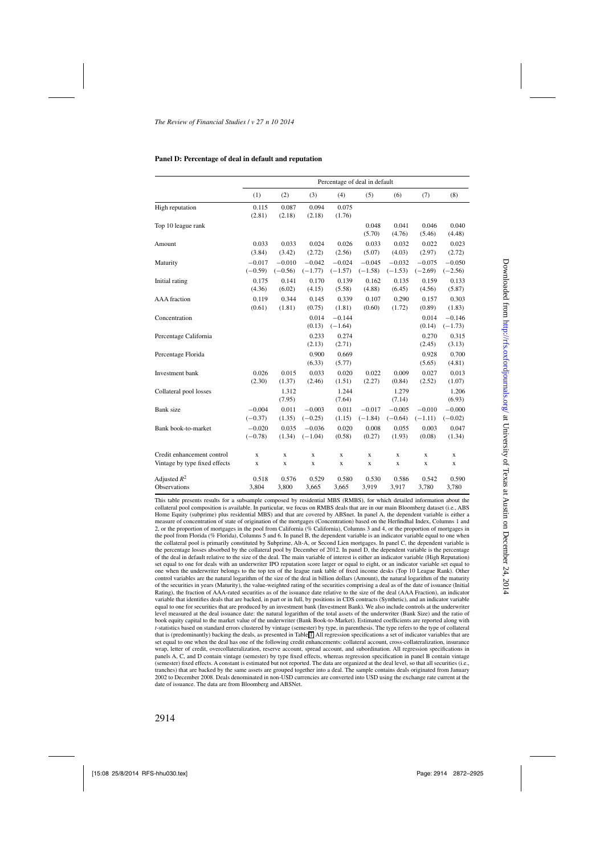#### **Panel D: Percentage of deal in default and reputation**

|                               |                 |                 |                 |                       | Percentage of deal in default |                 |                 |                       |
|-------------------------------|-----------------|-----------------|-----------------|-----------------------|-------------------------------|-----------------|-----------------|-----------------------|
|                               | (1)             | (2)             | (3)             | (4)                   | (5)                           | (6)             | (7)             | (8)                   |
| High reputation               | 0.115<br>(2.81) | 0.087<br>(2.18) | 0.094<br>(2.18) | 0.075<br>(1.76)       |                               |                 |                 |                       |
| Top 10 league rank            |                 |                 |                 |                       | 0.048<br>(5.70)               | 0.041<br>(4.76) | 0.046<br>(5.46) | 0.040<br>(4.48)       |
| Amount                        | 0.033           | 0.033           | 0.024           | 0.026                 | 0.033                         | 0.032           | 0.022           | 0.023                 |
|                               | (3.84)          | (3.42)          | (2.72)          | (2.56)                | (5.07)                        | (4.03)          | (2.97)          | (2.72)                |
| Maturity                      | $-0.017$        | $-0.010$        | $-0.042$        | $-0.024$              | $-0.045$                      | $-0.032$        | $-0.075$        | $-0.050$              |
|                               | $(-0.59)$       | $(-0.56)$       | $(-1.77)$       | $(-1.57)$             | $(-1.58)$                     | $(-1.53)$       | $(-2.69)$       | $(-2.56)$             |
| Initial rating                | 0.175           | 0.141           | 0.170           | 0.139                 | 0.162                         | 0.135           | 0.159           | 0.133                 |
|                               | (4.36)          | (6.02)          | (4.15)          | (5.58)                | (4.88)                        | (6.45)          | (4.56)          | (5.87)                |
| <b>AAA</b> fraction           | 0.119           | 0.344           | 0.145           | 0.339                 | 0.107                         | 0.290           | 0.157           | 0.303                 |
|                               | (0.61)          | (1.81)          | (0.75)          | (1.81)                | (0.60)                        | (1.72)          | (0.89)          | (1.83)                |
| Concentration                 |                 |                 | 0.014<br>(0.13) | $-0.144$<br>$(-1.64)$ |                               |                 | 0.014<br>(0.14) | $-0.146$<br>$(-1.73)$ |
| Percentage California         |                 |                 | 0.233<br>(2.13) | 0.274<br>(2.71)       |                               |                 | 0.270<br>(2.45) | 0.315<br>(3.13)       |
| Percentage Florida            |                 |                 | 0.900<br>(6.33) | 0.669<br>(5.77)       |                               |                 | 0.928<br>(5.65) | 0.700<br>(4.81)       |
| Investment bank               | 0.026           | 0.015           | 0.033           | 0.020                 | 0.022                         | 0.009           | 0.027           | 0.013                 |
|                               | (2.30)          | (1.37)          | (2.46)          | (1.51)                | (2.27)                        | (0.84)          | (2.52)          | (1.07)                |
| Collateral pool losses        |                 | 1.312<br>(7.95) |                 | 1.244<br>(7.64)       |                               | 1.279<br>(7.14) |                 | 1.206<br>(6.93)       |
| Bank size                     | $-0.004$        | 0.011           | $-0.003$        | 0.011                 | $-0.017$                      | $-0.005$        | $-0.010$        | $-0.000$              |
|                               | $(-0.37)$       | (1.35)          | $(-0.25)$       | (1.15)                | $(-1.84)$                     | $(-0.64)$       | $(-1.11)$       | $(-0.02)$             |
| Bank book-to-market           | $-0.020$        | 0.035           | $-0.036$        | 0.020                 | 0.008                         | 0.055           | 0.003           | 0.047                 |
|                               | $(-0.78)$       | (1.34)          | $(-1.04)$       | (0.58)                | (0.27)                        | (1.93)          | (0.08)          | (1.34)                |
| Credit enhancement control    | X               | X               | X               | X                     | X                             | $\mathbf x$     | $\mathbf x$     | $\mathbf x$           |
| Vintage by type fixed effects | $\mathbf X$     | X               | $\mathbf X$     | X                     | $\mathbf x$                   | $\mathbf x$     | $\mathbf x$     | $\mathbf x$           |
| Adjusted $R^2$                | 0.518           | 0.576           | 0.529           | 0.580                 | 0.530                         | 0.586           | 0.542           | 0.590                 |
| Observations                  | 3,804           | 3,800           | 3,665           | 3,665                 | 3,919                         | 3,917           | 3,780           | 3,780                 |

This table presents results for a subsample composed by residential MBS (RMBS), for which detailed information about the collateral pool composition is available. In particular, we focus on RMBS deals that are in our main Bloomberg dataset (i.e., ABS Home Equity (subprime) plus residential MBS) and that are covered by ABSnet. In panel A, the dependent variable is either a measure of concentration of state of origination of the mortgages (Concentration) based on the Herfindhal Index, Columns 1 and 2, or the proportion of mortgages in the pool from California (% California), Columns 3 and 4, or the proportion of mortgages in the pool from Florida (% Florida), Columns 5 and 6. In panel B, the dependent variable is an indicator variable equal to one when the collateral pool is primarily constituted by Subprime, Alt-A, or Second Lien mortgages. In panel C, the dependent variable is the percentage losses absorbed by the collateral pool by December of 2012. In panel D, the dependent variable is the percentage of the deal in default relative to the size of the deal. The main variable of interest is either an indicator variable (High Reputation) set equal to one for deals with an underwriter IPO reputation score larger or equal to eight, or an indicator variable set equal to one when the underwriter belongs to the top ten of the league rank table of fixed income desks (Top 10 League Rank). Other control variables are the natural logarithm of the size of the deal in billion dollars (Amount), the natural logarithm of the maturity of the securities in years (Maturity), the value-weighted rating of the securities comprising a deal as of the date of issuance (Initial Rating), the fraction of AAA-rated securities as of the issuance date relative to the size of the deal (AAA Fraction), an indicator variable that identifies deals that are backed, in part or in full, by positions in CDS contracts (Synthetic), and an indicator variable equal to one for securities that are produced by an investment bank (Investment Bank). We also include controls at the underwriter level measured at the deal issuance date: the natural logarithm of the total assets of the underwriter (Bank Size) and the ratio of book equity capital to the market value of the underwriter (Bank Book-to-Market). Estimated coefficients are reported along with *t*-statistics based on standard errors clustered by vintage (semester) by type, in parenthesis. The type refers to the type of collateral that is (predominantly) backing the deals, as presented in Table [1.](#page-15-0) All regression specifications a set of indicator variables that are set equal to one when the deal has one of the following credit enhancements: collateral account, cross-collateralization, insurance wrap, letter of credit, overcollateralization, reserve account, spread account, and subordination. All regression specifications in panels A, C, and D contain vintage (semester) by type fixed effects, whereas regression specification in panel B contain vintage (semester) fixed effects. A constant is estimated but not reported. The data are organized at the deal level, so that all securities (i.e., tranches) that are backed by the same assets are grouped together into a deal. The sample contains deals originated from January 2002 to December 2008. Deals denominated in non-USD currencies are converted into USD using the exchange rate current at the date of issuance. The data are from Bloomberg and ABSNet.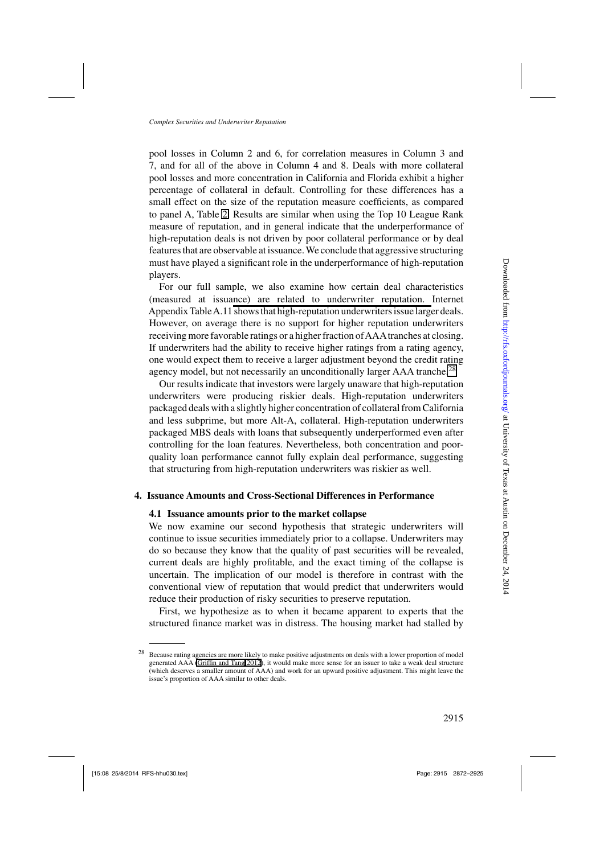pool losses in Column 2 and 6, for correlation measures in Column 3 and 7, and for all of the above in Column 4 and 8. Deals with more collateral pool losses and more concentration in California and Florida exhibit a higher percentage of collateral in default. Controlling for these differences has a small effect on the size of the reputation measure coefficients, as compared to panel A, Table [2.](#page-23-0) Results are similar when using the Top 10 League Rank measure of reputation, and in general indicate that the underperformance of high-reputation deals is not driven by poor collateral performance or by deal features that are observable at issuance.We conclude that aggressive structuring must have played a significant role in the underperformance of high-reputation players.

For our full sample, we also examine how certain deal characteristics (measured at issuance) are related to underwriter reputation. Internet Appendix TableA.11 shows that high-reputation underwriters issue larger deals. However, on average there is no support for higher reputation underwriters receiving more favorable ratings or a higher fraction of AAA tranches at closing. If underwriters had the ability to receive higher ratings from a rating agency, one would expect them to receive a larger adjustment beyond the credit rating agency model, but not necessarily an unconditionally larger AAA tranche.<sup>28</sup>

Our results indicate that investors were largely unaware that high-reputation underwriters were producing riskier deals. High-reputation underwriters packaged deals with a slightly higher concentration of collateral from California and less subprime, but more Alt-A, collateral. High-reputation underwriters packaged MBS deals with loans that subsequently underperformed even after controlling for the loan features. Nevertheless, both concentration and poorquality loan performance cannot fully explain deal performance, suggesting that structuring from high-reputation underwriters was riskier as well.

## **4. Issuance Amounts and Cross-Sectional Differences in Performance**

## **4.1 Issuance amounts prior to the market collapse**

We now examine our second hypothesis that strategic underwriters will continue to issue securities immediately prior to a collapse. Underwriters may do so because they know that the quality of past securities will be revealed, current deals are highly profitable, and the exact timing of the collapse is uncertain. The implication of our model is therefore in contrast with the conventional view of reputation that would predict that underwriters would reduce their production of risky securities to preserve reputation.

First, we hypothesize as to when it became apparent to experts that the structured finance market was in distress. The housing market had stalled by

<sup>&</sup>lt;sup>28</sup> Because rating agencies are more likely to make positive adjustments on deals with a lower proportion of model generated AAA [\(Griffin and Tang 2012\)](#page-52-0), it would make more sense for an issuer to take a weak deal structure (which deserves a smaller amount of AAA) and work for an upward positive adjustment. This might leave the issue's proportion of AAA similar to other deals.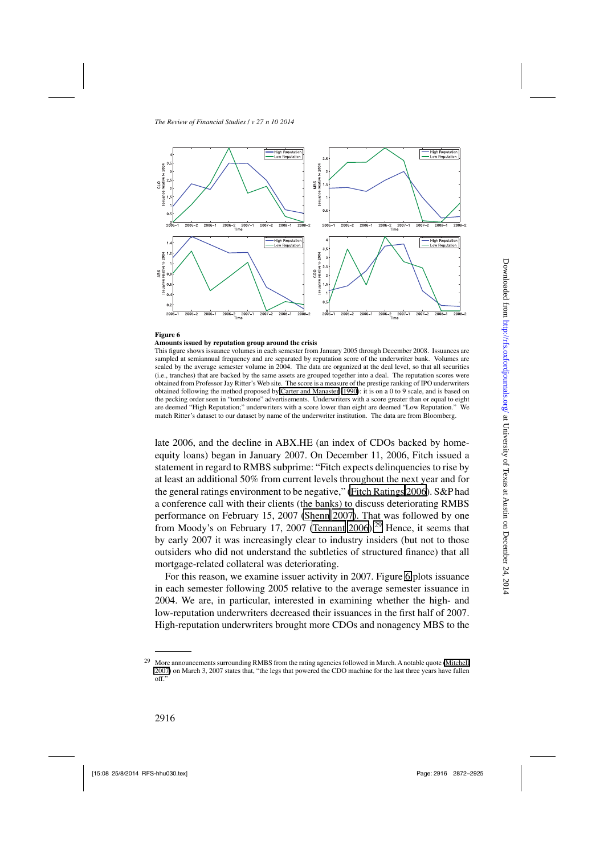

#### **Figure 6**

#### **Amounts issued by reputation group around the crisis**

This figure shows issuance volumes in each semester from January 2005 through December 2008. Issuances are sampled at semiannual frequency and are separated by reputation score of the underwriter bank. Volumes are scaled by the average semester volume in 2004. The data are organized at the deal level, so that all securities (i.e., tranches) that are backed by the same assets are grouped together into a deal. The reputation scores were obtained from Professor Jay Ritter's Web site. The score is a measure of the prestige ranking of IPO underwriters obtained following the method proposed by [Carter and Manaster](#page-51-0) [\(1990\)](#page-51-0): it is on a 0 to 9 scale, and is based on the pecking order seen in "tombstone" advertisements. Underwriters with a score greater than or equal to eight are deemed "High Reputation;" underwriters with a score lower than eight are deemed "Low Reputation." We match Ritter's dataset to our dataset by name of the underwriter institution. The data are from Bloomberg.

late 2006, and the decline in ABX.HE (an index of CDOs backed by homeequity loans) began in January 2007. On December 11, 2006, Fitch issued a statement in regard to RMBS subprime: "Fitch expects delinquencies to rise by at least an additional 50% from current levels throughout the next year and for the general ratings environment to be negative," [\(Fitch Ratings 2006\)](#page-51-0). S&P had a conference call with their clients (the banks) to discuss deteriorating RMBS performance on February 15, 2007 [\(Shenn 2007\)](#page-53-0). That was followed by one from Moody's on February 17, 2007 [\(Tennant 2006\)](#page-53-0).<sup>29</sup> Hence, it seems that by early 2007 it was increasingly clear to industry insiders (but not to those outsiders who did not understand the subtleties of structured finance) that all mortgage-related collateral was deteriorating.

For this reason, we examine issuer activity in 2007. Figure 6 plots issuance in each semester following 2005 relative to the average semester issuance in 2004. We are, in particular, interested in examining whether the high- and low-reputation underwriters decreased their issuances in the first half of 2007. High-reputation underwriters brought more CDOs and nonagency MBS to the

<sup>29</sup> More announcements surrounding RMBS from the rating agencies followed in March. A notable quote [\(Mitchell](#page-52-0) [2007](#page-52-0)) on March 3, 2007 states that, "the legs that powered the CDO machine for the last three years have fallen off."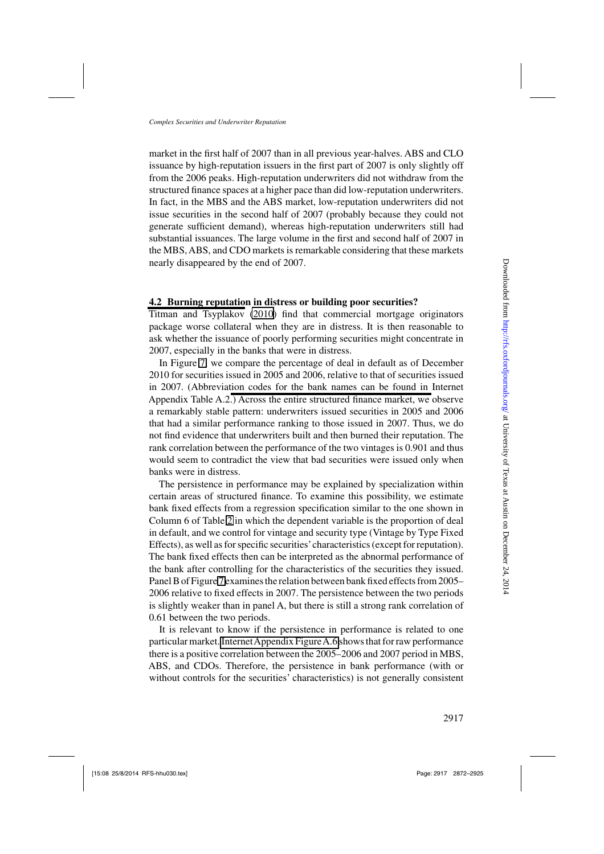market in the first half of 2007 than in all previous year-halves. ABS and CLO issuance by high-reputation issuers in the first part of 2007 is only slightly off from the 2006 peaks. High-reputation underwriters did not withdraw from the structured finance spaces at a higher pace than did low-reputation underwriters. In fact, in the MBS and the ABS market, low-reputation underwriters did not issue securities in the second half of 2007 (probably because they could not generate sufficient demand), whereas high-reputation underwriters still had substantial issuances. The large volume in the first and second half of 2007 in the MBS, ABS, and CDO markets is remarkable considering that these markets nearly disappeared by the end of 2007.

## **[4.2](#page-53-0) [Burning](#page-53-0) [reputatio](#page-53-0)n in distress or building poor securities?**

Titman and Tsyplakov [\(2010](#page-53-0)) find that commercial mortgage originators package worse collateral when they are in distress. It is then reasonable to ask whether the issuance of poorly performing securities might concentrate in 2007, especially in the banks that were in distress.

In Figure [7,](#page-46-0) we compare the percentage of deal in default as of December 2010 for securities issued in 2005 and 2006, relative to that of securities issued in 2007. (Abbreviation codes for the bank names can be found in Internet Appendix Table A.2.) Across the entire structured finance market, we observe a remarkably stable pattern: underwriters issued securities in 2005 and 2006 that had a similar performance ranking to those issued in 2007. Thus, we do not find evidence that underwriters built and then burned their reputation. The rank correlation between the performance of the two vintages is 0.901 and thus would seem to contradict the view that bad securities were issued only when banks were in distress.

The persistence in performance may be explained by specialization within certain areas of structured finance. To examine this possibility, we estimate bank fixed effects from a regression specification similar to the one shown in Column 6 of Table [2](#page-23-0) in which the dependent variable is the proportion of deal in default, and we control for vintage and security type (Vintage by Type Fixed Effects), as well as for specific securities'characteristics (except for reputation). The bank fixed effects then can be interpreted as the abnormal performance of the bank after controlling for the characteristics of the securities they issued. Panel B of Figure [7](#page-46-0) examines the relation between bank fixed effects from 2005– 2006 relative to fixed effects in 2007. The persistence between the two periods is slightly weaker than in panel A, but there is still a strong rank correlation of 0.61 between the two periods.

It is relevant to know if the persistence in performance is related to one particular market. Internet Appendix Figure A.6 shows that for raw performance there is a positive correlation between the 2005–2006 and 2007 period in MBS, ABS, and CDOs. Therefore, the persistence in bank performance (with or without controls for the securities' characteristics) is not generally consistent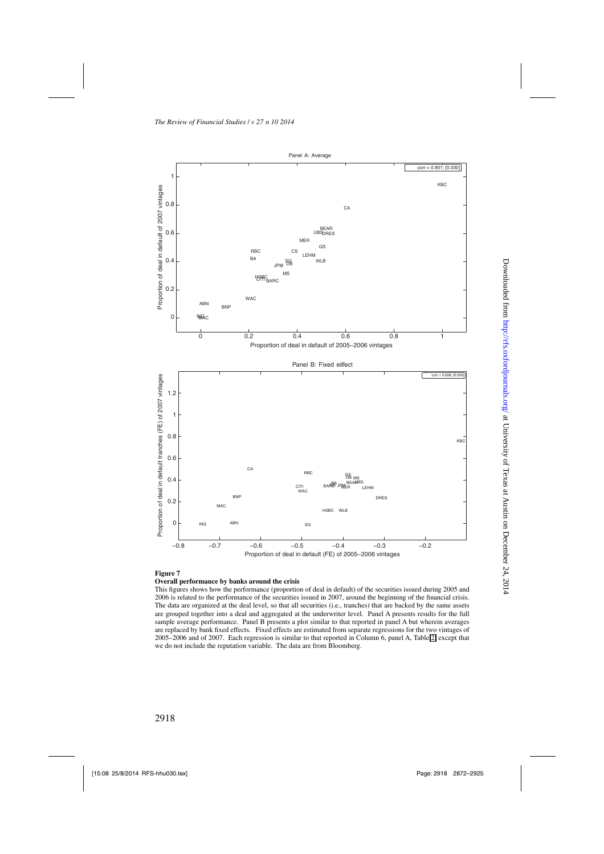<span id="page-46-0"></span>

#### **Figure 7**

#### **Overall performance by banks around the crisis**

This figures shows how the performance (proportion of deal in default) of the securities issued during 2005 and 2006 is related to the performance of the securities issued in 2007, around the beginning of the financial crisis. The data are organized at the deal level, so that all securities (i.e., tranches) that are backed by the same assets are grouped together into a deal and aggregated at the underwriter level. Panel A presents results for the full sample average performance. Panel B presents a plot similar to that reported in panel A but wherein averages are replaced by bank fixed effects. Fixed effects are estimated from separate regressions for the two vintages of 2005–2006 and of 2007. Each regression is similar to that reported in Column 6, panel A, Table [2,](#page-23-0) except that we do not include the reputation variable. The data are from Bloomberg.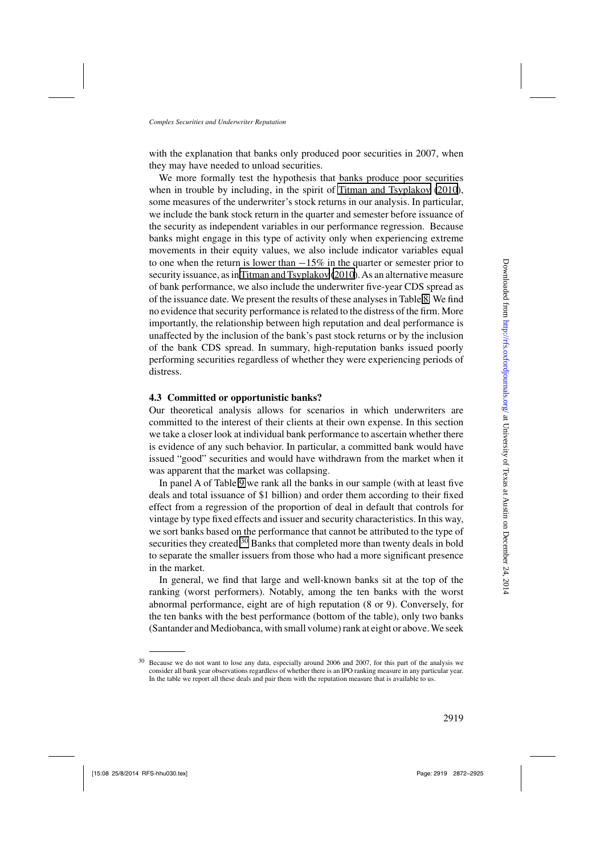with the explanation that banks only produced poor securities in 2007, when they may have needed to unload securities.

We more formally test the hypothesis that banks produce poor securities when in trouble by including, in the spirit of [Titman and Tsyplakov](#page-53-0) [\(2010\)](#page-53-0), some measures of the underwriter's stock returns in our analysis. In particular, we include the bank stock return in the quarter and semester before issuance of the security as independent variables in our performance regression. Because banks might engage in this type of activity only when experiencing extreme movements in their equity values, we also include indicator variables equal to one when the return is lower than  $-15\%$  in the quarter or semester prior to security issuance, as in [Titman and Tsyplakov](#page-53-0) [\(2010\)](#page-53-0). As an alternative measure of bank performance, we also include the underwriter five-year CDS spread as of the issuance date. We present the results of these analyses in Table [8.](#page-48-0) We find no evidence that security performance is related to the distress of the firm. More importantly, the relationship between high reputation and deal performance is unaffected by the inclusion of the bank's past stock returns or by the inclusion of the bank CDS spread. In summary, high-reputation banks issued poorly performing securities regardless of whether they were experiencing periods of distress.

## **4.3 Committed or opportunistic banks?**

Our theoretical analysis allows for scenarios in which underwriters are committed to the interest of their clients at their own expense. In this section we take a closer look at individual bank performance to ascertain whether there is evidence of any such behavior. In particular, a committed bank would have issued "good" securities and would have withdrawn from the market when it was apparent that the market was collapsing.

In panel A of Table [9](#page-49-0) we rank all the banks in our sample (with at least five deals and total issuance of \$1 billion) and order them according to their fixed effect from a regression of the proportion of deal in default that controls for vintage by type fixed effects and issuer and security characteristics. In this way, we sort banks based on the performance that cannot be attributed to the type of securities they created.<sup>30</sup> Banks that completed more than twenty deals in bold to separate the smaller issuers from those who had a more significant presence in the market.

In general, we find that large and well-known banks sit at the top of the ranking (worst performers). Notably, among the ten banks with the worst abnormal performance, eight are of high reputation (8 or 9). Conversely, for the ten banks with the best performance (bottom of the table), only two banks (Santander and Mediobanca, with small volume) rank at eight or above.We seek

<sup>30</sup> Because we do not want to lose any data, especially around 2006 and 2007, for this part of the analysis we consider all bank year observations regardless of whether there is an IPO ranking measure in any particular year. In the table we report all these deals and pair them with the reputation measure that is available to us.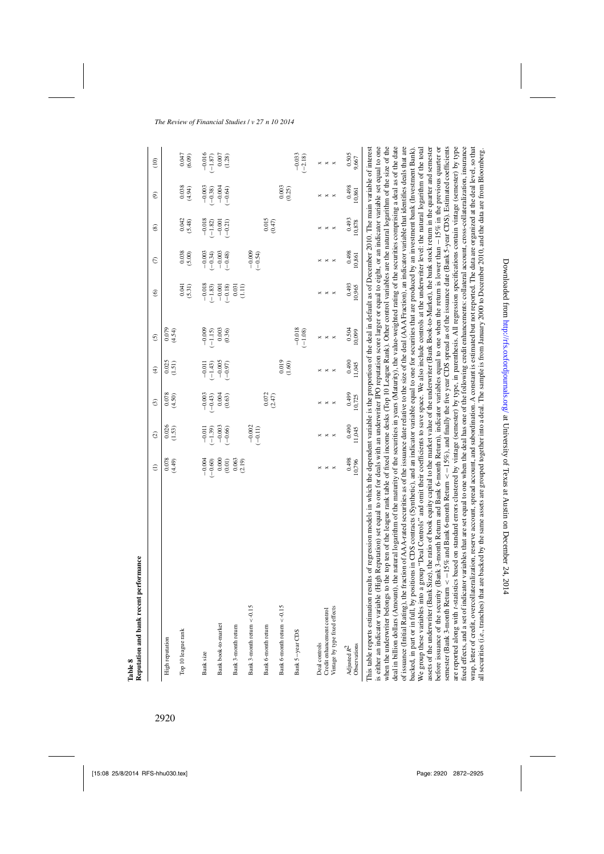<span id="page-48-0"></span>

| performance<br>Reputation and bank recent                                                                                                                                                                                                                                                                                                                                                                                                                                                                                                                                                                                                                                                                                                                                                                                                                                                                                                                                                                                                                                                                                                                                                                                                                                                                                                                                                                                                                                                                                                                                                                                                                                                                                                                                                                                                                                                                                                                                                                                                                                                                                                                                                                                                                                                                                                                                                                                                                                                                                                    |                            |                       |                            |                       |                        |                        |                            |                            |                        |                        |
|----------------------------------------------------------------------------------------------------------------------------------------------------------------------------------------------------------------------------------------------------------------------------------------------------------------------------------------------------------------------------------------------------------------------------------------------------------------------------------------------------------------------------------------------------------------------------------------------------------------------------------------------------------------------------------------------------------------------------------------------------------------------------------------------------------------------------------------------------------------------------------------------------------------------------------------------------------------------------------------------------------------------------------------------------------------------------------------------------------------------------------------------------------------------------------------------------------------------------------------------------------------------------------------------------------------------------------------------------------------------------------------------------------------------------------------------------------------------------------------------------------------------------------------------------------------------------------------------------------------------------------------------------------------------------------------------------------------------------------------------------------------------------------------------------------------------------------------------------------------------------------------------------------------------------------------------------------------------------------------------------------------------------------------------------------------------------------------------------------------------------------------------------------------------------------------------------------------------------------------------------------------------------------------------------------------------------------------------------------------------------------------------------------------------------------------------------------------------------------------------------------------------------------------------|----------------------------|-----------------------|----------------------------|-----------------------|------------------------|------------------------|----------------------------|----------------------------|------------------------|------------------------|
|                                                                                                                                                                                                                                                                                                                                                                                                                                                                                                                                                                                                                                                                                                                                                                                                                                                                                                                                                                                                                                                                                                                                                                                                                                                                                                                                                                                                                                                                                                                                                                                                                                                                                                                                                                                                                                                                                                                                                                                                                                                                                                                                                                                                                                                                                                                                                                                                                                                                                                                                              | $\widehat{c}$              | $\widehat{c}$         | ම                          | $\oplus$              | 6                      | $_{\circledcirc}$      | $\epsilon$                 | 3                          | ම                      | $\widehat{=}$          |
| High reputation                                                                                                                                                                                                                                                                                                                                                                                                                                                                                                                                                                                                                                                                                                                                                                                                                                                                                                                                                                                                                                                                                                                                                                                                                                                                                                                                                                                                                                                                                                                                                                                                                                                                                                                                                                                                                                                                                                                                                                                                                                                                                                                                                                                                                                                                                                                                                                                                                                                                                                                              | 0.078<br>(4.49)            | 0.026<br>(1.53)       | 0.078<br>(4.50)            | 0.025<br>(1.51)       | 0.079<br>(4.54)        |                        |                            |                            |                        |                        |
| Top 10 league rank                                                                                                                                                                                                                                                                                                                                                                                                                                                                                                                                                                                                                                                                                                                                                                                                                                                                                                                                                                                                                                                                                                                                                                                                                                                                                                                                                                                                                                                                                                                                                                                                                                                                                                                                                                                                                                                                                                                                                                                                                                                                                                                                                                                                                                                                                                                                                                                                                                                                                                                           |                            |                       |                            |                       |                        | (5.31)<br>0.041        | 0.038<br>(5.00)            | 0.042<br>(5.48)            | 0.038<br>(4.94)        | 0.047<br>(6.09)        |
| Bank size                                                                                                                                                                                                                                                                                                                                                                                                                                                                                                                                                                                                                                                                                                                                                                                                                                                                                                                                                                                                                                                                                                                                                                                                                                                                                                                                                                                                                                                                                                                                                                                                                                                                                                                                                                                                                                                                                                                                                                                                                                                                                                                                                                                                                                                                                                                                                                                                                                                                                                                                    | $-0.004$<br>$(-0.60)$      | $-0.011$<br>$(-1.39)$ | $-0.003$<br>$-0.43$        | $-0.011$<br>$(-1.43)$ | $-0.009$<br>$(-1.15)$  | $-0.018$<br>$(-1.83)$  | $-0.003$<br>$(-0.34)$      | $-0.018$<br>$(-1.82)$      | $-0.003$<br>$(-0.38)$  | $-0.016$<br>$(-1.87)$  |
| Bank book-to-market                                                                                                                                                                                                                                                                                                                                                                                                                                                                                                                                                                                                                                                                                                                                                                                                                                                                                                                                                                                                                                                                                                                                                                                                                                                                                                                                                                                                                                                                                                                                                                                                                                                                                                                                                                                                                                                                                                                                                                                                                                                                                                                                                                                                                                                                                                                                                                                                                                                                                                                          | 0.000<br>(0.01)            | $-0.003$<br>$(-0.66)$ | 0.004<br>(0.63)            | $-0.005$<br>$(-0.97)$ | 0.003<br>(0.36)        | $(-0.18)$<br>$-0.001$  | $-0.003$<br>$(-0.48)$      | $-0.001$<br>$(-0.21)$      | $-0.004$<br>$(-0.64)$  | 0.007<br>(1.28)        |
| Bank 3-month return                                                                                                                                                                                                                                                                                                                                                                                                                                                                                                                                                                                                                                                                                                                                                                                                                                                                                                                                                                                                                                                                                                                                                                                                                                                                                                                                                                                                                                                                                                                                                                                                                                                                                                                                                                                                                                                                                                                                                                                                                                                                                                                                                                                                                                                                                                                                                                                                                                                                                                                          | 0.063<br>(2.19)            |                       |                            |                       |                        | 0.031<br>$\frac{1}{2}$ |                            |                            |                        |                        |
| Bank 3-month return <- 0.15                                                                                                                                                                                                                                                                                                                                                                                                                                                                                                                                                                                                                                                                                                                                                                                                                                                                                                                                                                                                                                                                                                                                                                                                                                                                                                                                                                                                                                                                                                                                                                                                                                                                                                                                                                                                                                                                                                                                                                                                                                                                                                                                                                                                                                                                                                                                                                                                                                                                                                                  |                            | $-0.002$<br>$(-0.11)$ |                            |                       |                        |                        | $-0.009$<br>$(-0.54)$      |                            |                        |                        |
| Bank 6-month return                                                                                                                                                                                                                                                                                                                                                                                                                                                                                                                                                                                                                                                                                                                                                                                                                                                                                                                                                                                                                                                                                                                                                                                                                                                                                                                                                                                                                                                                                                                                                                                                                                                                                                                                                                                                                                                                                                                                                                                                                                                                                                                                                                                                                                                                                                                                                                                                                                                                                                                          |                            |                       | 0.072<br>(2.47)            |                       |                        |                        |                            | 0.015<br>(0.47)            |                        |                        |
| Bank 6-month return $<-0.15$                                                                                                                                                                                                                                                                                                                                                                                                                                                                                                                                                                                                                                                                                                                                                                                                                                                                                                                                                                                                                                                                                                                                                                                                                                                                                                                                                                                                                                                                                                                                                                                                                                                                                                                                                                                                                                                                                                                                                                                                                                                                                                                                                                                                                                                                                                                                                                                                                                                                                                                 |                            |                       |                            | 0.019<br>(1.60)       |                        |                        |                            |                            | 0.003<br>(0.25)        |                        |
| Bank 5-year CDS                                                                                                                                                                                                                                                                                                                                                                                                                                                                                                                                                                                                                                                                                                                                                                                                                                                                                                                                                                                                                                                                                                                                                                                                                                                                                                                                                                                                                                                                                                                                                                                                                                                                                                                                                                                                                                                                                                                                                                                                                                                                                                                                                                                                                                                                                                                                                                                                                                                                                                                              |                            |                       |                            |                       | $-0.018$<br>$(-1.08)$  |                        |                            |                            |                        | $-0.033$<br>$(-2.18)$  |
| Vintage by type fixed effects<br>Credit enhancement control<br>Deal controls                                                                                                                                                                                                                                                                                                                                                                                                                                                                                                                                                                                                                                                                                                                                                                                                                                                                                                                                                                                                                                                                                                                                                                                                                                                                                                                                                                                                                                                                                                                                                                                                                                                                                                                                                                                                                                                                                                                                                                                                                                                                                                                                                                                                                                                                                                                                                                                                                                                                 | $\times$ $\times$ $\times$ | × × ×                 | $\times$ $\times$ $\times$ | $\times$ $\times$     | $\times$ $\times$<br>× | × × ×                  | $\times$ $\times$ $\times$ | $\times$ $\times$ $\times$ | $\times$ $\times$<br>× | $\times$ $\times$<br>× |
| Observations<br>Adjusted $R^2$                                                                                                                                                                                                                                                                                                                                                                                                                                                                                                                                                                                                                                                                                                                                                                                                                                                                                                                                                                                                                                                                                                                                                                                                                                                                                                                                                                                                                                                                                                                                                                                                                                                                                                                                                                                                                                                                                                                                                                                                                                                                                                                                                                                                                                                                                                                                                                                                                                                                                                               | 0.498<br>10,796            | 0.490<br>11,045       | 0.499<br>10,725            | 0.490<br>11,045       | 0.504<br>10,099        | 0.493<br>10,965        | 0.498<br>10,861            | 0.493<br>10,878            | 0.498<br>10,861        | 0.505<br>9,667         |
| is either an indicator variable (High Reputation) set equal to one for deals with an underwriter IPO reputation score larger or equal to eight, or an indicator variable set equal to one<br>when the underwriter belongs to the top ten of the league rank table of fixed income desks (Top 10 League Rank). Other control variables are the natural logarithm of the size of the<br>deal in billion dollars (Amount), the natural logarithm of the maturity of the securities in years (Maturity), the value-weighted rating of the securities comprising a deal as of the date<br>of issuance (Initial Rating), the fraction of AAA-rated securities as of the issuance date relative to the size of the deal (AAA Fraction), an indicator variable that identifies deals that are<br>assets of the underwriter (Bank Size), the ratio of book equity capital to the market value of the underwriter (Bank Book-to-Market), the bank stock reurn in the quarter and semester<br>before issuance of the security (Bank 3-month Return and Bank 6-month Return), indicator variables equal to one when the return is lower than $-15\%$ in the previous quarter or<br>semester (Bank 3-month Return $\lt$ –15% and Bank 6-month Return $\lt$ –15%), and finally the five year CDS spread as of the issuance date (Bank 5-year CDS). Estimated coefficients<br>are reported along with r-statistics based on standard errors clustered by vintage (semester) by type, in parenthesis. All regression specifications contain vintage (semester) by type<br>fixed effects, and a set of indicator variables that are set equal to one when the deal has one of the following credit enhancements: collateral account, cross-collateralization, insurance<br>wrap, letter of credit, overcollateralization, reserve account, spread account, and subordination. A constant is estimated but not reported. The data are organized at the deal level, so that<br>results of regression models in which the dependent variable is the proportion of the deal in default as of December 2010. The main variable of interest<br>We group these variables into a group "Deal Controls" and omit their coefficients to save space. We also include controls at the underwriter level: the natural logarithm of the total<br>positions in CDS contracts (Synthetic), and an indicator variable equal to one for securities that are produced by an investment bank (Investment Bank)<br>This table reports estimation<br>backed, in part or in full, by |                            |                       |                            |                       |                        |                        |                            |                            |                        |                        |
| all securities (i.e., tranches) that are backed by the same assets are grouped together into a deal. The sample is from January 2000 to December 2010, and the data are from Bloomberg.                                                                                                                                                                                                                                                                                                                                                                                                                                                                                                                                                                                                                                                                                                                                                                                                                                                                                                                                                                                                                                                                                                                                                                                                                                                                                                                                                                                                                                                                                                                                                                                                                                                                                                                                                                                                                                                                                                                                                                                                                                                                                                                                                                                                                                                                                                                                                      |                            |                       |                            |                       |                        |                        |                            |                            |                        |                        |

**Table 8**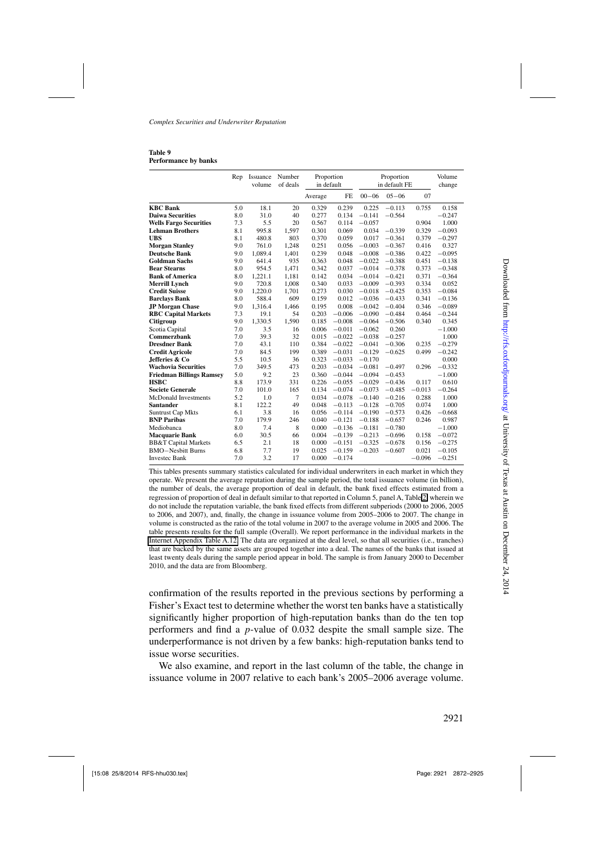<span id="page-49-0"></span>**Table 9 Performance by banks**

|                                 | Rep | Issuance<br>volume | Number<br>of deals | Proportion<br>in default |           |           | Proportion<br>in default FE |          | Volume<br>change |
|---------------------------------|-----|--------------------|--------------------|--------------------------|-----------|-----------|-----------------------------|----------|------------------|
|                                 |     |                    |                    | Average                  | <b>FE</b> | $00 - 06$ | $05 - 06$                   | 07       |                  |
| <b>KBC Bank</b>                 | 5.0 | 18.1               | 20                 | 0.329                    | 0.239     | 0.225     | $-0.113$                    | 0.755    | 0.158            |
| <b>Daiwa Securities</b>         | 8.0 | 31.0               | 40                 | 0.277                    | 0.134     | $-0.141$  | $-0.564$                    |          | $-0.247$         |
| <b>Wells Fargo Securities</b>   | 7.3 | 5.5                | 20                 | 0.567                    | 0.114     | $-0.057$  |                             | 0.904    | 1.000            |
| <b>Lehman Brothers</b>          | 8.1 | 995.8              | 1,597              | 0.301                    | 0.069     | 0.034     | $-0.339$                    | 0.329    | $-0.093$         |
| <b>UBS</b>                      | 8.1 | 480.8              | 803                | 0.370                    | 0.059     | 0.017     | $-0.361$                    | 0.379    | $-0.297$         |
| <b>Morgan Stanley</b>           | 9.0 | 761.0              | 1,248              | 0.251                    | 0.056     | $-0.003$  | $-0.367$                    | 0.416    | 0.327            |
| <b>Deutsche Bank</b>            | 9.0 | 1,089.4            | 1,401              | 0.239                    | 0.048     | $-0.008$  | $-0.386$                    | 0.422    | $-0.095$         |
| <b>Goldman Sachs</b>            | 9.0 | 641.4              | 935                | 0.363                    | 0.048     | $-0.022$  | $-0.388$                    | 0.451    | $-0.138$         |
| <b>Bear Stearns</b>             | 8.0 | 954.5              | 1,471              | 0.342                    | 0.037     | $-0.014$  | $-0.378$                    | 0.373    | $-0.348$         |
| <b>Bank of America</b>          | 8.0 | 1,221.1            | 1,181              | 0.142                    | 0.034     | $-0.014$  | $-0.421$                    | 0.371    | $-0.364$         |
| <b>Merrill Lynch</b>            | 9.0 | 720.8              | 1.008              | 0.340                    | 0.033     | $-0.009$  | $-0.393$                    | 0.334    | 0.052            |
| <b>Credit Suisse</b>            | 9.0 | 1,220.0            | 1,701              | 0.273                    | 0.030     | $-0.018$  | $-0.425$                    | 0.353    | $-0.084$         |
| <b>Barclays Bank</b>            | 8.0 | 588.4              | 609                | 0.159                    | 0.012     | $-0.036$  | $-0.433$                    | 0.341    | $-0.136$         |
| <b>JP Morgan Chase</b>          | 9.0 | 1,316.4            | 1,466              | 0.195                    | 0.008     | $-0.042$  | $-0.404$                    | 0.346    | $-0.089$         |
| <b>RBC Capital Markets</b>      | 7.3 | 19.1               | 54                 | 0.203                    | $-0.006$  | $-0.090$  | $-0.484$                    | 0.464    | $-0.244$         |
| Citigroup                       | 9.0 | 1.330.5            | 1.590              | 0.185                    | $-0.008$  | $-0.064$  | $-0.506$                    | 0.340    | 0.345            |
| Scotia Capital                  | 7.0 | 3.5                | 16                 | 0.006                    | $-0.011$  | $-0.062$  | 0.260                       |          | $-1.000$         |
| Commerzbank                     | 7.0 | 39.3               | 32                 | 0.015                    | $-0.022$  | $-0.038$  | $-0.257$                    |          | 1.000            |
| <b>Dresdner Bank</b>            | 7.0 | 43.1               | 110                | 0.384                    | $-0.022$  | $-0.041$  | $-0.306$                    | 0.235    | $-0.279$         |
| <b>Credit Agricole</b>          | 7.0 | 84.5               | 199                | 0.389                    | $-0.031$  | $-0.129$  | $-0.625$                    | 0.499    | $-0.242$         |
| Jefferies & Co.                 | 5.5 | 10.5               | 36                 | 0.323                    | $-0.033$  | $-0.170$  |                             |          | 0.000            |
| <b>Wachovia Securities</b>      | 7.0 | 349.5              | 473                | 0.203                    | $-0.034$  | $-0.081$  | $-0.497$                    | 0.296    | $-0.332$         |
| <b>Friedman Billings Ramsey</b> | 5.0 | 9.2                | 23                 | 0.360                    | $-0.044$  | $-0.094$  | $-0.453$                    |          | $-1.000$         |
| <b>HSBC</b>                     | 8.8 | 173.9              | 331                | 0.226                    | $-0.055$  | $-0.029$  | $-0.436$                    | 0.117    | 0.610            |
| <b>Societe Generale</b>         | 7.0 | 101.0              | 165                | 0.134                    | $-0.074$  | $-0.073$  | $-0.485$                    | $-0.013$ | $-0.264$         |
| <b>McDonald Investments</b>     | 5.2 | 1.0                | $\overline{7}$     | 0.034                    | $-0.078$  | $-0.140$  | $-0.216$                    | 0.288    | 1.000            |
| Santander                       | 8.1 | 122.2              | 49                 | 0.048                    | $-0.113$  | $-0.128$  | $-0.705$                    | 0.074    | 1.000            |
| <b>Suntrust Cap Mkts</b>        | 6.1 | 3.8                | 16                 | 0.056                    | $-0.114$  | $-0.190$  | $-0.573$                    | 0.426    | $-0.668$         |
| <b>BNP Paribas</b>              | 7.0 | 179.9              | 246                | 0.040                    | $-0.121$  | $-0.188$  | $-0.657$                    | 0.246    | 0.987            |
| Mediobanca                      | 8.0 | 7.4                | 8                  | 0.000                    | $-0.136$  | $-0.181$  | $-0.780$                    |          | $-1.000$         |
| <b>Macquarie Bank</b>           | 6.0 | 30.5               | 66                 | 0.004                    | $-0.139$  | $-0.213$  | $-0.696$                    | 0.158    | $-0.072$         |
| <b>BB&amp;T</b> Capital Markets | 6.5 | 2.1                | 18                 | 0.000                    | $-0.151$  | $-0.325$  | $-0.678$                    | 0.156    | $-0.275$         |
| <b>BMO-Nesbitt Burns</b>        | 6.8 | 7.7                | 19                 | 0.025                    | $-0.159$  | $-0.203$  | $-0.607$                    | 0.021    | $-0.105$         |
| <b>Investec Bank</b>            | 7.0 | 3.2                | 17                 | 0.000                    | $-0.174$  |           |                             | $-0.096$ | $-0.251$         |

This tables presents summary statistics calculated for individual underwriters in each market in which they operate. We present the average reputation during the sample period, the total issuance volume (in billion), the number of deals, the average proportion of deal in default, the bank fixed effects estimated from a regression of proportion of deal in default similar to that reported in Column 5, panel A, Table [2,](#page-23-0) wherein we do not include the reputation variable, the bank fixed effects from different subperiods (2000 to 2006, 2005 to 2006, and 2007), and, finally, the change in issuance volume from 2005–2006 to 2007. The change in volume is constructed as the ratio of the total volume in 2007 to the average volume in 2005 and 2006. The table presents results for the full sample (Overall). We report performance in the individual markets in the [Internet Appendix Table A.12.](http://rfs.oxfordjournals.org/lookup/suppl/doi:10.1093/rfs/hhu030/-/DC1) The data are organized at the deal level, so that all securities (i.e., tranches) that are backed by the same assets are grouped together into a deal. The names of the banks that issued at least twenty deals during the sample period appear in bold. The sample is from January 2000 to December 2010, and the data are from Bloomberg.

confirmation of the results reported in the previous sections by performing a Fisher's Exact test to determine whether the worst ten banks have a statistically significantly higher proportion of high-reputation banks than do the ten top performers and find a *p*-value of 0.032 despite the small sample size. The underperformance is not driven by a few banks: high-reputation banks tend to issue worse securities.

We also examine, and report in the last column of the table, the change in issuance volume in 2007 relative to each bank's 2005–2006 average volume.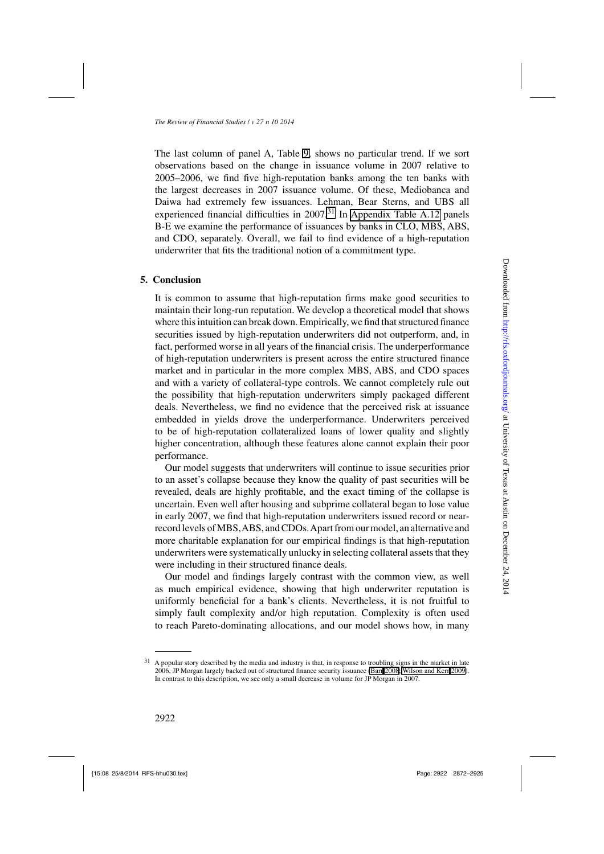The last column of panel A, Table [9,](#page-49-0) shows no particular trend. If we sort observations based on the change in issuance volume in 2007 relative to 2005–2006, we find five high-reputation banks among the ten banks with the largest decreases in 2007 issuance volume. Of these, Mediobanca and Daiwa had extremely few issuances. Lehman, Bear Sterns, and UBS all experienced financial difficulties in  $2007<sup>31</sup>$  In [Appendix Table A.12](http://rfs.oxfordjournals.org/lookup/suppl/doi:10.1093/rfs/hhu030/-/DC1) panels B-E we examine the performance of issuances by banks in CLO, MBS, ABS, and CDO, separately. Overall, we fail to find evidence of a high-reputation underwriter that fits the traditional notion of a commitment type.

## **5. Conclusion**

It is common to assume that high-reputation firms make good securities to maintain their long-run reputation. We develop a theoretical model that shows where this intuition can break down. Empirically, we find that structured finance securities issued by high-reputation underwriters did not outperform, and, in fact, performed worse in all years of the financial crisis. The underperformance of high-reputation underwriters is present across the entire structured finance market and in particular in the more complex MBS, ABS, and CDO spaces and with a variety of collateral-type controls. We cannot completely rule out the possibility that high-reputation underwriters simply packaged different deals. Nevertheless, we find no evidence that the perceived risk at issuance embedded in yields drove the underperformance. Underwriters perceived to be of high-reputation collateralized loans of lower quality and slightly higher concentration, although these features alone cannot explain their poor performance.

Our model suggests that underwriters will continue to issue securities prior to an asset's collapse because they know the quality of past securities will be revealed, deals are highly profitable, and the exact timing of the collapse is uncertain. Even well after housing and subprime collateral began to lose value in early 2007, we find that high-reputation underwriters issued record or nearrecord levels of MBS, ABS, and CDOs. Apart from our model, an alternative and more charitable explanation for our empirical findings is that high-reputation underwriters were systematically unlucky in selecting collateral assets that they were including in their structured finance deals.

Our model and findings largely contrast with the common view, as well as much empirical evidence, showing that high underwriter reputation is uniformly beneficial for a bank's clients. Nevertheless, it is not fruitful to simply fault complexity and/or high reputation. Complexity is often used to reach Pareto-dominating allocations, and our model shows how, in many

<sup>&</sup>lt;sup>31</sup> A popular story described by the media and industry is that, in response to troubling signs in the market in late 2006, JP Morgan largely backed out of structured finance security issuance [\(Barr 2008;](#page-51-0) [Wilson and Kerr 2009](#page-53-0)). In contrast to this description, we see only a small decrease in volume for JP Morgan in 2007.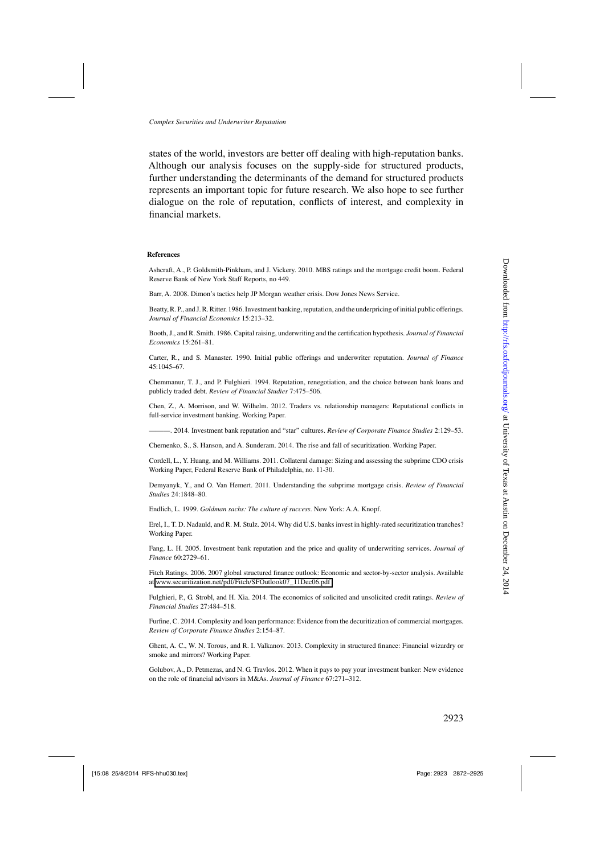<span id="page-51-0"></span>states of the world, investors are better off dealing with high-reputation banks. Although our analysis focuses on the supply-side for structured products, further understanding the determinants of the demand for structured products represents an important topic for future research. We also hope to see further dialogue on the role of reputation, conflicts of interest, and complexity in financial markets.

#### **References**

Ashcraft, A., P. Goldsmith-Pinkham, and J. Vickery. 2010. MBS ratings and the mortgage credit boom. Federal Reserve Bank of New York Staff Reports, no 449.

Barr, A. 2008. Dimon's tactics help JP Morgan weather crisis. Dow Jones News Service.

Beatty, R. P., and J. R. Ritter. 1986. Investment banking, reputation, and the underpricing of initial public offerings. *Journal of Financial Economics* 15:213–32.

Booth, J., and R. Smith. 1986. Capital raising, underwriting and the certification hypothesis. *Journal of Financial Economics* 15:261–81.

Carter, R., and S. Manaster. 1990. Initial public offerings and underwriter reputation. *Journal of Finance* 45:1045–67.

Chemmanur, T. J., and P. Fulghieri. 1994. Reputation, renegotiation, and the choice between bank loans and publicly traded debt. *Review of Financial Studies* 7:475–506.

Chen, Z., A. Morrison, and W. Wilhelm. 2012. Traders vs. relationship managers: Reputational conflicts in full-service investment banking. Working Paper.

———. 2014. Investment bank reputation and "star" cultures. *Review of Corporate Finance Studies* 2:129–53.

Chernenko, S., S. Hanson, and A. Sunderam. 2014. The rise and fall of securitization. Working Paper.

Cordell, L., Y. Huang, and M. Williams. 2011. Collateral damage: Sizing and assessing the subprime CDO crisis Working Paper, Federal Reserve Bank of Philadelphia, no. 11-30.

Demyanyk, Y., and O. Van Hemert. 2011. Understanding the subprime mortgage crisis. *Review of Financial Studies* 24:1848–80.

Endlich, L. 1999. *Goldman sachs: The culture of success*. New York: A.A. Knopf.

Erel, I., T. D. Nadauld, and R. M. Stulz. 2014. Why did U.S. banks invest in highly-rated securitization tranches? Working Paper.

Fang, L. H. 2005. Investment bank reputation and the price and quality of underwriting services. *Journal of Finance* 60:2729–61.

Fitch Ratings. 2006. 2007 global structured finance outlook: Economic and sector-by-sector analysis. Available at [www.securitization.net/pdf/Fitch/SFOutlook07\\_11Dec06.pdf .](www.securitization.net/pdf/Fitch/SFOutlook07_11Dec06.pdf)

Fulghieri, P., G. Strobl, and H. Xia. 2014. The economics of solicited and unsolicited credit ratings. *Review of Financial Studies* 27:484–518.

Furfine, C. 2014. Complexity and loan performance: Evidence from the decuritization of commercial mortgages. *Review of Corporate Finance Studies* 2:154–87.

Ghent, A. C., W. N. Torous, and R. I. Valkanov. 2013. Complexity in structured finance: Financial wizardry or smoke and mirrors? Working Paper.

Golubov, A., D. Petmezas, and N. G. Travlos. 2012. When it pays to pay your investment banker: New evidence on the role of financial advisors in M&As. *Journal of Finance* 67:271–312.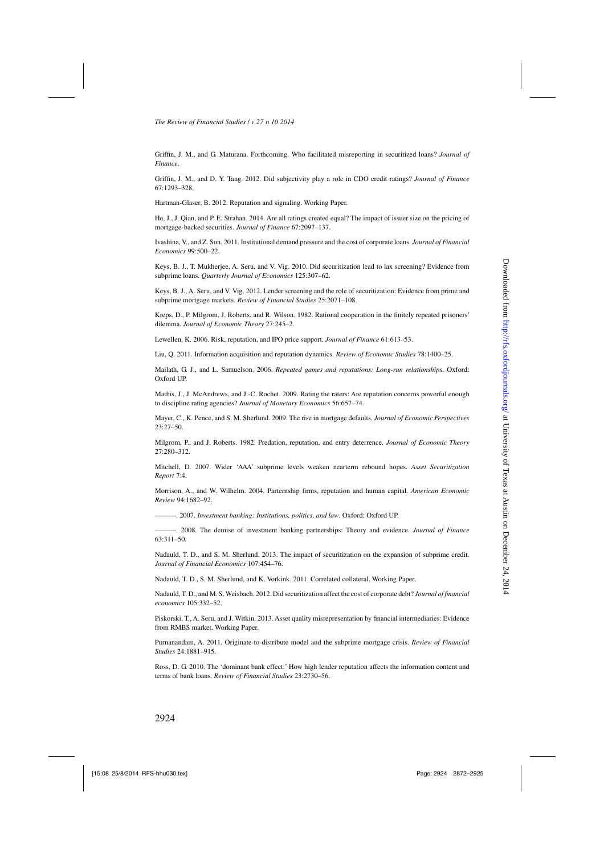<span id="page-52-0"></span>Griffin, J. M., and G. Maturana. Forthcoming. Who facilitated misreporting in securitized loans? *Journal of Finance*.

Griffin, J. M., and D. Y. Tang. 2012. Did subjectivity play a role in CDO credit ratings? *Journal of Finance* 67:1293–328.

Hartman-Glaser, B. 2012. Reputation and signaling. Working Paper.

He, J., J. Qian, and P. E. Strahan. 2014. Are all ratings created equal? The impact of issuer size on the pricing of mortgage-backed securities. *Journal of Finance* 67:2097–137.

Ivashina, V., and Z. Sun. 2011. Institutional demand pressure and the cost of corporate loans. *Journal of Financial Economics* 99:500–22.

Keys, B. J., T. Mukherjee, A. Seru, and V. Vig. 2010. Did securitization lead to lax screening? Evidence from subprime loans. *Quarterly Journal of Economics* 125:307–62.

Keys, B. J., A. Seru, and V. Vig. 2012. Lender screening and the role of securitization: Evidence from prime and subprime mortgage markets. *Review of Financial Studies* 25:2071–108.

Kreps, D., P. Milgrom, J. Roberts, and R. Wilson. 1982. Rational cooperation in the finitely repeated prisoners' dilemma. *Journal of Economic Theory* 27:245–2.

Lewellen, K. 2006. Risk, reputation, and IPO price support. *Journal of Finance* 61:613–53.

Liu, Q. 2011. Information acquisition and reputation dynamics. *Review of Economic Studies* 78:1400–25.

Mailath, G. J., and L. Samuelson. 2006. *Repeated games and reputations: Long-run relationships*. Oxford: Oxford UP.

Mathis, J., J. McAndrews, and J.-C. Rochet. 2009. Rating the raters: Are reputation concerns powerful enough to discipline rating agencies? *Journal of Monetary Economics* 56:657–74.

Mayer, C., K. Pence, and S. M. Sherlund. 2009. The rise in mortgage defaults. *Journal of Economic Perspectives*  $23.27 - 50$ 

Milgrom, P., and J. Roberts. 1982. Predation, reputation, and entry deterrence. *Journal of Economic Theory* 27:280–312.

Mitchell, D. 2007. Wider 'AAA' subprime levels weaken nearterm rebound hopes. *Asset Securitization Report* 7:4.

Morrison, A., and W. Wilhelm. 2004. Parternship firms, reputation and human capital. *American Economic Review* 94:1682–92.

———. 2007. *Investment banking: Institutions, politics, and law*. Oxford: Oxford UP.

———. 2008. The demise of investment banking partnerships: Theory and evidence. *Journal of Finance* 63:311–50.

Nadauld, T. D., and S. M. Sherlund. 2013. The impact of securitization on the expansion of subprime credit. *Journal of Financial Economics* 107:454–76.

Nadauld, T. D., S. M. Sherlund, and K. Vorkink. 2011. Correlated collateral. Working Paper.

Nadauld, T. D., and M. S.Weisbach. 2012. Did securitization affect the cost of corporate debt? *Journal of financial economics* 105:332–52.

Piskorski, T., A. Seru, and J. Witkin. 2013. Asset quality misrepresentation by financial intermediaries: Evidence from RMBS market. Working Paper.

Purnanandam, A. 2011. Originate-to-distribute model and the subprime mortgage crisis. *Review of Financial Studies* 24:1881–915.

Ross, D. G. 2010. The 'dominant bank effect:' How high lender reputation affects the information content and terms of bank loans. *Review of Financial Studies* 23:2730–56.